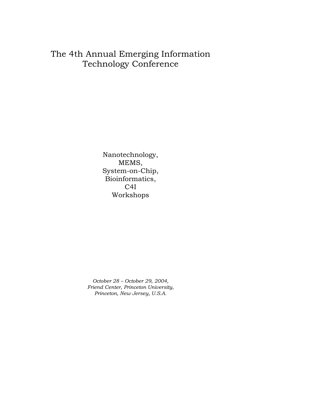# The 4th Annual Emerging Information Technology Conference

Nanotechnology, MEMS, System-on-Chip, Bioinformatics, C4I Workshops

*October 28 – October 29, 2004, Friend Center, Princeton University, Princeton, New Jersey, U.S.A.*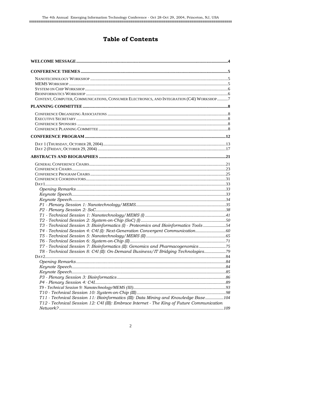## **Table of Contents**

| CONTENT, COMPUTER, COMMUNICATIONS, CONSUMER ELECTRONICS, AND INTEGRATION (C4I) WORKSHOP7                                                                                          |  |
|-----------------------------------------------------------------------------------------------------------------------------------------------------------------------------------|--|
|                                                                                                                                                                                   |  |
|                                                                                                                                                                                   |  |
|                                                                                                                                                                                   |  |
|                                                                                                                                                                                   |  |
|                                                                                                                                                                                   |  |
|                                                                                                                                                                                   |  |
|                                                                                                                                                                                   |  |
|                                                                                                                                                                                   |  |
|                                                                                                                                                                                   |  |
|                                                                                                                                                                                   |  |
|                                                                                                                                                                                   |  |
|                                                                                                                                                                                   |  |
|                                                                                                                                                                                   |  |
|                                                                                                                                                                                   |  |
|                                                                                                                                                                                   |  |
|                                                                                                                                                                                   |  |
|                                                                                                                                                                                   |  |
|                                                                                                                                                                                   |  |
|                                                                                                                                                                                   |  |
|                                                                                                                                                                                   |  |
|                                                                                                                                                                                   |  |
| T3 - Technical Session 3: Bioinformatics (I) - Proteomics and Bioinformatics Tools54                                                                                              |  |
| T4 - Technical Session 4: C4I (I): Next-Generation Convergent Communication                                                                                                       |  |
|                                                                                                                                                                                   |  |
|                                                                                                                                                                                   |  |
| T7 - Technical Session 7: Bioinformatics (II): Genomics and Pharmacogenomics                                                                                                      |  |
| T8 - Technical Session 8: C4I (II): On-Demand Business/IT Bridging Technologies                                                                                                   |  |
|                                                                                                                                                                                   |  |
|                                                                                                                                                                                   |  |
|                                                                                                                                                                                   |  |
|                                                                                                                                                                                   |  |
|                                                                                                                                                                                   |  |
|                                                                                                                                                                                   |  |
|                                                                                                                                                                                   |  |
|                                                                                                                                                                                   |  |
| T11 - Technical Session 11: Bioinformatics (III): Data Mining and Knowledge Base104<br>T12 - Technical Session 12: C4I (III): Embrace Internet - The King of Future Communication |  |
|                                                                                                                                                                                   |  |
|                                                                                                                                                                                   |  |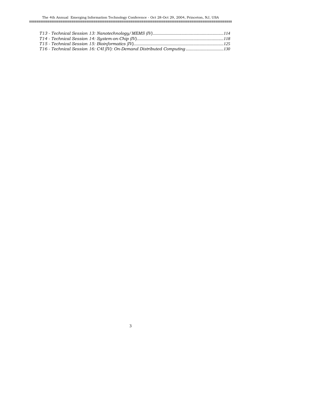The 4th Annual Emerging Information Technology Conference - Oct 28-Oct 29, 2004, Princeton, NJ, USA **==============================================================================================================**

*T13 - Technical Session 13: Nanotechnology/MEMS (IV)..................................................................114 T14 - Technical Session 14: System-on-Chip (IV).................................................................................118 T15 - Technical Session 15: Bioinformatics [IV)....................................................................................125 T16 - Technical Session 16: C4I [IV): On-Demand Distributed Computing ...................................130*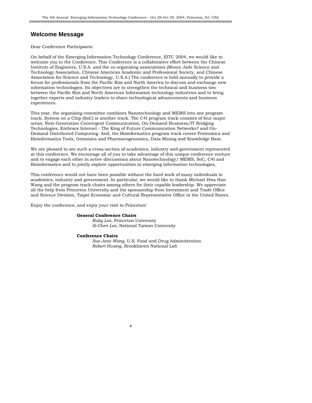## **Welcome Message**

Dear Conference Participants:

On behalf of the Emerging Information Technology Conference, EITC 2004, we would like to welcome you to the Conference. This Conference is a collaborative effort between the Chinese Institute of Engineers, U.S.A. and the co-organizing associations (Monte Jade Science and Technology Association, Chinese American Academic and Professional Society, and Chinese Association for Science and Technology, U.S.A.) The conference is held annually to provide a forum for professionals from the Pacific Rim and North America to discuss and exchange new information technologies. Its objectives are to strengthen the technical and business ties between the Pacific Rim and North American Information technology industries and to bring together experts and industry leaders to share technological advancements and business experiences.

This year, the organizing committee combines Nanotechnology and MEMS into one program track. System on a Chip (SoC) is another track. The C4I program track consists of four major areas: Next-Generation Convergent Communication, On-Demand Business/IT Bridging Technologies, Embrace Internet - The King of Future Communication Networks? and On-Demand Distributed Computing. And, the Bioinformatics program track covers Proteomics and Bioinformatics Tools, Genomics and Pharmacogenomics, Data Mining and Knowledge Base.

We are pleased to see such a cross-section of academics, industry and government represented at this conference. We encourage all of you to take advantage of this unique conference venture and to engage each other in active discussions about Nanotechnology/ MEMS, SoC, C4I and Bioinformatics and to jointly explore opportunities in emerging information technologies.

This conference would not have been possible without the hard work of many individuals in academics, industry and government. In particular, we would like to thank Michael Hwa Han Wang and the program track chairs among others for their capable leadership. We appreciate all the help from Princeton University and the sponsorship from Investment and Trade Office and Science Division, Taipei Economic and Cultural Representative Office in the United States.

Enjoy the conference, and enjoy your visit to Princeton!

#### **General Conference Chairs**

*Ruby Lee*, Princeton University *Si-Chen Lee*, National Taiwan University

#### **Conference Chairs**

 *Sue-Jane Wang*, U.S. Food and Drug Administration *Robert Hwang*, Brookhaven National Lab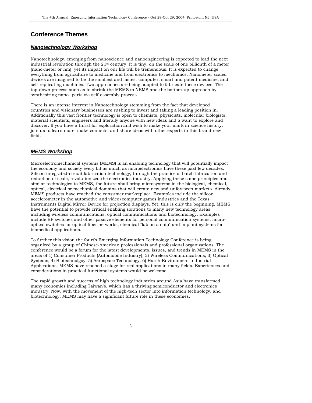## **Conference Themes**

## *Nanotechnology Workshop*

Nanotechnology, emerging from nanoscience and nanoengineering is expected to lead the next industrial revolution through the 21st century. It is tiny, on the scale of one billionth of a meter (nano-meter or nm), yet its impact on our life will be tremendous. It is expected to change everything from agriculture to medicine and from electronics to mechanics. Nanometer scaled devices are imagined to be the smallest and fastest computer, smart and potent medicine, and self-replicating machines. Two approaches are being adopted to fabricate these devices. The top-down process such as to shrink the MEMS to NEMS and the bottom-up approach by synthesizing nano- parts via self-assembly process.

There is an intense interest in Nanotechnology stemming from the fact that developed countries and visionary businesses are rushing to invest and taking a leading position in. Additionally this vast frontier technology is open to chemists, physicists, molecular biologists, material scientists, engineers and literally anyone with new ideas and a want to explore and discover. If you have a thirst for exploration and wish to make your mark in science history, join us to learn more, make contacts, and share ideas with other experts in this brand new field.

## *MEMS Workshop*

Microelectromechanical systems (MEMS) is an enabling technology that will potentially impact the economy and society every bit as much as microelectronics have these past few decades. Silicon integrated-circuit fabrication technology, through the practice of batch fabrication and reduction of scale, revolutionized the electronics industry. Applying these same principles and similar technologies to MEMS, the future shall bring microsystems in the biological, chemical, optical, electrical or mechanical domains that will create new and unforeseen markets. Already, MEMS products have reached the consumer marketplace. Examples include the silicon accelerometer in the automotive and video/computer games industries and the Texas Instruments Digital Mirror Device for projection displays. Yet, this is only the beginning. MEMS have the potential to provide critical enabling solutions to many new technology areas including wireless communications, optical communications and biotechnology. Examples include RF switches and other passive elements for personal communication systems; microoptical switches for optical fiber networks; chemical "lab on a chip" and implant systems for biomedical applications.

To further this vision the fourth Emerging Information Technology Conference is being organized by a group of Chinese-American professionals and professional organizations. The conference would be a forum for the latest developments, issues, and trends in MEMS in the areas of 1) Consumer Products (Automobile Industry); 2) Wireless Communications; 3) Optical Systems; 4) Biotechnolgoy; 5) Aerospace Technology, 6) Harsh Environment Industrial Applications. MEMS have reached a stage for real applications in many fields. Experiences and considerations in practical functional systems would be welcome.

The rapid growth and success of high technology industries around Asia have transformed many economies including Taiwan's, which has a thriving semiconductor and electronics industry. Now, with the movement of the high-tech sector into information technology, and biotechnology, MEMS may have a significant future role in these economies.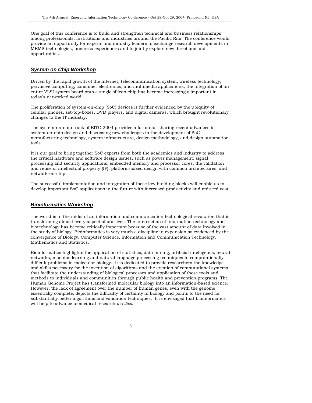One goal of this conference is to build and strengthen technical and business relationships among professionals, institutions and industries around the Pacific Rim. The conference would provide an opportunity for experts and industry leaders to exchange research developments in MEMS technologies, business experiences and to jointly explore new directions and opportunities.

## *System on Chip Workshop*

Driven by the rapid growth of the Internet, telecommunication system, wireless technology, pervasive computing, consumer electronics, and multimedia applications, the integration of an entire VLSI system board onto a single silicon chip has become increasingly important in today's networked world.

The proliferation of system-on-chip (SoC) devices is further evidenced by the ubiquity of cellular phones, set-top-boxes, DVD players, and digital cameras, which brought revolutionary changes to the IT industry.

The system-on-chip track of EITC-2004 provides a forum for sharing recent advances in system-on-chip design and discussing new challenges in the development of SoC manufacturing technology, system infrastructure, design methodology, and design automation tools.

It is our goal to bring together SoC experts from both the academics and industry to address the critical hardware and software design issues, such as power management, signal processing and security applications, embedded memory and processor cores, the validation and reuse of intellectual property (IP), platform-based design with common architectures, and network-on-chip.

The successful implementation and integration of these key building blocks will enable us to develop important SoC applications in the future with increased productivity and reduced cost.

## *Bioinformatics Workshop*

The world is in the midst of an information and communication technological revolution that is transforming almost every aspect of our lives. The intersection of information technology and biotechnology has become critically important because of the vast amount of data involved in the study of biology. Bioinformatics is very much a discipline in expansion as evidenced by the convergence of Biology, Computer Science, Information and Communication Technology, Mathematics and Statistics.

Bioinformatics highlights the application of statistics, data mining, artificial intelligence, neural networks, machine learning and natural language processing techniques to computationally difficult problems in molecular biology. It is dedicated to provide researchers the knowledge and skills necessary for the invention of algorithms and the creation of computational systems that facilitate the understanding of biological processes and application of these tools and methods to individuals and communities through public health and prevention programs. The Human Genome Project has transformed molecular biology into an information-based science. However, the lack of agreement over the number of human genes, even with the genome essentially complete, depicts the difficulty of certainty in biology and points to the need for substantially better algorithms and validation techniques. It is envisaged that bioinformatics will help to advance biomedical research *in silico*.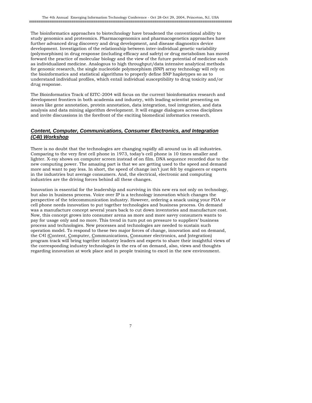The bioinformatics approaches to biotechnology have broadened the conventional ability to study genomics and proteomics. Pharmacogenomics and pharmacogenetics approaches have further advanced drug discovery and drug development, and disease diagnostics device development. Investigation of the relationship between inter-individual genetic variability (polymorphism) in drug response (including efficacy and safety) or drug metabolism has moved forward the practice of molecular biology and the view of the future potential of medicine such as individualized medicine. Analogous to high throughput/data intensive analytical methods for genomic research, the single nucleotide polymorphism (SNP) array technology will rely on the bioinformatics and statistical algorithms to properly define SNP haplotypes so as to understand individual profiles, which entail individual susceptibility to drug toxicity and/or drug response.

The Bioinformatics Track of EITC-2004 will focus on the current bioinformatics research and development frontiers in both academia and industry, with leading scientist presenting on issues like gene annotation, protein annotation, data integration, tool integration, and data analysis and data mining algorithm development. It will engage dialogues across disciplines and invite discussions in the forefront of the exciting biomedical informatics research.

## *Content, Computer, Communications, Consumer Electronics, and Integration (C4I) Workshop*

There is no doubt that the technologies are changing rapidly all around us in all industries. Comparing to the very first cell phone in 1973, today's cell phone is 10 times smaller and lighter. X-ray shows on computer screen instead of on film. DNA sequence recorded due to the new computing power. The amazing part is that we are getting used to the speed and demand more and want to pay less. In short, the speed of change isn't just felt by engineers or experts in the industries but average consumers. And, the electrical, electronic and computing industries are the driving forces behind all these changes.

Innovation is essential for the leadership and surviving in this new era not only on technology, but also in business process. Voice over IP is a technology innovation which changes the perspective of the telecommunication industry. However, ordering a snack using your PDA or cell phone needs innovation to put together technologies and business process. On demand was a manufacture concept several years back to cut down inventories and manufacture cost. Now, this concept grows into consumer arena as more and more savvy consumers wants to pay for usage only and no more. This trend in turn put on pressure to suppliers' business process and technologies. New processes and technologies are needed to sustain such operation model. To respond to these two major forces of change, innovation and on demand, the C4I (Content, Computer, Communications, Consumer electronics, and Integration) program track will bring together industry leaders and experts to share their insightful views of the corresponding industry technologies in the era of on demand, also, views and thoughts regarding innovation at work place and in people training to excel in the new environment.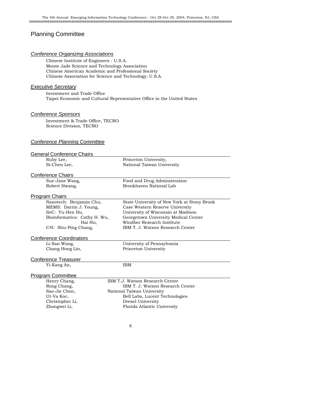## Planning Committee

## *Conference Organizing Associations*

Chinese Institute of Engineers - U.S.A. Monte Jade Science and Technology Association Chinese American Academic and Professional Society Chinese Association for Science and Technology, U.S.A.

## *Executive Secretary*

Investment and Trade Office Taipei Economic and Cultural Representative Office in the United States

## *Conference Sponsors*

Investment & Trade Office, TECRO Science Division, TECRO

## *Conference Planning Committee*

| <b>General Conference Chairs</b> |                                             |
|----------------------------------|---------------------------------------------|
| Ruby Lee,                        | Princeton University,                       |
| Si-Chen Lee.                     | National Taiwan University                  |
|                                  |                                             |
| <b>Conference Chairs</b>         |                                             |
| Sue-Jane Wang,                   | Food and Drug Administration                |
| Robert Hwang,                    | Brookhaven National Lab                     |
| Program Chairs                   |                                             |
| Nanotech: Benjamin Chu,          | State University of New York at Stony Brook |
| MEMS: Darrin J. Young,           | Case Western Reserve University             |
| SoC: Yu-Hen Hu,                  | University of Wisconsin at Madison          |
| Bioinformatics: Cathy H. Wu,     | Georgetown University Medical Center        |
| Hai Hu.                          | Windber Research Institute                  |
| C4I: Shu-Ping Chang,             | IBM T. J. Watson Research Center            |
|                                  |                                             |
| <b>Conference Coordinators</b>   |                                             |
| Li-San Wang,                     | University of Pennsylvania                  |
| Chang Hong Lin,                  | Princeton University                        |
|                                  |                                             |
| Conference Treasurer             |                                             |
| Yi-Kang An,                      | <b>IBM</b>                                  |
| <b>Program Committee</b>         |                                             |
| Henry Chang,                     | IBM T.J. Watson Research Center             |
| Rong Chang,                      | IBM T. J. Watson Research Center            |
| Sao-Jie Chen,                    | National Taiwan University                  |
| Ut-Va Koc,                       | Bell Labs, Lucent Technologies              |
| Christopher Li,                  | Drexel University                           |
| Zhongwei Li,                     | Florida Atlantic University                 |
|                                  |                                             |
|                                  |                                             |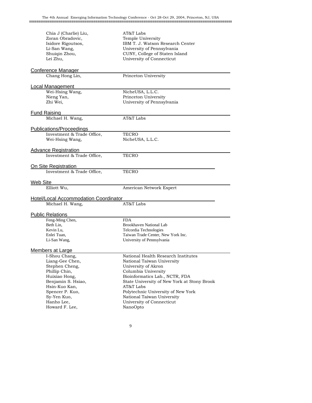| Chia J (Charlie) Liu,                        | AT&T Labs                                                    |
|----------------------------------------------|--------------------------------------------------------------|
| Zoran Obradovic,                             | Temple University<br>IBM T. J. Watson Research Center        |
| Isidore Rigoutsos,<br>Li-San Wang,           |                                                              |
|                                              | University of Pennsylvania<br>CUNY, College of Staten Island |
| Shuiqin Zhou,<br>Lei Zhu,                    | University of Connecticut                                    |
|                                              |                                                              |
| Conference Manager                           |                                                              |
| Chang Hong Lin,                              | Princeton University                                         |
| <b>Local Management</b>                      |                                                              |
| Wei-Hsing Wang,                              | NicheUSA, L.L.C.                                             |
| Nieng Yan,                                   | Princeton University                                         |
| Zhi Wei,                                     | University of Pennsylvania                                   |
| <b>Fund Raising</b>                          |                                                              |
| Michael H. Wang,                             | AT&T Labs                                                    |
| <b>Publications/Proceedings</b>              |                                                              |
| Investment & Trade Office,                   | <b>TECRO</b>                                                 |
| Wei-Hsing Wang,                              | NicheUSA, L.L.C.                                             |
| <b>Advance Registration</b>                  |                                                              |
| Investment & Trade Office,                   | TECRO                                                        |
| On Site Registration                         |                                                              |
| Investment & Trade Office,                   | TECRO                                                        |
|                                              |                                                              |
|                                              |                                                              |
| <b>Web Site</b>                              |                                                              |
| Elliott Wu,                                  | American Network Expert                                      |
| <b>Hotel/Local Accommodation Coordinator</b> |                                                              |
| Michael H. Wang,                             | AT&T Labs                                                    |
| <b>Public Relations</b>                      |                                                              |
| Feng-Ming Chen,                              | <b>FDA</b>                                                   |
| Beth Lin,                                    | <b>Brookhaven National Lab</b>                               |
| Kevin Lu,                                    | Telcordia Technologies                                       |
| Enlei Tuan.                                  | Taiwan Trade Center, New York Inc.                           |
| Li-San Wang,                                 | University of Pennsylvania                                   |
| Members at Large                             |                                                              |
| I-Shou Chang,                                | National Health Research Institutes                          |
| Liang-Gee Chen,                              | National Taiwan University                                   |
| Stephen Cheng,                               | University of Akron                                          |
| Phillip Chin,                                | Columbia University                                          |
| Huixiao Hong,                                | Bioinformatics Lab., NCTR, FDA                               |
| Benjamin S. Hsiao,                           | State University of New York at Stony Brook                  |
| Hsin-Kuo Kan,                                | AT&T Labs                                                    |
| Spencer P. Kuo,                              | Polytechnic University of New York                           |
| Sy-Yen Kuo,<br>Hanho Lee,                    | National Taiwan University                                   |
| Howard F. Lee,                               | University of Connecticut<br>NanoOpto                        |
|                                              |                                                              |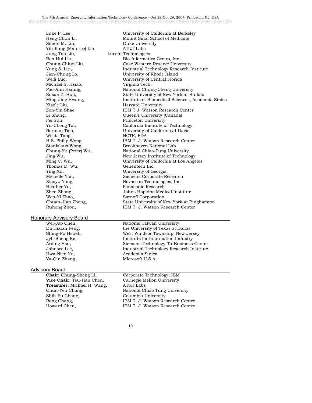**==============================================================================================================**

| Luke P. Lee,            | University of California at Berkeley              |
|-------------------------|---------------------------------------------------|
| Heng-Chun Li,           | Mount Sinai School of Medicine                    |
| Simon M. Lin,           | Duke University                                   |
| Yih-Kang (Maurice) Lin, | AT&T Labs                                         |
| Jung-Tao Liu,           | Lucent Technologies                               |
| Ben Hui Liu,            | Bio-Informatics Group, Inc                        |
| Chung-Chiun Liu,        | Case Western Reserve University                   |
| Yung S. Liu,            | Industrial Technology Research Institute          |
| Jien-Chung Lo,          | University of Rhode Island                        |
| Weili Luo,              | University of Central Florida                     |
| Michael S. Hsiao,       | Virginia Tech.                                    |
| Pao-Ann Hsiung,         | National Chung-Cheng University                   |
| Susan Z. Hua,           | State University of New York at Buffalo           |
| Ming-Jing Hwang,        | Institute of Biomedical Sciences, Academia Sinica |
| Xiaole Liu,             | Harvard University                                |
| Zon-Yin Shae,           | IBM T.J. Watson Research Center                   |
| Li Shang,               | Queen's University (Canada)                       |
| Fei Sun,                | Princeton University                              |
| Yu-Chong Tai,           | California Institute of Technology                |
| Norman Tien.            | University of California at Davis                 |
| Weida Tong,             | NCTR, FDA                                         |
| H.S. Philip Wong,       | IBM T. J. Watson Research Center                  |
| Stanislaus Wong,        | Brookhaven National Lab                           |
| Chung-Yu (Peter) Wu,    | National Chiao-Tung University                    |
| Jing Wu,                | New Jersey Institute of Technology                |
| Ming C. Wu,             | University of California at Los Angeles           |
| Thomas D. Wu,           | Genentech Inc.                                    |
| Ying Xu,                | University of Georgia                             |
| Michelle Yan,           | Siemens Corporate Research                        |
| Xiaoyu Yang,            | Novascan Technologies, Inc.                       |
| Heather Yu,             | Panasonic Research                                |
| Zhen Zhang,             | Johns Hopkins Medical Institute                   |
| Wen-Yi Zhao,            | Sarnoff Corporation                               |
| Chuan-Jian Zhong,       | State University of New York at Binghamton        |
| Ruhong Zhou,            | IBM T. J. Watson Research Center                  |

## Honorary Advisory Board

Hwa-Nien Yu, Academia Sinica

## Advisory Board

**Vice Chair:** Tsu-Han Chen, Carnegie Mellon University **Treasurer:** Michael H. Wang, AT&T Labs<br>Chun-Yen Chang, National Ch Shih-Fu Chang, Columbia University

Wei-Jao Chen, National Taiwan University Da Hsuan Feng, the University of Texas at Dallas Shing-Fu Hsueh, West Windsor Township, New Jersey Jyh-Sheng Ke, Institute for Information Industry Arding Hsu, Siemens Technology-To-Business Center Johnsee Lee, **Industrial Technology Research Institute** Ya-Qin Zhang, Microsoft U.S.A.

**Chair:** Chung-Sheng Li, Corporate Technology, IBM National Chiao Tung University Rong Chang, **IBM T. J. Watson Research Center** Howard Chen, **IBM T. J. Watson Research Center**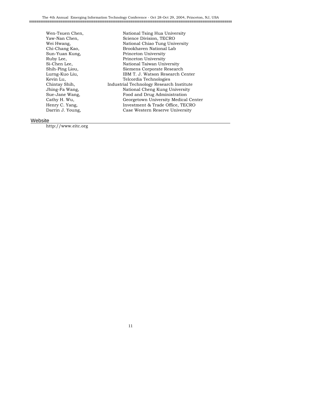| National Tsing Hua University        |                                          |
|--------------------------------------|------------------------------------------|
| Science Division, TECRO              |                                          |
| National Chiao Tung University       |                                          |
| Brookhaven National Lab              |                                          |
| Princeton University                 |                                          |
| Princeton University                 |                                          |
| National Taiwan University           |                                          |
| Siemens Corporate Research           |                                          |
| IBM T. J. Watson Research Center     |                                          |
| Telcordia Technologies               |                                          |
|                                      |                                          |
| National Cheng Kung University       |                                          |
| Food and Drug Administration         |                                          |
| Georgetown University Medical Center |                                          |
| Investment & Trade Office, TECRO     |                                          |
| Case Western Reserve University      |                                          |
|                                      | Industrial Technology Research Institute |

## Website

http://www.eitc.org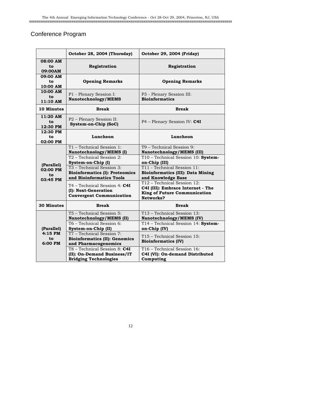# Conference Program

|                                          | October 28, 2004 (Thursday)                                                                                                                                               | October 29, 2004 (Friday)                                                                                                                             |
|------------------------------------------|---------------------------------------------------------------------------------------------------------------------------------------------------------------------------|-------------------------------------------------------------------------------------------------------------------------------------------------------|
| 08:00 AM<br>to<br>09:00AM                | Registration                                                                                                                                                              | Registration                                                                                                                                          |
| 09:00 AM<br>to<br>10:00 AM               | <b>Opening Remarks</b>                                                                                                                                                    | <b>Opening Remarks</b>                                                                                                                                |
| 10:00 AM<br>to<br>$11:10$ AM             | P1 - Plenary Session I:<br>Nanotechnology/MEMS                                                                                                                            | P3 - Plenary Session III:<br><b>Bioinformatics</b>                                                                                                    |
| 10 Minutes                               | <b>Break</b>                                                                                                                                                              | <b>Break</b>                                                                                                                                          |
| 11:20 AM<br>to<br>12:30 PM               | P2 - Plenary Session II:<br>System-on-Chip (SoC)                                                                                                                          | P4 - Plenary Session IV: C4I                                                                                                                          |
| 12:30 PM<br>to<br>02:00 PM               | Luncheon                                                                                                                                                                  | Luncheon                                                                                                                                              |
|                                          | T1 - Technical Session 1:<br>Nanotechnology/MEMS (I)                                                                                                                      | T9 - Technical Session 9:<br><b>Nanotechnology/MEMS (III)</b>                                                                                         |
| (Parallel)<br>02:00 PM<br>to<br>03:45 PM | T <sub>2</sub> - Technical Session 2:<br>System-on-Chip (I)<br>T <sub>3</sub> – Technical Session 3:<br><b>Bioinformatics (I): Proteomics</b><br>and Bioinformatics Tools | T10 - Technical Session 10: System-<br>on-Chip (III)<br>T11 - Technical Session 11:<br><b>Bioinformatics (III): Data Mining</b><br>and Knowledge Base |
|                                          | $T4 - Technical Session 4: C4I$<br>(I): Next-Generation<br><b>Convergent Communication</b>                                                                                | T12 - Technical Session 12:<br>C4I (III): Embrace Internet - The<br><b>King of Future Communication</b><br>Networks?                                  |
| <b>30 Minutes</b>                        | <b>Break</b>                                                                                                                                                              | <b>Break</b>                                                                                                                                          |
|                                          | T5 - Technical Session 5:<br>Nanotechnology/MEMS (II)                                                                                                                     | T13 - Technical Session 13:<br>Nanotechnology/MEMS (IV)                                                                                               |
| (Parallel)                               | T6 - Technical Session 6:<br>System-on-Chip (II)                                                                                                                          | T14 - Technical Session 14: System-<br>on-Chip (IV)                                                                                                   |
| $4:15$ PM<br>to<br>6:00 PM               | T7 - Technical Session 7:<br><b>Bioinformatics (II): Genomics</b><br>and Pharmacogenomics                                                                                 | T <sub>15</sub> – Technical Session 15:<br><b>Bioinformatics (IV)</b>                                                                                 |
|                                          | T8 - Technical Session 8: C4I<br>(II): On-Demand Business/IT<br><b>Bridging Technologies</b>                                                                              | T16 - Technical Session 16:<br>C4I (VI): On-demand Distributed<br>Computing                                                                           |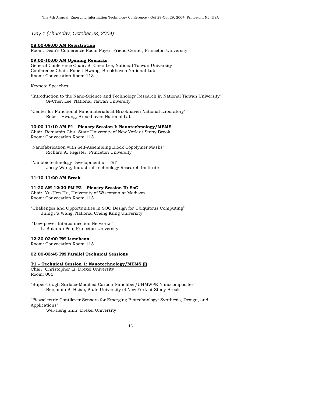## *Day 1 (Thursday, October 28, 2004)*

#### **08:00-09:00 AM Registration**

Room: Dean's Conference Room Foyer, Friend Center, Princeton University

#### **09:00-10:00 AM Opening Remarks**

General Conference Chair: Si-Chen Lee, National Taiwan University Conference Chair: Robert Hwang, Brookhaven National Lab Room: Convocation Room 113

Keynote Speeches:

"Introduction to the Nano-Science and Technology Research in National Taiwan University" Si-Chen Lee, National Taiwan University

"Center for Functional Nanomaterials at Brookhaven National Laboratory" Robert Hwang, Brookhaven National Lab

#### **10:00-11:10 AM P1 - Plenary Session I: Nanotechnology/MEMS**

Chair: Benjamin Chu, State University of New York at Stony Brook Room: Convocation Room 113

"Nanobiotechnology Development at ITRI" Jassy Wang, Industrial Technology Research Institute

## **11:10-11:20 AM Break**

#### **11:20 AM-12:30 PM P2 – Plenary Session II: SoC**

Chair: Yu-Hen Hu, University of Wisconsin at Madison Room: Convocation Room 113

"Challenges and Opportunities in SOC Design for Ubiquitous Computing" Jhing Fa Wang, National Cheng Kung University

 "Low-power Interconnection Networks" Li-Shiauan Peh, Princeton University

#### **12:30-02:00 PM Luncheon**

Room: Convocation Room 113

#### **02:00-03:45 PM Parallel Technical Sessions**

#### **T1 – Technical Session 1: Nanotechnology/MEMS (I)**

Chair: Christopher Li, Drexel University Room: 006

"Super-Tough Surface-Modified Carbon Nanofiber/UHMWPE Nanocomposites" Benjamin S. Hsiao, State University of New York at Stony Brook

"Piezoelectric Cantilever Sensors for Emerging Biotechnology: Synthesis, Design, and Applications"

Wei-Heng Shih, Drexel University

<sup>&</sup>quot;Nanofabrication with Self-Assembling Block Copolymer Masks" Richard A. Register, Princeton University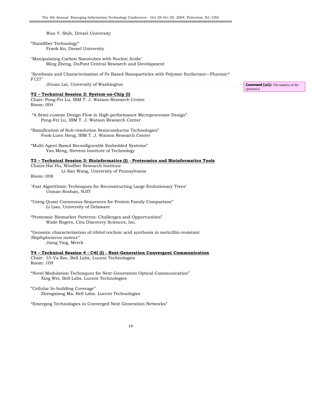Wan Y. Shih, Drexel University

#### "Nanofiber Technology"

Frank Ko, Drexel University

"Manipulating Carbon Nanotubes with Nucleic Acids" Ming Zheng, DuPont Central Research and Development

"Synthesis and Characterization of Fe Based Nanoparticles with Polymer Surfactant—Pluronic® F127"

Jriuan Lai, University of Washington

#### **T2 – Technical Session 2: System-on-Chip (I)**

Chair: Pong-Fei Lu, IBM T. J. Watson Research Center Room: 004

"A Semi-custom Design Flow in High-performance Microprocessor Design" Pong-Fei Lu, IBM T. J. Watson Research Center

"Ramification of Sub-resolution Semiconductor Technologies" Fook-Luen Heng, IBM T. J. Watson Research Center

"Multi-Agent Based Reconfigurable Embedded Systems" Yan Meng, Stevens Institute of Technology

#### **T3 – Technical Session 3: Bioinformatics (I) - Proteomics and Bioinformatics Tools**

Chairs: Hai Hu, Windber Research Institute Li-San Wang, University of Pennsylvania Room: 008

- "Fast Algorithmic Techniques for Reconstructing Large Evolutionary Trees" Usman Roshan, NJIT
- "Using Quasi Consensus Sequences for Protein Family Comparison" Li Liao, University of Delaware
- "Proteomic Biomarker Patterns: Challenges and Opportunities" Wade Rogers, Cira Discovery Sciences, Inc.

"Genomic characterization of ribitol teichoic acid synthesis in meticillin-resistant *Staphylococcus aureus"*  Jiang Ying, Merck

**T4 – Technical Session 4 : C4I (I) - Next-Generation Convergent Communication** Chair: Ut-Va Koc, Bell Labs, Lucent Technologies

Room: 109

"Novel Modulation Techniques for Next-Generation Optical Communication" Xing Wei, Bell Labs. Lucent Technologies

"Cellular In-building Coverage" Zhengxiang Ma, Bell Labs. Lucent Technologies

"Emerging Technologies in Converged Next Generation Networks"

**Comment [u1]:** The name(s) of the speaker(s).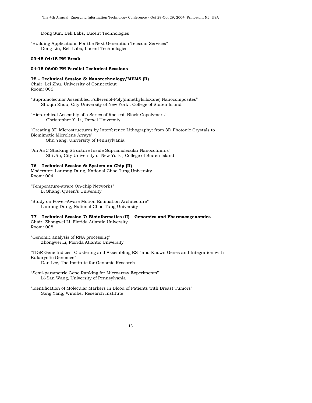Dong Sun, Bell Labs, Lucent Technologies

"Building Applications For the Next Generation Telecom Services" Dong Liu, Bell Labs, Lucent Technologies

#### **03:45-04:15 PM Break**

#### **04:15-06:00 PM Parallel Technical Sessions**

#### **T5 – Technical Session 5: Nanotechnology/MEMS (II)**

Chair: Lei Zhu, University of Connecticut Room: 006

"Supramolecular Assembled Fullerenol-Poly(dimethylsiloxane) Nanocomposites" Shuqin Zhou, City University of New York , College of Staten Island

"Hierarchical Assembly of a Series of Rod-coil Block Copolymers" Christopher Y. Li, Drexel University

"Creating 3D Microstructures by Interference Lithography: from 3D Photonic Crystals to Biomimetic Microlens Arrays" Shu Yang, University of Pennsylvania

"An ABC Stacking Structure Inside Supramolecular Nanocolumns" Shi Jin, City University of New York , College of Staten Island

#### **T6 – Technical Session 6: System-on-Chip (II)**

Moderator: Lanrong Dung, National Chao Tung University Room: 004

"Temperature-aware On-chip Networks" Li Shang, Queen's University

"Study on Power-Aware Motion Estimation Architecture" Lanrong Dung, National Chao Tung University

#### **T7 – Technical Session 7: Bioinformatics (II) – Genomics and Pharmacogenomics**

Chair: Zhongwei Li, Florida Atlantic University Room: 008

"Genomic analysis of RNA processing" Zhongwei Li, Florida Atlantic University

"TIGR Gene Indices: Clustering and Assembling EST and Known Genes and Integration with Eukaryotic Genomes" Dan Lee, The Institute for Genomic Research

"Semi-parametric Gene Ranking for Microarray Experiments" Li-San Wang, University of Pennsylvania

"Identification of Molecular Markers in Blood of Patients with Breast Tumors" Song Yang, Windber Research Institute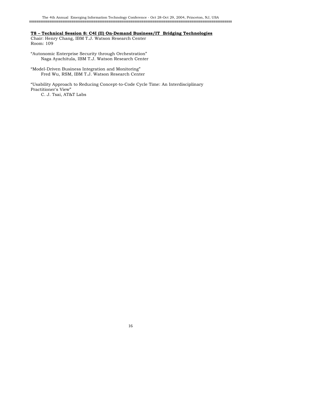**T8 – Technical Session 8: C4I (II) On-Demand Business/IT Bridging Technologies** Chair: Henry Chang, IBM T.J. Watson Research Center

Room: 109

"Autonomic Enterprise Security through Orchestration" Naga Ayachitula, IBM T.J. Watson Research Center

"Model-Driven Business Integration and Monitoring" Fred Wu, RSM, IBM T.J. Watson Research Center

"Usability Approach to Reducing Concept-to-Code Cycle Time: An Interdisciplinary Practitioner's View" C. J. Tsai, AT&T Labs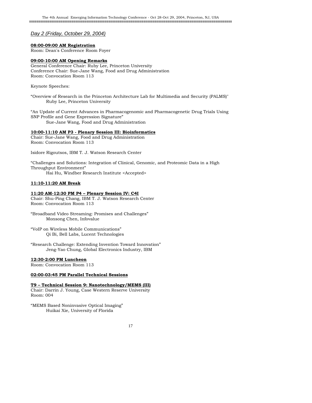## *Day 2 (Friday, October 29, 2004)*

#### **08:00-09:00 AM Registration**

Room: Dean's Conference Room Foyer

#### **09:00-10:00 AM Opening Remarks**

General Conference Chair: Ruby Lee, Princeton University Conference Chair: Sue-Jane Wang, Food and Drug Administration Room: Convocation Room 113

Keynote Speeches:

"Overview of Research in the Princeton Architecture Lab for Multimedia and Security (PALMS)" Ruby Lee, Princeton University

"An Update of Current Advances in Pharmacogenomic and Pharmacogenetic Drug Trials Using SNP Profile and Gene Expression Signature"

Sue-Jane Wang, Food and Drug Administration

#### **10:00-11:10 AM P3 - Plenary Session III: Bioinformatics**

Chair: Sue-Jane Wang, Food and Drug Administration Room: Convocation Room 113

Isidore Rigoutsos, IBM T. J. Watson Research Center

"Challenges and Solutions: Integration of Clinical, Genomic, and Proteomic Data in a High Throughput Environment"

Hai Hu, Windber Research Institute <Accepted>

## **11:10-11:20 AM Break**

### **11:20 AM-12:30 PM P4 – Plenary Session IV: C4I**

Chair: Shu-Ping Chang, IBM T. J. Watson Research Center Room: Convocation Room 113

"Broadband Video Streaming: Promises and Challenges" Monsong Chen, Infovalue

"Research Challenge: Extending Invention Toward Innovation" Jeng-Yao Chung, Global Electronics Industry, IBM

## **12:30-2:00 PM Luncheon**

Room: Convocation Room 113

## **02:00-03:45 PM Parallel Technical Sessions**

**T9 – Technical Session 9: Nanotechnology/MEMS (III)**

Chair: Darrin J. Young, Case Western Reserve University Room: 004

"MEMS Based Noninvasive Optical Imaging" Huikai Xie, University of Florida

<sup>&</sup>quot;VoIP on Wireless Mobile Communications" Qi Bi, Bell Labs, Lucent Technologies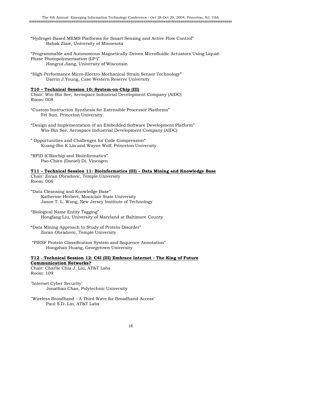"Hydrogel-Based MEMS Platforms for Smart Sensing and Active Flow Control" Babak Ziaie, University of Minnesota

"Programmable and Autonomous Magnetically-Driven Microfluidic Actuators Using Liquid-Phase Photopolymerization (LP3)" Hongrui Jiang, University of Wisconsin

"High-Performance Micro-Electro-Mechanical Strain Sensor Technology" Darrin J.Young, Case Western Reserve University

#### **T10 – Technical Session 10: System-on-Chip (III)**

Chair: Win-Bin See, Aerospace Industrial Development Company (AIDC) Room: 008

"Custom Instruction Synthesis for Extensible Processor Platforms" Fei Sun, Princeton University

- "Design and Implementation of an Embedded Software Development Platform" Win-Bin See, Aerospace Industrial Development Company (AIDC)
- " Opportunities and Challenges for Code Compression" Kuang-Bin K Lin and Wayne Wolf, Princeton University
- "RFID ICBiochip and Bioinformatics" Pao-Chien (Daniel) Di, Vincogen

**T11 – Technical Session 11: Bioinformatics (III) – Data Mining and Knowledge Base** Chair: Zoran Obradovic, Temple University Room: 006

- "Data Cleansing and Knowledge Base" Katherine Herbert, Montclair State University Jason T. L. Wang, New Jersey Institute of Technology
- "Biological Name Entity Tagging" Hongfang Liu, University of Maryland at Baltimore County

"Data Mining Approach to Study of Protein Disorder" Zoran Obradovic, Temple University

 "PIRSF Protein Classification System and Sequence Annotation" Hongzhan Huang, Georgetown University

## **T12 - Technical Session 12: C4I (III) Embrace Internet - The King of Future Communication Networks?**

Chair: Charlie Chia J. Liu, AT&T Labs Room: 109

"Internet Cyber Security" Jonathan Chao, Polytechnic University

"Wireless Broadband - A Third Wave for Broadband Access" Paul S.D. Lin, AT&T Labs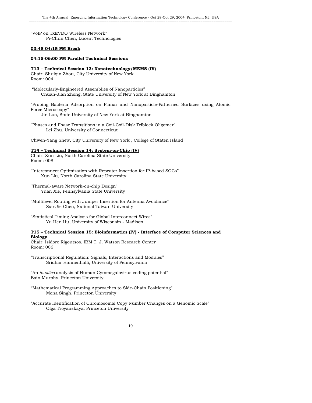"VoIP on 1xEVDO Wireless Network" Pi-Chun Chen, Lucent Technologies

### **03:45-04:15 PM Break**

#### **04:15-06:00 PM Parallel Technical Sessions**

#### **T13 – Technical Session 13: Nanotechnology/MEMS (IV)**

Chair: Shuiqin Zhou, City University of New York Room: 004

 "Molecularly-Engineered Assemblies of Nanoparticles" Chuan-Jian Zhong, State University of New York at Binghamton

"Probing Bacteria Adsorption on Planar and Nanoparticle-Patterned Surfaces using Atomic Force Microscopy"

Jin Luo, State University of New York at Binghamton

"Phases and Phase Transitions in a Coil-Coil-Disk Triblock Oligomer" Lei Zhu, University of Connecticut

Chwen-Yang Shew, City University of New York , College of Staten Island

#### **T14 – Technical Session 14: System-on-Chip (IV)**

Chair: Xun Liu, North Carolina State University Room: 008

"Interconnect Optimization with Repeater Insertion for IP-based SOCs" Xun Liu, North Carolina State University

"Thermal-aware Network-on-chip Design" Yuan Xie, Pennsylvania State University

"Multilevel Routing with Jumper Insertion for Antenna Avoidance" Sao-Jie Chen, National Taiwan University

"Statistical Timing Analysis for Global Interconnect Wires" Yu Hen Hu, University of Wisconsin - Madison

### **T15 – Technical Session 15: Bioinformatics (IV) - Interface of Computer Sciences and Biology**

Chair: Isidore Rigoutsos, IBM T. J. Watson Research Center Room: 006

"Transcriptional Regulation: Signals, Interactions and Modules" Sridhar Hannenhalli, University of Pennsylvania

"An *in silico* analysis of Human Cytomegalovirus coding potential" Eain Murphy, Princeton University

"Mathematical Programming Approaches to Side-Chain Positioning" Mona Singh, Princeton University

"Accurate Identification of Chromosomal Copy Number Changes on a Genomic Scale" Olga Troyanskaya, Princeton University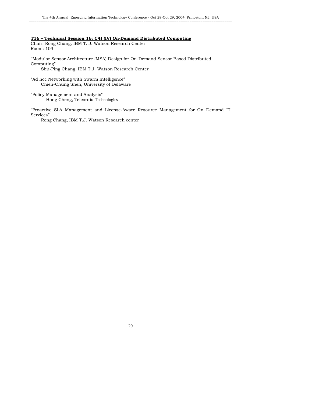## **T16 – Technical Session 16: C4I (IV) On-Demand Distributed Computing**

Chair: Rong Chang, IBM T. J. Watson Research Center Room: 109

"Modular Sensor Architecture (MSA) Design for On-Demand Sensor Based Distributed Computing" Shu-Ping Chang, IBM T.J. Watson Research Center

"Ad hoc Networking with Swarm Intelligence" Chien-Chung Shen, University of Delaware

"Policy Management and Analysis" Hong Cheng, Telcordia Technologies

"Proactive SLA Management and License-Aware Resource Management for On Demand IT Services"

Rong Chang, IBM T.J. Watson Research center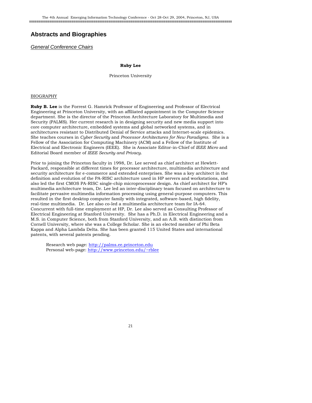## **Abstracts and Biographies**

## *General Conference Chairs*

#### **Ruby Lee**

Princeton University

#### BIOGRAPHY

**Ruby B. Lee** is the Forrest G. Hamrick Professor of Engineering and Professor of Electrical Engineering at Princeton University, with an affiliated appointment in the Computer Science department. She is the director of the Princeton Architecture Laboratory for Multimedia and Security (PALMS). Her current research is in designing security and new media support into core computer architecture, embedded systems and global networked systems, and in architectures resistant to Distributed Denial of Service attacks and Internet-scale epidemics. She teaches courses in *Cyber Security* and *Processor Architectures for New Paradigms*. She is a Fellow of the Association for Computing Machinery (ACM) and a Fellow of the Institute of Electrical and Electronic Engineers (IEEE). She is Associate Editor-in-Chief of *IEEE Micro* and Editorial Board member of *IEEE Security and Privacy*.

Prior to joining the Princeton faculty in 1998, Dr. Lee served as chief architect at Hewlett-Packard, responsible at different times for processor architecture, multimedia architecture and security architecture for e-commerce and extended enterprises. She was a key architect in the definition and evolution of the PA-RISC architecture used in HP servers and workstations, and also led the first CMOS PA-RISC single-chip microprocessor design. As chief architect for HP's multimedia architecture team, Dr. Lee led an inter-disciplinary team focused on architecture to facilitate pervasive multimedia information processing using general-purpose computers. This resulted in the first desktop computer family with integrated, software-based, high fidelity, real-time multimedia. Dr. Lee also co-led a multimedia architecture team for IA-64. Concurrent with full-time employment at HP, Dr. Lee also served as Consulting Professor of Electrical Engineering at Stanford University. She has a Ph.D. in Electrical Engineering and a M.S. in Computer Science, both from Stanford University, and an A.B. with distinction from Cornell University, where she was a College Scholar. She is an elected member of Phi Beta Kappa and Alpha Lambda Delta. She has been granted 115 United States and international patents, with several patents pending.

Research web page: http://palms.ee.princeton.edu Personal web-page: http://www.princeton.edu/~rblee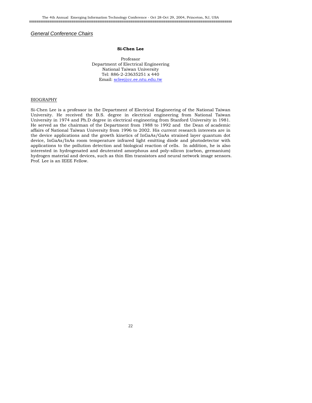## *General Conference Chairs*

#### **Si-Chen Lee**

Professor Department of Electrical Engineering National Taiwan University Tel: 886-2-23635251 x 440 Email: sclee@cc.ee.ntu.edu.tw

#### BIOGRAPHY

Si-Chen Lee is a professor in the Department of Electrical Engineering of the National Taiwan University. He received the B.S. degree in electrical engineering from National Taiwan University in 1974 and Ph.D degree in electrical engineering from Stanford University in 1981. He served as the chairman of the Department from 1988 to 1992 and the Dean of academic affairs of National Taiwan University from 1996 to 2002. His current research interests are in the device applications and the growth kinetics of InGaAs/GaAs strained layer quantum dot device, InGaAs/InAs room temperature infrared light emitting diode and photodetector with applications to the pollution detection and biological reaction of cells. In addition, he is also interested in hydrogenated and deuterated amorphous and poly-silicon (carbon, germanium) hydrogen material and devices, such as thin film transistors and neural network image sensors. Prof. Lee is an IEEE Fellow.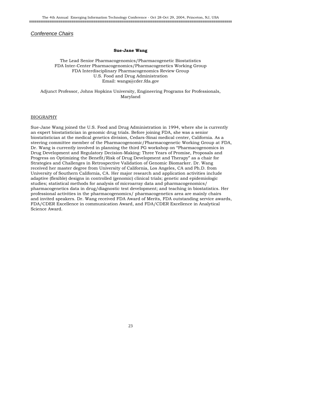## *Conference Chairs*

#### **Sue-Jane Wang**

The Lead Senior Pharmacogenomics/Pharmacogenetic Biostatistics FDA Inter-Center Pharmacogenomics/Pharmacogenetics Working Group FDA Interdisciplinary Pharmacogenomics Review Group U.S. Food and Drug Administration Email: wangs@cder.fda.gov

Adjunct Professor, Johns Hopkins University, Engineering Programs for Professionals, Maryland

#### BIOGRAPHY

Sue-Jane Wang joined the U.S. Food and Drug Administration in 1994, where she is currently an expert biostatistician in genomic drug trials. Before joining FDA, she was a senior biostatistician at the medical genetics division, Cedars-Sinai medical center, California. As a steering committee member of the Pharmacogenomic/Pharmacogenetic Working Group at FDA, Dr. Wang is currently involved in planning the third PG workshop on "Pharmacogenomics in Drug Development and Regulatory Decision-Making: Three Years of Promise, Proposals and Progress on Optimizing the Benefit/Risk of Drug Development and Therapy" as a chair for Strategies and Challenges in Retrospective Validation of Genomic Biomarker. Dr. Wang received her master degree from University of California, Los Angeles, CA and Ph.D. from University of Southern California, CA. Her major research and application activities include adaptive (flexible) designs in controlled (genomic) clinical trials; genetic and epidemiologic studies; statistical methods for analysis of microarray data and pharmacogenomics/ pharmacogenetics data in drug/diagnostic test development; and teaching in biostatistics. Her professional activities in the pharmacogenomics/ pharmacogenetics area are mainly chairs and invited speakers. Dr. Wang received FDA Award of Merits, FDA outstanding service awards, FDA/CDER Excellence in communication Award, and FDA/CDER Excellence in Analytical Science Award.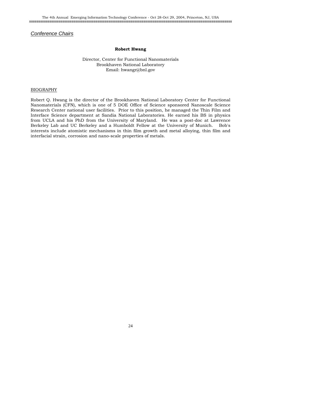## *Conference Chairs*

#### **Robert Hwang**

Director, Center for Functional Nanomaterials Brookhaven National Laboratory Email: hwangr@bnl.gov

### BIOGRAPHY

Robert Q. Hwang is the director of the Brookhaven National Laboratory Center for Functional Nanomaterials (CFN), which is one of 5 DOE Office of Science sponsored Nanoscale Science Research Center national user facilities. Prior to this position, he managed the Thin Film and Interface Science department at Sandia National Laboratories. He earned his BS in physics from UCLA and his PhD from the University of Maryland. He was a post-doc at Lawrence Berkeley Lab and UC Berkeley and a Humboldt Fellow at the University of Munich. Bob's interests include atomistic mechanisms in thin film growth and metal alloying, thin film and interfacial strain, corrosion and nano-scale properties of metals.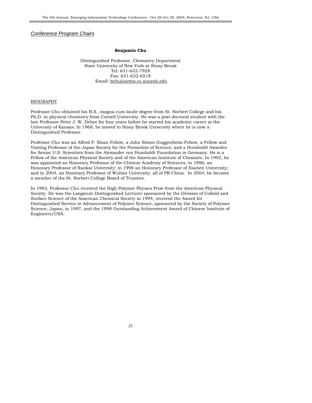#### **Benjamin Chu**

Distinguished Professor, Chemistry Department State University of New York at Stony Brook Tel: 631-632-7928 Fax: 631-632-6518 Email: bchu@notes.cc.sunysb.edu

#### BIOGRAPHY

Professor Chu obtained his B.S., magna cum laude degree from St. Norbert College and his Ph.D. in physical chemistry from Cornell University. He was a post-doctoral student with the late Professor Peter J. W. Debye for four years before he started his academic career at the University of Kansas. In 1968, he moved to Stony Brook University where he is now a Distinguished Professor.

Professor Chu was an Alfred P. Sloan Fellow, a John Simon Guggenheim Fellow, a Fellow and Visiting Professor of the Japan Society for the Promotion of Science, and a Humboldt Awardee for Senior U.S. Scientists from the Alexander von Humboldt Foundation in Germany. He is a Fellow of the American Physical Society and of the American Institute of Chemists. In 1992, he was appointed an Honorary Professor of the Chinese Academy of Sciences; in 1996, an Honorary Professor of Nankai University; in 1998 an Honorary Professor of Xiamen University; and in 2004, an Honorary Professor of Wuhan University, all of PR China. In 2004, he became a member of the St. Norbert College Board of Trustees.

In 1993, Professor Chu received the High Polymer Physics Prize from the American Physical Society. He was the Langmuir Distinguished Lecturer sponsored by the Division of Colloid and Surface Science of the American Chemical Society in 1994, received the Award for Distinguished Service in Advancement of Polymer Science, sponsored by the Society of Polymer Science, Japan, in 1997, and the 1998 Outstanding Achievement Award of Chinese Institute of Engineers/USA.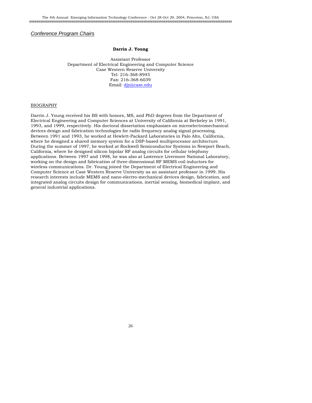#### **Darrin J. Young**

Assistant Professor Department of Electrical Engineering and Computer Science Case Western Reserve University Tel: 216-368-8945 Fax: 216-368-6039 Email: djy@case.edu

#### BIOGRAPHY

Darrin J. Young received his BS with honors, MS, and PhD degrees from the Department of Electrical Engineering and Computer Sciences at University of California at Berkeley in 1991, 1993, and 1999, respectively. His doctoral dissertation emphasizes on microelectromechanical devices design and fabrication technologies for radio frequency analog signal processing. Between 1991 and 1993, he worked at Hewlett-Packard Laboratories in Palo Alto, California, where he designed a shared memory system for a DSP-based multiprocessor architecture. During the summer of 1997, he worked at Rockwell Semiconductor Systems in Newport Beach, California, where he designed silicon bipolar RF analog circuits for cellular telephony applications. Between 1997 and 1998, he was also at Lawrence Livermore National Laboratory, working on the design and fabrication of three-dimensional RF MEMS coil inductors for wireless communications. Dr. Young joined the Department of Electrical Engineering and Computer Science at Case Western Reserve University as an assistant professor in 1999. His research interests include MEMS and nano-electro-mechanical devices design, fabrication, and integrated analog circuits design for communications, inertial sensing, biomedical implant, and general industrial applications.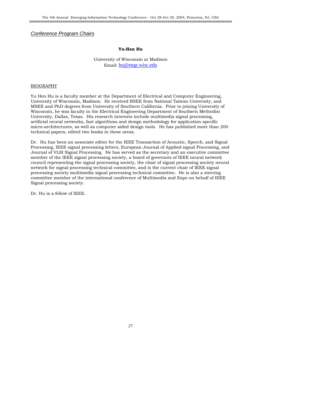## **Yu-Hen Hu**

## University of Wisconsin at Madison Email: hu@engr.wisc.edu

#### BIOGRAPHY

Yu Hen Hu is a faculty member at the Department of Electrical and Computer Engineering, University of Wisconsin, Madison. He received BSEE from National Taiwan University, and MSEE and PhD degrees from University of Southern California. Prior to joining University of Wisconsin, he was faculty in the Electrical Engineering Department of Southern Methodist University, Dallas, Texas. His research interests include multimedia signal processing, artificial neural networks, fast algorithms and design methodology for application specific micro-architectures, as well as computer aided design tools. He has published more than 200 technical papers, edited two books in these areas.

Dr. Hu has been an associate editor for the IEEE Transaction of Acoustic, Speech, and Signal Processing, IEEE signal processing letters, European Journal of Applied signal Processing, and Journal of VLSI Signal Processing. He has served as the secretary and an executive committee member of the IEEE signal processing society, a board of governors of IEEE neural network council representing the signal processing society, the chair of signal processing society neural network for signal processing technical committee, and is the current chair of IEEE signal processing society multimedia signal processing technical committee. He is also a steering committee member of the international conference of Multimedia and Expo on behalf of IEEE Signal processing society.

Dr. Hu is a fellow of IEEE.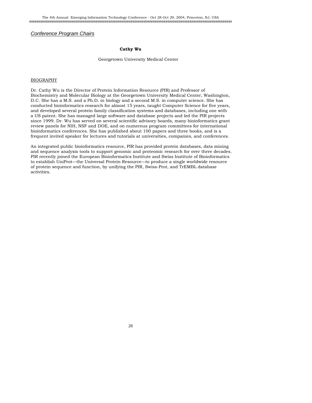#### **Cathy Wu**

#### Georgetown University Medical Center

### BIOGRAPHY

Dr. Cathy Wu is the Director of Protein Information Resource (PIR) and Professor of Biochemistry and Molecular Biology at the Georgetown University Medical Center, Washington, D.C. She has a M.S. and a Ph.D. in biology and a second M.S. in computer science. She has conducted bioinformatics research for almost 15 years, taught Computer Science for five years, and developed several protein family classification systems and databases, including one with a US patent. She has managed large software and database projects and led the PIR projects since 1999. Dr. Wu has served on several scientific advisory boards, many bioinformatics grant review panels for NIH, NSF and DOE, and on numerous program committees for international bioinformatics conferences. She has published about 100 papers and three books, and is a frequent invited speaker for lectures and tutorials at universities, companies, and conferences.

An integrated public bioinformatics resource, PIR has provided protein databases, data mining and sequence analysis tools to support genomic and proteomic research for over three decades. PIR recently joined the European Bioinformatics Institute and Swiss Institute of Bioinformatics to establish UniProt––the Universal Protein Resource––to produce a single worldwide resource of protein sequence and function, by unifying the PIR, Swiss-Prot, and TrEMBL database activities.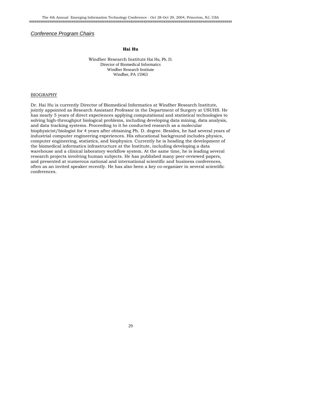#### **Hai Hu**

Windber Research Institute Hai Hu, Ph. D. Director of Biomedical Informatics Windber Research Institute Windber, PA 15963

### BIOGRAPHY

Dr. Hai Hu is currently Director of Biomedical Informatics at Windber Research Institute, jointly appointed as Research Assistant Professor in the Department of Surgery at USUHS. He has nearly 5 years of direct experiences applying computational and statistical technologies to solving high-throughput biological problems, including developing data mining, data analysis, and data tracking systems. Proceeding to it he conducted research as a molecular biophysicist/biologist for 4 years after obtaining Ph. D. degree. Besides, he had several years of industrial computer engineering experiences. His educational background includes physics, computer engineering, statistics, and biophysics. Currently he is heading the development of the biomedical informatics infrastructure at the Institute, including developing a data warehouse and a clinical laboratory workflow system. At the same time, he is leading several research projects involving human subjects. He has published many peer-reviewed papers, and presented at numerous national and international scientific and business conferences, often as an invited speaker recently. He has also been a key co-organizer in several scientific conferences.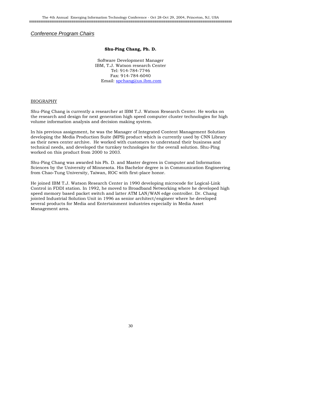#### **Shu-Ping Chang, Ph. D.**

Software Development Manager IBM, T.J. Watson research Center Tel: 914-784-7746 Fax: 914-784-6040 Email: spchang@us.ibm.com

#### BIOGRAPHY

Shu-Ping Chang is currently a researcher at IBM T.J. Watson Research Center. He works on the research and design for next generation high speed computer cluster technologies for high volume information analysis and decision making system.

In his previous assignment, he was the Manager of Integrated Content Management Solution developing the Media Production Suite (MPS) product which is currently used by CNN Library as their news center archive. He worked with customers to understand their business and technical needs, and developed the turnkey technologies for the overall solution. Shu-Ping worked on this product from 2000 to 2003.

Shu-Ping Chang was awarded his Ph. D. and Master degrees in Computer and Information Sciences by the University of Minnesota. His Bachelor degree is in Communication Engineering from Chao-Tung University, Taiwan, ROC with first-place honor.

He joined IBM T.J. Watson Research Center in 1990 developing microcode for Logical-Link Control in FDDI station. In 1992, he moved to Broadband Networking where he developed high speed memory based packet switch and latter ATM LAN/WAN edge controller. Dr. Chang jointed Industrial Solution Unit in 1996 as senior architect/engineer where he developed several products for Media and Entertainment industries especially in Media Asset Management area.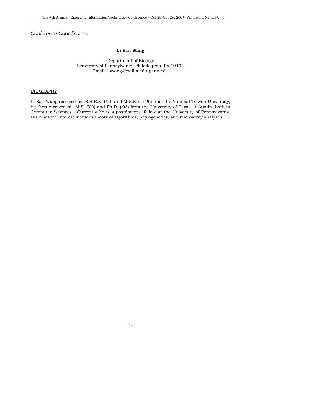## *Conference Coordinators*

## **Li-San Wang**

Department of Biology University of Pennsylvania, Philadelphia, PA 19104 Email: lswang@mail.med.upenn.edu

## BIOGRAPHY

Li-San Wang received his B.S.E.E. ('94) and M.S.E.E. ('96) from the National Taiwan University; he then received his M.S. ('00) and Ph.D. ('03) from the University of Texas at Austin, both in Computer Sciences. Currently he is a postdoctoral fellow at the University of Pennsylvania. His research interest includes theory of algorithms, phylogenetics, and microarray analyses.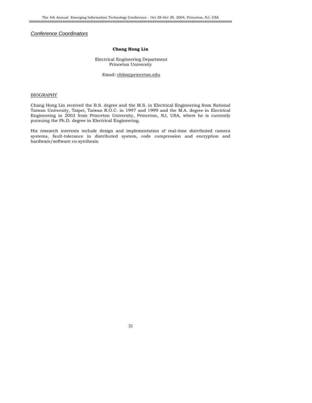## *Conference Coordinators*

## **Chang Hong Lin**

 Electrical Engineering Department Princeton University

Email: chlin@princeton.edu

## BIOGRAPHY

Chang Hong Lin received the B.S. degree and the M.S. in Electrical Engineering from National Taiwan University, Taipei, Taiwan R.O.C. in 1997 and 1999 and the M.A. degree in Electrical Engineering in 2003 from Princeton University, Princeton, NJ, USA, where he is currently pursuing the Ph.D. degree in Electrical Engineering.

His research interests include design and implementation of real-time distributed camera systems, fault-tolerance in distributed system, code compression and encryption and hardware/software co-synthesis.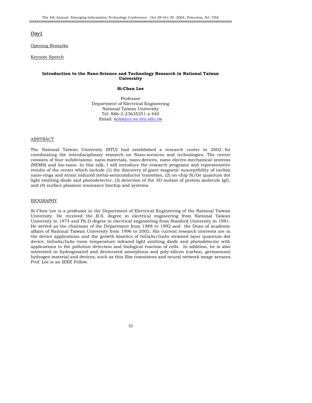*Day1*

Opening Remarks

Keynote Speech

### **Introduction to the Nano-Science and Technology Research in National Taiwan University**

#### **Si-Chen Lee**

Professor Department of Electrical Engineering National Taiwan University Tel: 886-2-23635251 x 440 Email: sclee@cc.ee.ntu.edu.tw

#### ABSTRACT

The National Taiwan University (NTU) had established a research center in 2002 for coordinating the interdisciplinary research on Nano-sceinces and technologies. The center consists of four subdivisions: nano-materials, nano-devices, nano electro-mechanical systems (NEMS) and bio-nano. In this talk, I will introduce the research programs and representative results of the center which include (1) the discovery of giant magnetic susceptibility of carbon nano-rings and strain induced metal-semiconductor transition, (2) on-chip Si/Ge quantum dot light emitting diode and photodetector, (3) detection of the 3D motion of protein molecule IgG, and (4) surface plasmon resonance biochip and systems.

#### BIOGRAPHY

Si-Chen Lee is a professor in the Department of Electrical Engineering of the National Taiwan University. He received the B.S. degree in electrical engineering from National Taiwan University in 1974 and Ph.D degree in electrical engineering from Stanford University in 1981. He served as the chairman of the Department from 1988 to 1992 and the Dean of academic affairs of National Taiwan University from 1996 to 2002. His current research interests are in the device applications and the growth kinetics of InGaAs/GaAs strained layer quantum dot device, InGaAs/InAs room temperature infrared light emitting diode and photodetector with applications to the pollution detection and biological reaction of cells. In addition, he is also interested in hydrogenated and deuterated amorphous and poly-silicon (carbon, germanium) hydrogen material and devices, such as thin film transistors and neural network image sensors. Prof. Lee is an IEEE Fellow.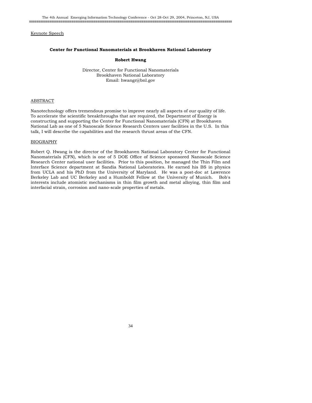#### Keynote Speech

#### **Center for Functional Nanomaterials at Brookhaven National Laboratory**

#### **Robert Hwang**

Director, Center for Functional Nanomaterials Brookhaven National Laboratory Email: hwangr@bnl.gov

#### ABSTRACT

Nanotechnology offers tremendous promise to improve nearly all aspects of our quality of life. To accelerate the scientific breakthroughs that are required, the Department of Energy is constructing and supporting the Center for Functional Nanomaterials (CFN) at Brookhaven National Lab as one of 5 Nanoscale Science Research Centers user facilities in the U.S. In this talk, I will describe the capabilities and the research thrust areas of the CFN.

#### BIOGRAPHY

Robert Q. Hwang is the director of the Brookhaven National Laboratory Center for Functional Nanomaterials (CFN), which is one of 5 DOE Office of Science sponsored Nanoscale Science Research Center national user facilities. Prior to this position, he managed the Thin Film and Interface Science department at Sandia National Laboratories. He earned his BS in physics from UCLA and his PhD from the University of Maryland. He was a post-doc at Lawrence Berkeley Lab and UC Berkeley and a Humboldt Fellow at the University of Munich. Bob's interests include atomistic mechanisms in thin film growth and metal alloying, thin film and interfacial strain, corrosion and nano-scale properties of metals.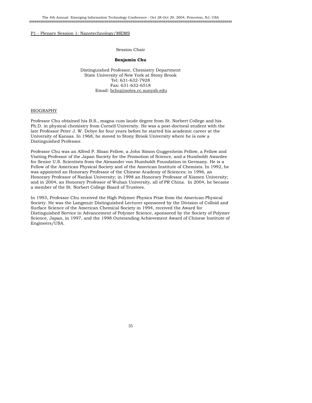#### P1 - Plenary Session 1: Nanotechnology/MEMS

Session Chair

#### **Benjamin Chu**

Distinguished Professor, Chemistry Department State University of New York at Stony Brook Tel: 631-632-7928 Fax: 631-632-6518 Email: bchu@notes.cc.sunysb.edu

#### BIOGRAPHY

Professor Chu obtained his B.S., magna cum laude degree from St. Norbert College and his Ph.D. in physical chemistry from Cornell University. He was a post-doctoral student with the late Professor Peter J. W. Debye for four years before he started his academic career at the University of Kansas. In 1968, he moved to Stony Brook University where he is now a Distinguished Professor.

Professor Chu was an Alfred P. Sloan Fellow, a John Simon Guggenheim Fellow, a Fellow and Visiting Professor of the Japan Society for the Promotion of Science, and a Humboldt Awardee for Senior U.S. Scientists from the Alexander von Humboldt Foundation in Germany. He is a Fellow of the American Physical Society and of the American Institute of Chemists. In 1992, he was appointed an Honorary Professor of the Chinese Academy of Sciences; in 1996, an Honorary Professor of Nankai University; in 1998 an Honorary Professor of Xiamen University; and in 2004, an Honorary Professor of Wuhan University, all of PR China. In 2004, he became a member of the St. Norbert College Board of Trustees.

In 1993, Professor Chu received the High Polymer Physics Prize from the American Physical Society. He was the Langmuir Distinguished Lecturer sponsored by the Division of Colloid and Surface Science of the American Chemical Society in 1994, received the Award for Distinguished Service in Advancement of Polymer Science, sponsored by the Society of Polymer Science, Japan, in 1997, and the 1998 Outstanding Achievement Award of Chinese Institute of Engineers/USA.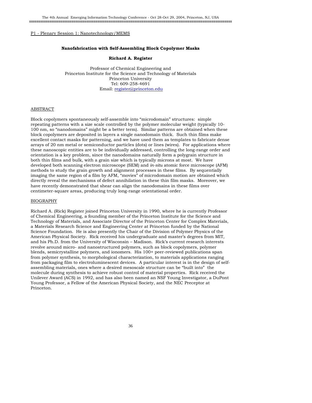#### P1 - Plenary Session 1: Nanotechnology/MEMS

#### **Nanofabrication with Self-Assembling Block Copolymer Masks**

#### **Richard A. Register**

Professor of Chemical Engineering and Princeton Institute for the Science and Technology of Materials Princeton University Tel: 609-258-4691 Email: register@princeton.edu

#### ABSTRACT

Block copolymers spontaneously self-assemble into "microdomain" structures: simple repeating patterns with a size scale controlled by the polymer molecular weight (typically 10- 100 nm, so "nanodomains" might be a better term). Similar patterns are obtained when these block copolymers are deposited in layers a single nanodomain thick. Such thin films make excellent contact masks for patterning, and we have used them as templates to fabricate dense arrays of 20 nm metal or semiconductor particles (dots) or lines (wires). For applications where these nanoscopic entities are to be individually addressed, controlling the long-range order and orientation is a key problem, since the nanodomains naturally form a polygrain structure in both thin films and bulk, with a grain size which is typically microns at most. We have developed both scanning electron microscope (SEM) and *in-situ* atomic force microscope (AFM) methods to study the grain growth and alignment processes in these films. By sequentially imaging the same region of a film by AFM, "movies" of microdomain motion are obtained which directly reveal the mechanisms of defect annihilation in these thin film masks. Moreover, we have recently demonstrated that shear can align the nanodomains in these films over centimeter-square areas, producing truly long-range orientational order.

#### BIOGRAPHY

Richard A. (Rick) Register joined Princeton University in 1990, where he is currently Professor of Chemical Engineering, a founding member of the Princeton Institute for the Science and Technology of Materials, and Associate Director of the Princeton Center for Complex Materials, a Materials Research Science and Engineering Center at Princeton funded by the National Science Foundation. He is also presently the Chair of the Division of Polymer Physics of the American Physical Society. Rick received his undergraduate and master's degrees from MIT, and his Ph.D. from the University of Wisconsin – Madison. Rick's current research interests revolve around micro- and nanostructured polymers, such as block copolymers, polymer blends, semicrystalline polymers, and ionomers. His 100+ peer-reviewed publications span from polymer synthesis, to morphological characterization, to materials applications ranging from packaging film to electroluminescent devices. A particular interest is in the design of selfassembling materials, ones where a desired mesoscale structure can be "built into" the molecule during synthesis to achieve robust control of material properties. Rick received the Unilever Award (ACS) in 1992, and has also been named an NSF Young Investigator, a DuPont Young Professor, a Fellow of the American Physical Society, and the NEC Preceptor at Princeton.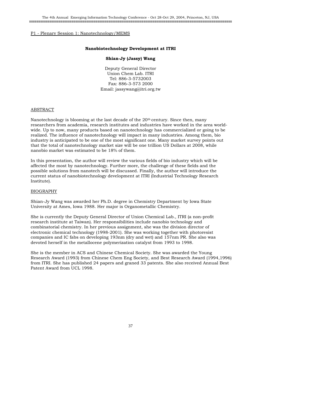#### P1 - Plenary Session 1: Nanotechnology/MEMS

#### **Nanobiotechnology Development at ITRI**

#### **Shian-Jy (Jassy) Wang**

Deputy General Director Union Chem Lab. ITRI Tel: 886-3-5732003 Fax: 886-3-573 2000 Email: jassywang@itri.org.tw

# ABSTRACT

Nanotechnology is blooming at the last decade of the 20th century. Since then, many researchers from academia, research institutes and industries have worked in the area worldwide. Up to now, many products based on nanotechnology has commercialized or going to be realized. The influence of nanotechnology will impact in many industries. Among them, bio industry is anticipated to be one of the most significant one. Many market survey points out that the total of nanotechnology market size will be one trillion US Dollars at 2008, while nanobio market was estimated to be 18% of them.

In this presentation, the author will review the various fields of bio industry which will be affected the most by nanotechnology. Further more, the challenge of these fields and the possible solutions from nanotech will be discussed. Finally, the author will introduce the current status of nanobiotechnology development at ITRI (Industrial Technology Research Institute).

#### BIOGRAPHY

Shian-Jy Wang was awarded her Ph.D. degree in Chemistry Department by Iowa State University at Ames, Iowa 1988. Her major is Organometallic Chemistry.

She is currently the Deputy General Director of Union Chemical Lab., ITRI (a non-profit research institute at Taiwan). Her responsibilities include nanobio technology and combinatorial chemistry. In her previous assignment, she was the division director of electronic chemical technology (1998-2001). She was working together with photoresist companies and IC fabs on developing 193nm (dry and wet) and 157nm PR. She also was devoted herself in the metallocene polymerization catalyst from 1993 to 1998.

She is the member in ACS and Chinese Chemical Society. She was awarded the Young Research Award (1993) from Chinese Chem Eng Society, and Best Research Award (1994,1996) from ITRI. She has published 24 papers and graned 33 patents. She also received Annual Best Patent Award from UCL 1998.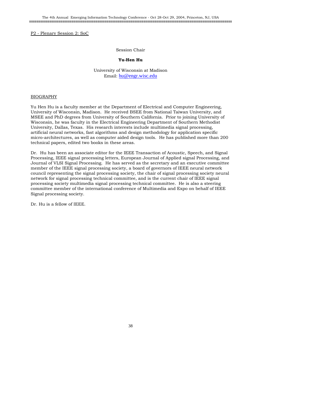#### P2 - Plenary Session 2: SoC

### Session Chair

# **Yu-Hen Hu**

University of Wisconsin at Madison Email: hu@engr.wisc.edu

#### BIOGRAPHY

Yu Hen Hu is a faculty member at the Department of Electrical and Computer Engineering, University of Wisconsin, Madison. He received BSEE from National Taiwan University, and MSEE and PhD degrees from University of Southern California. Prior to joining University of Wisconsin, he was faculty in the Electrical Engineering Department of Southern Methodist University, Dallas, Texas. His research interests include multimedia signal processing, artificial neural networks, fast algorithms and design methodology for application specific micro-architectures, as well as computer aided design tools. He has published more than 200 technical papers, edited two books in these areas.

Dr. Hu has been an associate editor for the IEEE Transaction of Acoustic, Speech, and Signal Processing, IEEE signal processing letters, European Journal of Applied signal Processing, and Journal of VLSI Signal Processing. He has served as the secretary and an executive committee member of the IEEE signal processing society, a board of governors of IEEE neural network council representing the signal processing society, the chair of signal processing society neural network for signal processing technical committee, and is the current chair of IEEE signal processing society multimedia signal processing technical committee. He is also a steering committee member of the international conference of Multimedia and Expo on behalf of IEEE Signal processing society.

Dr. Hu is a fellow of IEEE.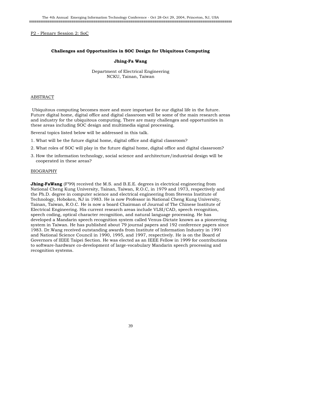#### P2 - Plenary Session 2: SoC

# **Challenges and Opportunities in SOC Design for Ubiquitous Computing**

#### **Jhing-Fa Wang**

Department of Electrical Engineering NCKU, Tainan, Taiwan

#### ABSTRACT

 Ubiquitous computing becomes more and more important for our digital life in the future. Future digital home, digital office and digital classroom will be some of the main research areas and industry for the ubiquitous computing. There are many challenges and opportunities in these areas including SOC design and multimedia signal processing.

Several topics listed below will be addressed in this talk.

- 1. What will be the future digital home, digital office and digital classroom?
- 2. What roles of SOC will play in the future digital home, digital office and digital classroom?
- 3. How the information technology, social science and architecture/industrial design will be cooperated in these areas?

## BIOGRAPHY

**Jhing-FaWang** (F'99) received the M.S. and B.E.E. degrees in electrical engineering from National Cheng Kung University, Tainan, Taiwan, R.O.C, in 1979 and 1973, respectively and the Ph.D. degree in computer science and electrical engineering from Stevens Institute of Technology, Hoboken, NJ in 1983. He is now Professor in National Cheng Kung University, Tainan, Taiwan, R.O.C. He is now a board Chairman of Journal of The Chinese Institute of Electrical Engineering. His current research areas include VLSI/CAD, speech recognition, speech coding, optical character recognition, and natural language processing. He has developed a Mandarin speech recognition system called Venus-Dictate known as a pioneering system in Taiwan. He has published about 79 journal papers and 192 conference papers since 1983. Dr.Wang received outstanding awards from Institute of Information Industry in 1991 and National Science Council in 1990, 1995, and 1997, respectively. He is on the Board of Governors of IEEE Taipei Section. He was elected as an IEEE Fellow in 1999 for contributions to software-hardware co-development of large-vocabulary Mandarin speech processing and recognition systems.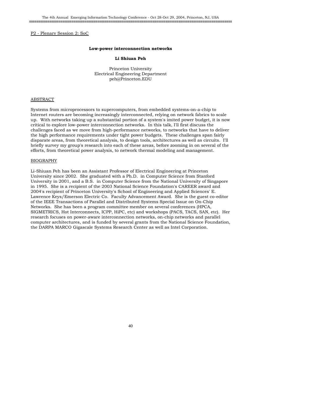#### P2 - Plenary Session 2: SoC

#### **Low-power interconnection networks**

#### **Li Shiuan Peh**

Princeton University Electrical Engineering Department peh@Princeton.EDU

#### ABSTRACT

Systems from microprocessors to supercomputers, from embedded systems-on-a-chip to Internet routers are becoming increasingly interconnected, relying on network fabrics to scale up. With networks taking up a substantial portion of a system's imited power budget, it is now critical to explore low-power interconnection networks. In this talk, I'll first discuss the challenges faced as we move from high-performance networks, to networks that have to deliver the high performance requirements under tight power budgets. These challenges span fairly disparate areas, from theoretical analysis, to design tools, architectures as well as circuits. I'll briefly survey my group's research into each of these areas, before zooming in on several of the efforts, from theoretical power analysis, to network thermal modeling and management.

#### BIOGRAPHY

Li-Shiuan Peh has been an Assistant Professor of Electrical Engineering at Princeton University since 2002. She graduated with a Ph.D. in Computer Science from Stanford University in 2001, and a B.S. in Computer Science from the National University of Singapore in 1995. She is a recipient of the 2003 National Science Foundation's CAREER award and 2004's recipient of Princeton University's School of Engineering and Applied Sciences' E. Lawrence Keys/Emerson Electric Co. Faculty Advancement Award. She is the guest co-editor of the IEEE Transactions of Parallel and Distributed Systems Special Issue on On-Chip Networks. She has been a program committee member on several conferences (HPCA, SIGMETRICS, Hot Interconnects, ICPP, HiPC, etc) and workshops (PACS, TACS, SAN, etc). Her research focuses on power-aware interconnection networks, on-chip networks and parallel computer architectures, and is funded by several grants from the National Science Foundation, the DARPA MARCO Gigascale Systems Research Center as well as Intel Corporation.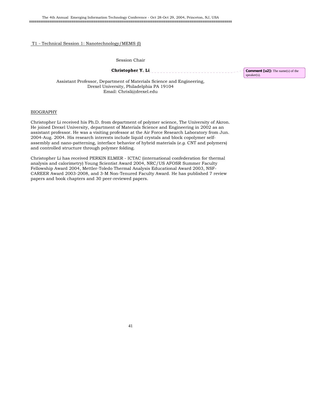Session Chair

**Christopher Y. Li** 

**Comment [u2]:** The name(s) of the speaker(s).

Assistant Professor, Department of Materials Science and Engineering, Drexel University, Philadelphia PA 19104 Email: Chrisli@drexel.edu

# **BIOGRAPHY**

Christopher Li received his Ph.D. from department of polymer science, The University of Akron. He joined Drexel University, department of Materials Science and Engineering in 2002 as an assistant professor. He was a visiting professor at the Air Force Research Laboratory from Jun. 2004-Aug. 2004. His research interests include liquid crystals and block copolymer selfassembly and nano-patterning, interface behavior of hybrid materials (*e.g.* CNT and polymers) and controlled structure through polymer folding.

Christopher Li has received PERKIN ELMER - ICTAC (international confederation for thermal analysis and calorimetry) Young Scientist Award 2004, NRC/US AFOSR Summer Faculty Fellowship Award 2004, Mettler-Toledo Thermal Analysis Educational Award 2003, NSF-CAREER Award 2003-2008, and 3-M Non-Tenured Faculty Award. He has published 7 review papers and book chapters and 30 peer-reviewed papers.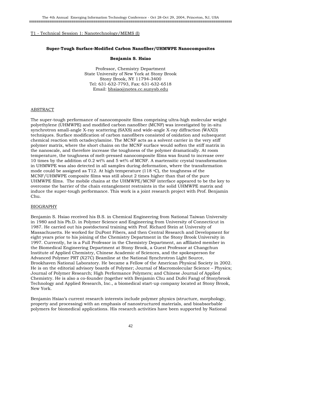#### **Super-Tough Surface-Modified Carbon Nanofiber/UHMWPE Nanocomposites**

#### **Benjamin S. Hsiao**

Professor, Chemistry Department State University of New York at Stony Brook Stony Brook, NY 11794-3400 Tel: 631-632-7793, Fax: 631-632-6518 Email: bhsiao@notes.cc.sunysb.edu

#### ABSTRACT

The super-tough performance of nanocomposite films comprising ultra-high molecular weight polyethylene (UHMWPE) and modified carbon nanofiber (MCNF) was investigated by in-situ synchrotron small-angle X-ray scattering (SAXS) and wide-angle X-ray diffraction (WAXD) techniques. Surface modification of carbon nanofibers consisted of oxidation and subsequent chemical reaction with octadecylamine. The MCNF acts as a solvent carrier in the very stiff polymer matrix, where the short chains on the MCNF surface would soften the stiff matrix in the nanoscale, and therefore increase the toughness of the polymer dramatically. At room temperature, the toughness of melt-pressed nanocomposite films was found to increase over 10 times by the addition of 0.2 wt% and 5 wt% of MCNF. A martensitic crystal transformation in UHMWPE was also detected in all samples during deformation, where the transformation mode could be assigned as T12. At high temperature (118  $\circ$ C), the toughness of the MCNF/UHMWPE composite films was still about 2 times higher than that of the pure UHMWPE films. The mobile chains at the UHMWPE/MCNF interface appeared to be the key to overcome the barrier of the chain entanglement restraints in the solid UHMWPE matrix and induce the super-tough performance. This work is a joint research project with Prof. Benjamin Chu.

#### BIOGRAPHY

Benjamin S. Hsiao received his B.S. in Chemical Engineering from National Taiwan University in 1980 and his Ph.D. in Polymer Science and Engineering from University of Connecticut in 1987. He carried out his postdoctoral training with Prof. Richard Stein at University of Massachusetts. He worked for DuPont Fibers, and then Central Research and Development for eight years prior to his joining of the Chemistry Department in the Stony Brook University in 1997. Currently, he is a Full Professor in the Chemistry Department, an affiliated member in the Biomedical Engineering Department at Stony Brook, a Guest Professor at Changchun Institute of Applied Chemistry, Chinese Academic of Sciences, and the spokesperson for Advanced Polymer PRT (X27C) Beamline at the National Synchrotron Light Source, Brookhaven National Laboratory. He became a Fellow of the American Physical Society in 2002. He is on the editorial advisory boards of Polymer; Journal of Macromolecular Science – Physics; Journal of Polymer Research; High Performance Polymers; and Chinese Journal of Applied Chemistry. He is also a co-founder (together with Benjamin Chu and Dufei Fang) of Stonybrook Technology and Applied Research, Inc., a biomedical start-up company located at Stony Brook, New York.

Benjamin Hsiao's current research interests include polymer physics (structure, morphology, property and processing) with an emphasis of nanostructured materials, and bioabsorbable polymers for biomedical applications. His research activities have been supported by National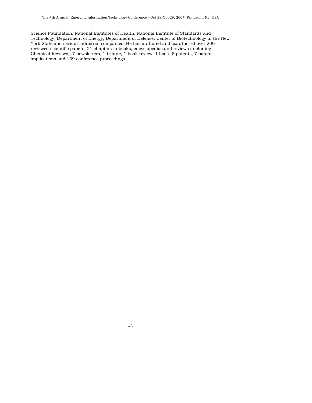Science Foundation, National Institutes of Health, National Institute of Standards and Technology, Department of Energy, Department of Defense, Center of Biotechnology in the New York State and several industrial companies. He has authored and coauthored over 200 reviewed scientific papers, 21 chapters in books, encyclopedias and reviews (including Chemical Reviews), 7 newsletters, 1 tribute, 1 book review, 1 book, 5 patents, 7 patent applications and 139 conference proceedings.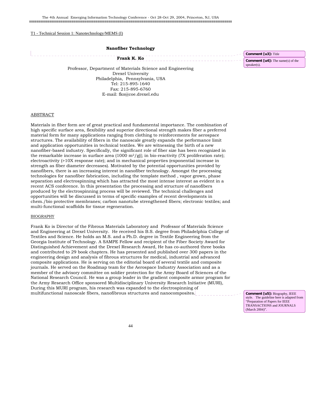**Nanofiber Technology** 

**Frank K. Ko** 

<u> 2222222222</u>

**Comment [u3]:** Title

**Comment [u4]:** The name(s) of the speaker(s).

Professor, Department of Materials Science and Engineering Drexel University Philadelphia, Pennsylvania, USA Tel: 215-895-1640 Fax: 215-895-6760 E-mail: fko@coe.drexel.edu

# ABSTRACT

Materials in fiber form are of great practical and fundamental importance. The combination of high specific surface area, flexibility and superior directional strength makes fiber a preferred material form for many applications ranging from clothing to reinforcements for aerospace structures. The availability of fibers in the nanoscale greatly expands the performance limit and application opportunities in technical textiles. We are witnessing the birth of a new nanofiber-based industry. Specifically, the significant role of fiber size has been recognized in the remarkable increase in surface area (1000  $\frac{m^2}{g}$ ); in bio-reactivity (7X proliferation rate); electroactivity (>10X response rate); and in mechanical properties (exponential increase in strength as fiber diameter decreases). Motivated by the potential opportunities provided by nanofibers, there is an increasing interest in nanofiber technology. Amongst the processing technologies for nanofiber fabrication, including the template method , vapor grown, phase separation and electrospinning which has attracted the most intense interest as evident in a recent ACS conference. In this presentation the processing and structure of nanofibers produced by the electrospinning process will be reviewed. The technical challenges and opportunities will be discussed in terms of specific examples of recent developments in chem./bio protective membranes; carbon nanotube strengthened fibers; electronic textiles; and multi-functional scaffolds for tissue regeneration.

#### BIOGRAPHY

Frank Ko is Director of the Fibrous Materials Laboratory and Professor of Materials Science and Engineering at Drexel University. He received his B.S. degree from Philadelphia College of Textiles and Science. He holds an M.S. and a Ph.D. degree in Textile Engineering from the Georgia Institute of Technology. A SAMPE Fellow and recipient of the Fiber Society Award for Distinguished Achievement and the Drexel Research Award, He has co-authored three books and contributed to 29 book chapters. He has presented and published over 300 papers in the engineering design and analysis of fibrous structures for medical, industrial and advanced composite applications. He is serving on the editorial board of several textile and composite journals. He served on the Roadmap team for the Aerospace Industry Association and as a member of the advisory committee on soldier protection for the Army Board of Sciences of the National Research Council. He was a group leader in the gradient composite armor program for the Army Research Office sponsored Multidisciplinary University Research Initiative (MURI), During this MURI program, his research was expanded to the electrospinning of multifunctional nanoscale fibers, nanofibrous structures and nanocomposites.

**Comment [u5]:** Biography, IEEE style. The guideline here is adapted from "Preparation of Papers for IEEE TRANSACTIONS and JOURNALS (March 2004)".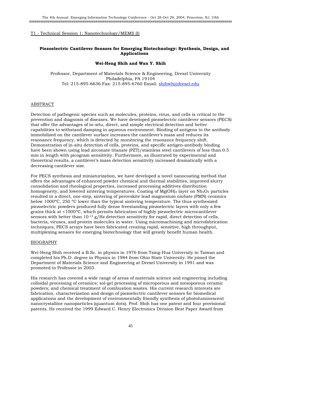# **Piezoelectric Cantilever Sensors for Emerging Biotechnology: Synthesis, Design, and Applications**

#### **Wei-Heng Shih and Wan Y. Shih**

Professor, Department of Materials Science & Engineering, Drexel University Philadelphia, PA 19104 Tel: 215-895-6636 Fax: 215-895-6760 Email: shihwh@drexel.edu

# ABSTRACT

Detection of pathogenic species such as molecules, proteins, virus, and cells is critical to the prevention and diagnosis of diseases. We have developed piezoelectric cantilever sensors (PECS) that offer the advantages of in-situ, direct, and simple electrical detection and better capabilities to withstand damping in aqueous environment. Binding of antigens to the antibody immobilized on the cantilever surface increases the cantilever's mass and reduces its resonance frequency, which is detected by monitoring the resonance frequency shift. Demonstration of in-situ detection of cells, proteins, and specific antigen-antibody binding have been shown using lead zirconate titanate (PZT)/stainless steel cantilevers of less than 0.5 mm in length with picogram sensitivity. Furthermore, as illustrated by experimental and theoretical results, a cantilever's mass detection sensitivity increased dramatically with a decreasing cantilever size.

For PECS synthesis and miniaturization, we have developed a novel nanocoating method that offers the advantages of enhanced powder chemical and thermal stabilities, improved slurry consolidation and rheological properties, increased processing additives distribution homogeneity, and lowered sintering temperatures. Coating of  $Mg(OH)_2$  layer on  $Nb_2O_5$  particles resulted in a direct, one-step, sintering of perovskite lead magnesium niobate (PMN) ceramics below 1000ºC, 250 ºC lower than the typical sintering temperature. The thus synthesized piezoelectric powders produced fully dense freestanding piezoelectric layers with only a few grains thick at <1000ºC, which permits fabrication of highly piezoelectric microcantilever sensors with better than  $10^{-12}$  g/Hz detection sensitivity for rapid, direct detection of cells, bacteria, viruses, and protein molecules in water. Using micromachining and microfabrication techniques, PECS arrays have been fabricated creating rapid, sensitive, high throughput, multiplexing sensors for emerging biotechnology that will greatly benefit human health.

#### BIOGRAPHY

Wei-Heng Shih received a B.Sc. in physics in 1976 from Tsing-Hua University in Taiwan and completed his Ph.D. degree in Physics in 1984 from Ohio State University. He joined the Department of Materials Science and Engineering at Drexel University in 1991 and was promoted to Professor in 2003.

His research has covered a wide range of areas of materials science and engineering including colloidal processing of ceramics; sol-gel processing of microporous and mesoporous ceramic powders; and chemical treatment of combustion wastes. His current research interests are fabrication, characterization and design of piezoelectric cantilever sensors for biomedical applications and the development of environmentally friendly synthesis of photoluminescent nanocrystalline nanoparticles (quantum dots). Prof. Shih has one patent and four provisional patents. He received the 1999 Edward C. Henry Electronics Division Best Paper Award from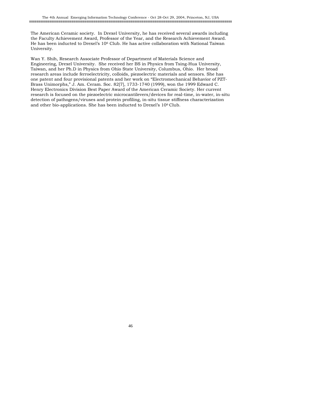The American Ceramic society. In Drexel University, he has received several awards including the Faculty Achievement Award, Professor of the Year, and the Research Achievement Award. He has been inducted to Drexel's 10<sup>6</sup> Club. He has active collaboration with National Taiwan University.

Wan Y. Shih, Research Associate Professor of Department of Materials Science and Engineering, Drexel University. She received her BS in Physics from Tsing-Hua University, Taiwan, and her Ph.D in Physics from Ohio State University, Columbus, Ohio. Her broad research areas include ferroelectricity, colloids, piezoelectric materials and sensors. She has one patent and four provisional patents and her work on "Electromechanical Behavior of PZT-Brass Unimorphs," J. Am. Ceram. Soc. 82[7], 1733-1740 (1999), won the 1999 Edward C. Henry Electronics Division Best Paper Award of the American Ceramic Society. Her current research is focused on the piezoelectric microcantilevers/devices for real-time, in-water, in-situ detection of pathogens/viruses and protein profiling, in-situ tissue stiffness characterization and other bio-applications. She has been inducted to Drexel's 106 Club.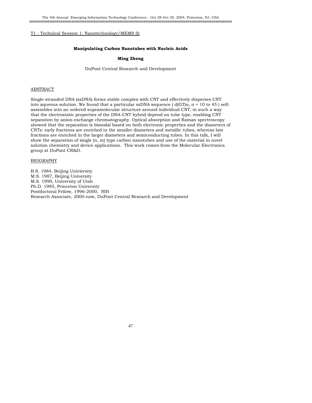# **Manipulating Carbon Nanotubes with Nucleic Acids**

#### **Ming Zheng**

#### DuPont Central Research and Development

# **ABSTRACT**

Single-stranded DNA (ssDNA) forms stable complex with CNT and effectively disperses CNT into aqueous solution. We found that a particular ssDNA sequence ( $d(GT)n$ ,  $n = 10$  to 45) selfassembles into an ordered supramolecular structure around individual CNT, in such a way that the electrostatic properties of the DNA-CNT hybrid depend on tube type, enabling CNT separation by anion-exchange chromatography. Optical absorption and Raman spectroscopy showed that the separation is bimodal based on both electronic properties and the diameters of CNTs: early fractions are enriched in the smaller diameters and metallic tubes, whereas late fractions are enriched in the larger diameters and semiconducting tubes. In this talk, I will show the separation of single (n, m) type carbon nanotubes and use of the material in novel solution chemistry and device applications. This work comes from the Molecular Electronics group at DuPont CR&D.

#### BIOGRAPHY

B.S. 1984, Beijing Univiersity M.S. 1987, Beijing University M.S. 1990, University of Utah Ph.D. 1995, Princeton University Postdoctoral Fellow, 1996-2000, NIH Research Associate, 2000-now, DuPont Central Research and Development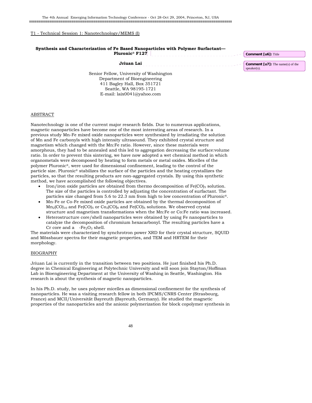# **Synthesis and Characterization of Fe Based Nanoparticles with Polymer Surfactant— Pluronic® F127**

**Jriuan Lai** 

**Comment [u6]:** Title

**Comment [u7]:** The name(s) of the speaker(s).

Senior Fellow, University of Washington Department of Bioengineering 411 Bagley Hall, Box 351721 Seattle, WA 98195-1721 E-mail: laix0041@yahoo.com

# ABSTRACT

Nanotechnology is one of the current major research fields. Due to numerous applications, magnetic nanoparticles have become one of the most interesting areas of research. In a previous study Mn-Fe mixed oxide nanoparticles were synthesized by irradiating the solution of Mn and Fe carbonyls with high intensity ultrasound. They exhibited crystal structure and magnetism which changed with the Mn:Fe ratio. However, since these materials were amorphous, they had to be annealed and this led to aggregation decreasing the surface:volume ratio. In order to prevent this sintering, we have now adopted a wet chemical method in which organometals were decomposed by heating to form metals or metal oxides. Micelles of the polymer Pluronic®, were used for dimensional confinement, leading to the control of the particle size. Pluronic® stabilizes the surface of the particles and the heating crystallizes the particles, so that the resulting products are non-aggregated crystals. By using this synthetic method, we have accomplished the following objectives.

- Iron/iron oxide particles are obtained from thermo decomposition of  $Fe(CO)_5$  solution. The size of the particles is controlled by adjusting the concentration of surfactant. The particles size changed from 5.6 to 22.3 nm from high to low concentration of Pluronic®.
- Mn-Fe or Co-Fe mixed oxide particles are obtained by the thermal decomposition of  $Mn_2(CO)_{10}$  and Fe(CO)<sub>5</sub> or Co<sub>2</sub>(CO)<sub>8</sub> and Fe(CO)<sub>5</sub> solutions. We observed crystal structure and magnetism transformations when the Mn:Fe or Co:Fe ratio was increased.
- Heterostructure core/shell nanoparticles were obtained by using Fe nanoparticles to catalyze the decomposition of chromium hexacarbonyl. The resulting particles have a Cr core and a  $-Fe<sub>2</sub>O<sub>3</sub>$  shell.

The materials were characterized by synchrotron power XRD for their crystal structure, SQUID and Mössbauer spectra for their magnetic properties, and TEM and HRTEM for their morphology.

#### BIOGRAPHY

Jriuan Lai is currently in the transition between two positions. He just finished his Ph.D. degree in Chemical Engineering at Polytechnic University and will soon join Stayton/Hoffman Lab in Bioengineering Department at the University of Washing in Seattle, Washington. His research is about the synthesis of magnetic nanoparticles.

In his Ph.D. study, he uses polymer micelles as dimensional confinement for the synthesis of nanoparticles. He was a visiting research fellow in both IPCMS/CNRS Center (Strasbourg, France) and MCII/Universität Bayreuth (Bayreuth, Germany). He studied the magnetic properties of the nanoparticles and the anionic polymerization for block copolymer synthesis in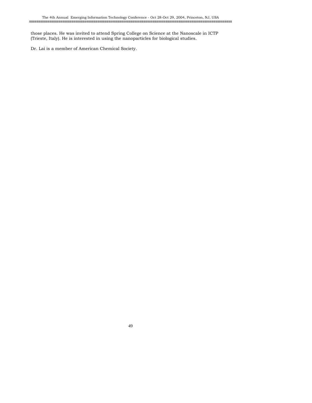those places. He was invited to attend Spring College on Science at the Nanoscale in ICTP (Trieste, Italy). He is interested in using the nanoparticles for biological studies.

Dr. Lai is a member of American Chemical Society.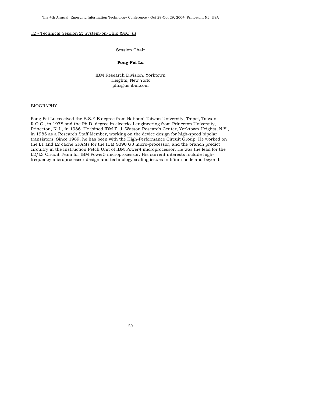# Session Chair

# **Pong-Fei Lu**

IBM Research Division, Yorktown Heights, New York pflu@us.ibm.com

# BIOGRAPHY

Pong-Fei Lu received the B.S.E.E degree from National Taiwan University, Taipei, Taiwan, R.O.C., in 1978 and the Ph.D. degree in electrical engineering from Princeton University, Princeton, N.J., in 1986. He joined IBM T. J. Watson Research Center, Yorktown Heights, N.Y., in 1985 as a Research Staff Member, working on the device design for high-speed bipolar transistors. Since 1989, he has been with the High-Performance Circuit Group. He worked on the L1 and L2 cache SRAMs for the IBM S390 G3 micro-processor, and the branch predict circuitry in the Instruction Fetch Unit of IBM Power4 microprocessor. He was the lead for the L2/L3 Circuit Team for IBM Power5 microprocessor. His current interests include highfrequency microprocessor design and technology scaling issues in 65nm node and beyond.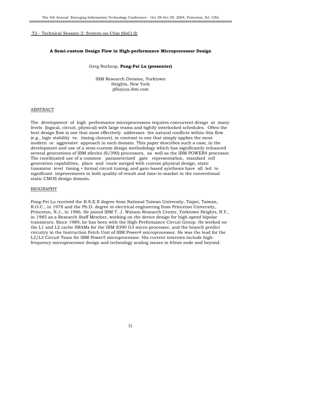#### **A Semi-custom Design Flow in High-performance Microprocessor Design**

# Greg Norhrop, **Pong-Fei Lu (presenter)**

IBM Research Division, Yorktown Heights, New York pflu@us.ibm.com

# **ABSTRACT**

The development of high performance microprocessors requires concurrent design at many levels (logical, circuit, physical) with large teams and tightly interlocked schedules. Often the best design flow is one that most effectively addresses the natural conflicts within this flow (e.g., logic stability vs. timing closure), in contrast to one that simply applies the most modern or aggressive approach in each domain. This paper describes such a case, in the development and use of a semi-custom design methodology which has significantly enhanced several generations of IBM zSeries (S/390) processors, as well as the IBM POWER4 processor. The coordinated use of a common parameterized gate representation, standard cell generation capabilities, place and route merged with custom physical design, static transistor level timing + formal circuit tuning, and gain-based synthesis have all led to significant improvements in both quality-of-result and time-to-market in the conventional static CMOS design domain.

#### BIOGRAPHY

Pong-Fei Lu received the B.S.E.E degree from National Taiwan University, Taipei, Taiwan, R.O.C., in 1978 and the Ph.D. degree in electrical engineering from Princeton University, Princeton, N.J., in 1986. He joined IBM T. J. Watson Research Center, Yorktown Heights, N.Y., in 1985 as a Research Staff Member, working on the device design for high-speed bipolar transistors. Since 1989, he has been with the High-Performance Circuit Group. He worked on the L1 and L2 cache SRAMs for the IBM S390 G3 micro-processor, and the branch predict circuitry in the Instruction Fetch Unit of IBM Power4 microprocessor. He was the lead for the L2/L3 Circuit Team for IBM Power5 microprocessor. His current interests include highfrequency microprocessor design and technology scaling issues in 65nm node and beyond.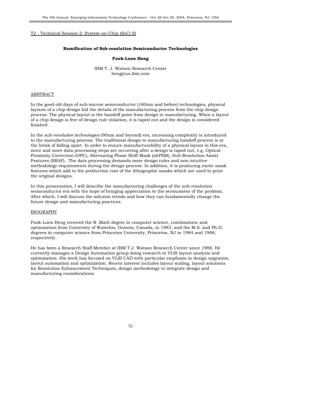#### **Ramification of Sub-resolution Semiconductor Technologies**

#### **Fook-Luen Heng**

IBM T. J. Watson Research Center heng@us.ibm.com

#### ABSTRACT

In the good old days of sub-micron semiconductor (180nm and before) technologies, physical layouts of a chip design hid the details of the manufacturing process from the chip design process. The physical layout is the handoff point from design to manufacturing. When a layout of a chip design is free of design rule violation, it is taped out and the design is considered finished.

In the sub*-resolution technologies* (90nm and beyond) era, increasing complexity is introduced to the manufacturing process. The traditional design to manufacturing handoff process is at the brink of falling apart. In order to ensure manufacturability of a physical layout in this era, more and more data processing steps are occurring after a design is taped out, e.g. Optical Proximity Correction (OPC), Alternating Phase Shift Mask (altPSM), Sub-Resolution Assist Features (SRAF). The data processing demands more design rules and non-intuitive methodology requirements during the design process. In addition, it is producing exotic mask features which add to the production cost of the lithographic masks which are used to print the original designs.

In this presentation, I will describe the manufacturing challenges of the sub-resolution semiconductor era with the hope of bringing appreciation to the seriousness of the problem. After which, I will discuss the solution trends and how they can fundamentally change the future design and manufacturing practices.

#### BIOGRAPHY

Fook-Luen Heng received the B .Math degree in computer science, combinatoric and optimization from University of Waterloo, Ontario, Canada, in 1983, and the M.S. and Ph.D. degrees in computer science from Princeton University, Princeton, NJ in 1984 and 1988, respectively.

He has been a Research Staff Member at IBM T.J. Watson Research Center since 1988. He currently manages a Design Automation group doing research in VLSI layout analysis and optimization. His work has focused on VLSI CAD with particular emphasis in design migration, layout automation and optimization. Recent interest includes layout scaling, layout solutions for Resolution Enhancement Techniques, design methodology to integrate design and manufacturing considerations.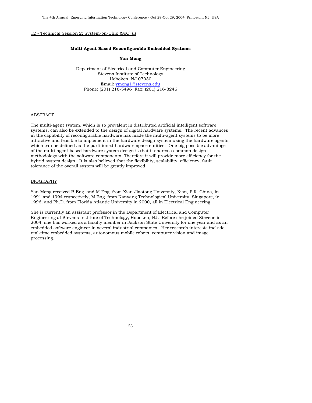# **Multi-Agent Based Reconfigurable Embedded Systems**

#### **Yan Meng**

Department of Electrical and Computer Engineering Stevens Institute of Technology Hoboken, NJ 07030 Email: ymeng1@stevens.edu Phone: (201) 216-5496 Fax: (201) 216-8246

# ABSTRACT

The multi-agent system, which is so prevalent in distributed artificial intelligent software systems, can also be extended to the design of digital hardware systems. The recent advances in the capability of reconfigurable hardware has made the multi-agent systems to be more attractive and feasible to implement in the hardware design system using the hardware agents, which can be defined as the partitioned hardware space entities. One big possible advantage of the multi-agent based hardware system design is that it shares a common design methodology with the software components. Therefore it will provide more efficiency for the hybrid system design. It is also believed that the flexibility, scalability, efficiency, fault tolerance of the overall system will be greatly improved.

#### BIOGRAPHY

Yan Meng received B.Eng. and M.Eng. from Xian Jiaotong University, Xian, P.R. China, in 1991 and 1994 respectively, M.Eng. from Nanyang Technological University, Singapore, in 1996, and Ph.D. from Florida Atlantic University in 2000, all in Electrical Engineering.

She is currently an assistant professor in the Department of Electrical and Computer Engineering at Stevens Institute of Technology, Hoboken, NJ. Before she joined Stevens in 2004, she has worked as a faculty member in Jackson State University for one year and as an embedded software engineer in several industrial companies. Her research interests include real-time embedded systems, autonomous mobile robots, computer vision and image processing.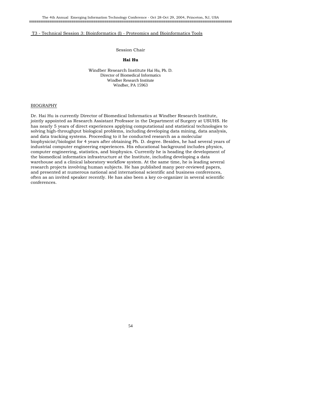Session Chair

#### **Hai Hu**

Windber Research Institute Hai Hu, Ph. D. Director of Biomedical Informatics Windber Research Institute Windber, PA 15963

# BIOGRAPHY

Dr. Hai Hu is currently Director of Biomedical Informatics at Windber Research Institute, jointly appointed as Research Assistant Professor in the Department of Surgery at USUHS. He has nearly 5 years of direct experiences applying computational and statistical technologies to solving high-throughput biological problems, including developing data mining, data analysis, and data tracking systems. Proceeding to it he conducted research as a molecular biophysicist/biologist for 4 years after obtaining Ph. D. degree. Besides, he had several years of industrial computer engineering experiences. His educational background includes physics, computer engineering, statistics, and biophysics. Currently he is heading the development of the biomedical informatics infrastructure at the Institute, including developing a data warehouse and a clinical laboratory workflow system. At the same time, he is leading several research projects involving human subjects. He has published many peer-reviewed papers, and presented at numerous national and international scientific and business conferences, often as an invited speaker recently. He has also been a key co-organizer in several scientific conferences.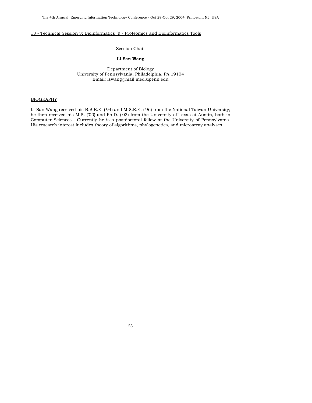Session Chair

# **Li-San Wang**

## Department of Biology University of Pennsylvania, Philadelphia, PA 19104 Email: lswang@mail.med.upenn.edu

# **BIOGRAPHY**

Li-San Wang received his B.S.E.E. ('94) and M.S.E.E. ('96) from the National Taiwan University; he then received his M.S. ('00) and Ph.D. ('03) from the University of Texas at Austin, both in Computer Sciences. Currently he is a postdoctoral fellow at the University of Pennsylvania. His research interest includes theory of algorithms, phylogenetics, and microarray analyses.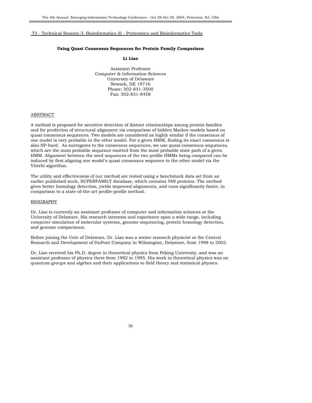# **Using Quasi Consensus Sequences for Protein Family Comparison**

#### **Li Liao**

Assistant Professor Computer & Information Sciences University of Delaware Newark, DE 19716 Phone: 302-831-3500 Fax: 302-831-8458

# **ABSTRACT**

A method is proposed for sensitive detection of distant relationships among protein families and for prediction of structural alignment via comparison of hidden Markov models based on quasi consensus sequences. Two models are considered as highly similar if the consensus of one model is very probable in the other model. For a given HMM, finding its exact consensus is also NP-hard. As surrogates to the consensus sequences, we use quasi consensus sequences, which are the most probable sequence emitted from the most probable state path of a given HMM. Alignment between the seed sequences of the two profile HMMs being compared can be induced by first aligning one model's quasi consensus sequence to the other model via the Viterbi algorithm.

The utility and effectiveness of our method are tested using a benchmark data set from an earlier published work, SUPERFAMILY database, which contains 569 proteins. The method gives better homology detection, yields improved alignments, and runs significantly faster, in comparison to a state-of-the-art profile-profile method.

## BIOGRAPHY

Dr. Liao is currently an assistant professor of computer and information sciences at the University of Delaware. His research interests and experience span a wide range, including computer simulation of molecular systems, genome sequencing, protein homology detection, and genome comparisons.

Before joining the Univ of Delaware, Dr. Liao was a senior research physicist at the Central Research and Development of DuPont Company in Wilmington, Delaware, from 1998 to 2002.

Dr. Liao received his Ph.D. degree in theoretical physics from Peking University, and was an assistant professor of physics there from 1992 to 1995. His work in theoretical physics was on quantum groups and algebra and their applications to field theory and statistical physics.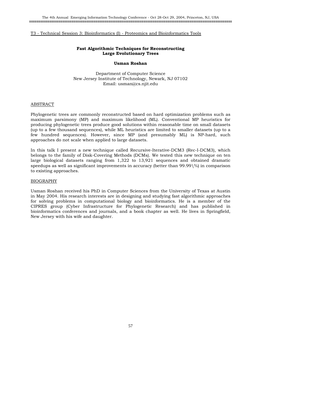# **Fast Algorithmic Techniques for Reconstructing Large Evolutionary Trees**

#### **Usman Roshan**

Department of Computer Science New Jersey Institute of Technology, Newark, NJ 07102 Email: usman@cs.njit.edu

# ABSTRACT

Phylogenetic trees are commonly reconstructed based on hard optimization problems such as maximum parsimony (MP) and maximum likelihood (ML). Conventional MP heuristics for producing phylogenetic trees produce good solutions within reasonable time on small datasets (up to a few thousand sequences), while ML heuristics are limited to smaller datasets (up to a few hundred sequences). However, since MP (and presumably ML) is NP-hard, such approaches do not scale when applied to large datasets.

In this talk I present a new technique called Recursive-Iterative-DCM3 (Rec-I-DCM3), which belongs to the family of Disk-Covering Methods (DCMs). We tested this new technique on ten large biological datasets ranging from 1,322 to 13,921 sequences and obtained dramatic speedups as well as significant improvements in accuracy (better than  $99.99\%$ ) in comparison to existing approaches.

#### BIOGRAPHY

Usman Roshan received his PhD in Computer Sciences from the University of Texas at Austin in May 2004. His research interests are in designing and studying fast algorithmic approaches for solving problems in computational biology and bioinformatics. He is a member of the CIPRES group (Cyber Infrastructure for Phylogenetic Research) and has published in bioinformatics conferences and journals, and a book chapter as well. He lives in Springfield, New Jersey with his wife and daughter.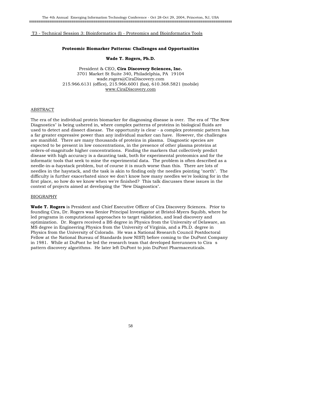# **Proteomic Biomarker Patterns: Challenges and Opportunities**

#### **Wade T. Rogers, Ph.D.**

President & CEO, **Cira Discovery Sciences, Inc.**  3701 Market St Suite 340, Philadelphia, PA 19104 wade.rogers@CiraDiscovery.com 215.966.6131 (office), 215.966.6001 (fax), 610.368.5821 (mobile) www.CiraDiscovery.com

# **ABSTRACT**

The era of the individual protein biomarker for diagnosing disease is over. The era of "The New Diagnostics" is being ushered in, where complex patterns of proteins in biological fluids are used to detect and dissect disease. The opportunity is clear - a complex proteomic pattern has a far greater expressive power than any individual marker can have. However, the challenges are manifold. There are many thousands of proteins in plasma. Diagnostic species are expected to be present in low concentrations, in the presence of other plasma proteins at orders-of-magnitude higher concentrations. Finding the markers that collectively predict disease with high accuracy is a daunting task, both for experimental proteomics and for the informatic tools that seek to mine the experimental data. The problem is often described as a needle-in-a-haystack problem, but of course it is much worse than this. There are lots of needles in the haystack, and the task is akin to finding only the needles pointing "north". The difficulty is further exacerbated since we don't know how many needles we're looking for in the first place, so how do we know when we're finished? This talk discusses these issues in the context of projects aimed at developing the "New Diagnostics".

# BIOGRAPHY

**Wade T. Rogers** is President and Chief Executive Officer of Cira Discovery Sciences. Prior to founding Cira, Dr. Rogers was Senior Principal Investigator at Bristol-Myers Squibb, where he led programs in computational approaches to target validation, and lead discovery and optimization. Dr. Rogers received a BS degree in Physics from the University of Delaware, an MS degree in Engineering Physics from the University of Virginia, and a Ph.D. degree in Physics from the University of Colorado. He was a National Research Council Postdoctoral Fellow at the National Bureau of Standards (now NIST) before coming to the DuPont Company in 1981. While at DuPont he led the research team that developed forerunners to Ciras pattern discovery algorithms. He later left DuPont to join DuPont Pharmaceuticals.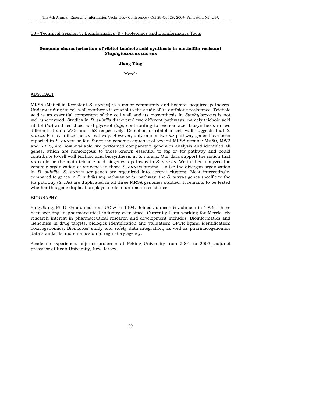## **Genomic characterization of ribitol teichoic acid synthesis in meticillin-resistant**  *Staphylococcus aureus*

#### **Jiang Ying**

Merck

#### ABSTRACT

MRSA (Meticillin Resistant *S. aureus*) is a major community and hospital acquired pathogen. Understanding its cell wall synthesis is crucial to the study of its antibiotic resistance. Teichoic acid is an essential component of the cell wall and its biosynthesis in *Staphylococcus* is not well understood. Studies in *B. subtilis* discovered two different pathways, namely teichoic acid ribitol (*tar*) and tecichoic acid glycerol (*tag*), contributing to teichoic acid biosynthesis in two different strains W32 and 168 respectively. Detection of ribitol in cell wall suggests that *S. aureus* H may utilize the *tar* pathway. However, only one or two *tar* pathway genes have been reported in *S. aureus* so far. Since the genome sequence of several MRSA strains: Mu50, MW2 and N315, are now available, we performed comparative genomics analysis and identified all genes, which are homologous to those known essential to *tag* or *tar* pathway and could contribute to cell wall teichoic acid biosynthesis in *S. aureus*. Our data support the notion that *tar* could be the main teichoic acid biogenesis pathway in *S. aureus*. We further analyzed the genomic organization of *tar* genes in those *S. aureus* strains. Unlike the divergon organization in *B. subtilis*, *S. aureus tar* genes are organized into several clusters. Most interestingly, compared to genes in *B. subtilis tag* pathway or *tar* pathway, the *S. aureus* genes specific to the *tar* pathway (*tarIJK*) are duplicated in all three MRSA genomes studied. It remains to be tested whether this gene duplication plays a role in antibiotic resistance.

#### BIOGRAPHY

Ying Jiang, Ph.D. Graduated from UCLA in 1994. Joined Johnson & Johnson in 1996, I have been working in pharmaceutical industry ever since. Currently I am working for Merck. My research interest in pharmaceutical research and development includes: Bioinformatics and Genomics in drug targets, biologics identification and validation; GPCR ligand identification; Toxicogenomics, Biomarker study and safety data integration, as well as pharmacogenomics data standards and submission to regulatory agency.

Academic experience: adjunct professor at Peking University from 2001 to 2003, adjunct professor at Kean University, New Jersey.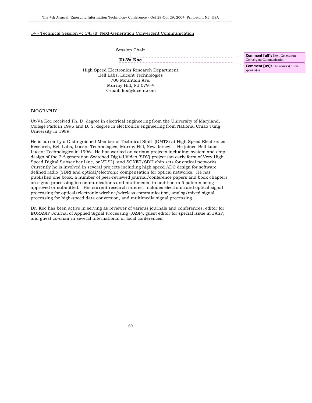The 4th Annual Emerging Information Technology Conference - Oct 28-Oct 29, 2004, Princeton, NJ, USA **==============================================================================================================**

#### T4 - Technical Session 4: C4I (I): Next-Generation Convergent Communication

Session Chair \_\_\_\_\_\_\_\_\_\_\_\_\_\_\_\_\_\_\_\_\_\_\_\_ **Ut-Va Koc** 

**Comment [u8]:** Next-Generation Convergent Communication **Comment [u9]:** The name(s) of the speaker(s).

High Speed Electronics Research Department Bell Labs, Lucent Technologies 700 Mountain Ave. Murray Hill, NJ 07974 E-mail: koc@lucent.com

#### BIOGRAPHY

Ut-Va Koc received Ph. D. degree in electrical engineering from the University of Maryland, College Park in 1996 and B. S. degree in electronics engineering from National Chiao Tung University in 1989.

He is currently a Distinguished Member of Technical Staff (DMTS) at High Speed Electronics Research, Bell Labs, Lucent Technologies, Murray Hill, New Jersey. He joined Bell Labs, Lucent Technologies in 1996. He has worked on various projects including: system and chip design of the 2nd-generation Switched Digital Video (SDV) project (an early form of Very High Speed Digital Subscriber Line, or VDSL), and SONET/SDH chip sets for optical networks. Currently he is involved in several projects including high speed ADC design for software defined radio (SDR) and optical/electronic compensation for optical networks. He has published one book, a number of peer-reviewed journal/conference papers and book chapters on signal processing in communications and multimedia, in addition to 5 patents being approved or submitted. His current research interest includes electronic and optical signal processing for optical/electronic wireline/wireless communication, analog/mixed signal processing for high-speed data conversion, and multimedia signal processing.

Dr. Koc has been active in serving as reviewer of various journals and conferences, editor for EURASIP Journal of Applied Signal Processing (JASP), guest editor for special issue in JASP, and guest co-chair in several international or local conferences.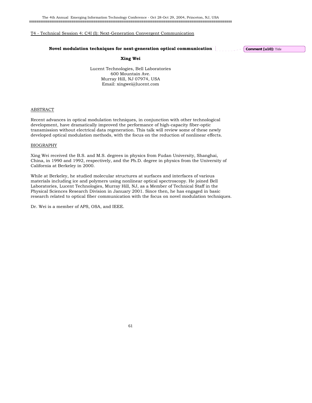# T4 - Technical Session 4: C4I (I): Next-Generation Convergent Communication

# **Novel modulation techniques for next-generation optical communication**

**Comment [u10]:** Title

# **Xing Wei**

Lucent Technologies, Bell Laboratories 600 Mountain Ave. Murray Hill, NJ 07974, USA Email: xingwei@lucent.com

# **ABSTRACT**

Recent advances in optical modulation techniques, in conjunction with other technological development, have dramatically improved the performance of high-capacity fiber-optic transmission without electrical data regeneration. This talk will review some of these newly developed optical modulation methods, with the focus on the reduction of nonlinear effects.

# BIOGRAPHY

Xing Wei received the B.S. and M.S. degrees in physics from Fudan University, Shanghai, China, in 1990 and 1992, respectively, and the Ph.D. degree in physics from the University of California at Berkeley in 2000.

While at Berkeley, he studied molecular structures at surfaces and interfaces of various materials including ice and polymers using nonlinear optical spectroscopy. He joined Bell Laboratories, Lucent Technologies, Murray Hill, NJ, as a Member of Technical Staff in the Physical Sciences Research Division in January 2001. Since then, he has engaged in basic research related to optical fiber communication with the focus on novel modulation techniques.

Dr. Wei is a member of APS, OSA, and IEEE.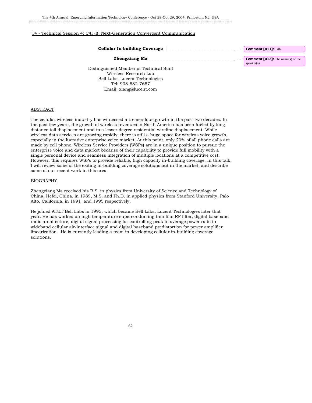The 4th Annual Emerging Information Technology Conference - Oct 28-Oct 29, 2004, Princeton, NJ, USA

# **==============================================================================================================**

# T4 - Technical Session 4: C4I (I): Next-Generation Convergent Communication

**Cellular In-building Coverage Comment [u11]:** Title **Zhengxiang Ma** \_\_\_\_\_\_\_\_\_\_\_\_\_\_\_\_\_\_\_\_\_\_\_\_\_\_\_\_ speaker(s). Distinguished Member of Technical Staff Wireless Research Lab Bell Labs, Lucent Technologies Tel: 908-582-7657

# **ABSTRACT**

The cellular wireless industry has witnessed a tremendous growth in the past two decades. In the past few years, the growth of wireless revenues in North America has been fueled by long distance toll displacement and to a lesser degree residential wireline displacement. While wireless data services are growing rapidly, there is still a huge space for wireless voice growth, especially in the lucrative enterprise voice market. At this point, only 20% of all phone calls are made by cell phone. Wireless Service Providers (WSPs) are in a unique position to pursue the enterprise voice and data market because of their capability to provide full mobility with a single personal device and seamless integration of multiple locations at a competitive cost. However, this requires WSPs to provide reliable, high capacity in-building coverage. In this talk, I will review some of the exiting in-building coverage solutions out in the market, and describe some of our recent work in this area.

Email: xiang@lucent.com

#### BIOGRAPHY

Zhengxiang Ma received his B.S. in physics from University of Science and Technology of China, Hefei, China, in 1989, M.S. and Ph.D. in applied physics from Stanford University, Palo Alto, California, in 1991 and 1995 respectively.

He joined AT&T Bell Labs in 1995, which became Bell Labs, Lucent Technologies later that year. He has worked on high temperature superconducting thin film RF filter, digital baseband radio architecture, digital signal processing for controlling peak to average power ratio in wideband cellular air-interface signal and digital baseband predistortion for power amplifier linearization. He is currently leading a team in developing cellular in-building coverage solutions.

**Comment [u12]:** The name(s) of the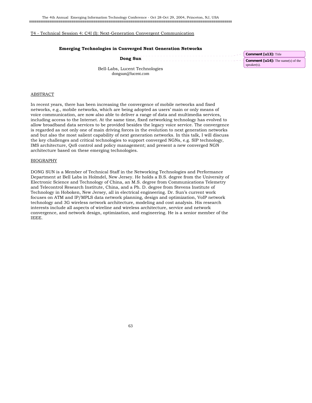## T4 - Technical Session 4: C4I (I): Next-Generation Convergent Communication

# **Emerging Technologies in Converged Next Generation Networks**

------------------------------**Dong Sun** --------------------------Bell-Labs, Lucent Technologies dongsun@lucent.com

ABSTRACT

In recent years, there has been increasing the convergence of mobile networks and fixed networks, e.g., mobile networks, which are being adopted as users' main or only means of voice communication, are now also able to deliver a range of data and multimedia services, including access to the Internet. At the same time, fixed networking technology has evolved to allow broadband data services to be provided besides the legacy voice service. The convergence is regarded as not only one of main driving forces in the evolution to next generation networks and but also the most salient capability of next generation networks. In this talk, I will discuss the key challenges and critical technologies to support converged NGNs, e.g. SIP technology, IMS architecture, QoS control and policy management; and present a new converged NGN architecture based on these emerging technologies.

#### BIOGRAPHY

DONG SUN is a Member of Technical Staff in the Networking Technologies and Performance Department at Bell Labs in Holmdel, New Jersey. He holds a B.S. degree from the University of Electronic Science and Technology of China, an M.S. degree from Communications Telemetry and Telecontrol Research Institute, China, and a Ph. D. degree from Stevens Institute of Technology in Hoboken, New Jersey, all in electrical engineering. Dr. Sun's current work focuses on ATM and IP/MPLS data network planning, design and optimization, VoIP network technology and 3G wireless network architecture, modeling and cost analysis. His research interests include all aspects of wireline and wireless architecture, service and network convergence, and network design, optimization, and engineering. He is a senior member of the IEEE.

#### 63

**Comment [u13]:** Title **Comment [u14]:** The name(s) of the speaker(s).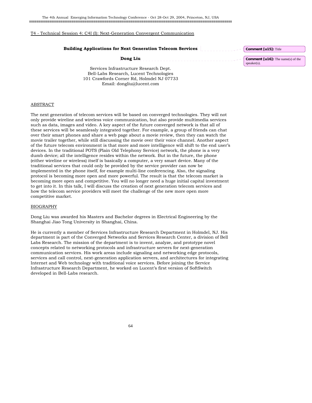# T4 - Technical Session 4: C4I (I): Next-Generation Convergent Communication

# **Building Applications for Next Generation Telecom Services**

**Dong Liu** 

**Comment [u15]:** Title

**Comment [u16]:** The name(s) of the speaker(s).

Services Infrastructure Research Dept. Bell-Labs Research, Lucent Technologies 101 Crawfords Corner Rd, Holmdel NJ 07733 Email: dongliu@lucent.com

# ABSTRACT

The next generation of telecom services will be based on converged technologies. They will not only provide wireline and wireless voice communication, but also provide multimedia services such as data, images and video. A key aspect of the future converged network is that all of these services will be seamlessly integrated together. For example, a group of friends can chat over their smart phones and share a web page about a movie review, then they can watch the movie trailer together, while still discussing the movie over their voice channel. Another aspect of the future telecom environment is that more and more intelligence will shift to the end user's devices. In the traditional POTS (Plain Old Telephony Service) network, the phone is a very dumb device; all the intelligence resides within the network. But in the future, the phone (either wireline or wireless) itself is basically a computer, a very smart device. Many of the traditional services that could only be provided by the service provider can now be implemented in the phone itself, for example multi-line conferencing. Also, the signaling protocol is becoming more open and more powerful. The result is that the telecom market is becoming more open and competitive. You will no longer need a huge initial capital investment to get into it. In this talk, I will discuss the creation of next generation telecom services and how the telecom service providers will meet the challenge of the new more open more competitive market.

### BIOGRAPHY

Dong Liu was awarded his Masters and Bachelor degrees in Electrical Engineering by the Shanghai Jiao Tong University in Shanghai, China.

He is currently a member of Services Infrastructure Research Department in Holmdel, NJ. His department is part of the Converged Networks and Services Research Center, a division of Bell Labs Research. The mission of the department is to invent, analyze, and prototype novel concepts related to networking protocols and infrastructure servers for next-generation communication services. His work areas include signaling and networking edge protocols, services and call control, next-generation application servers, and architectures for integrating Internet and Web technology with traditional voice services. Before joining the Service Infrastructure Research Department, he worked on Lucent's first version of SoftSwitch developed in Bell-Labs research.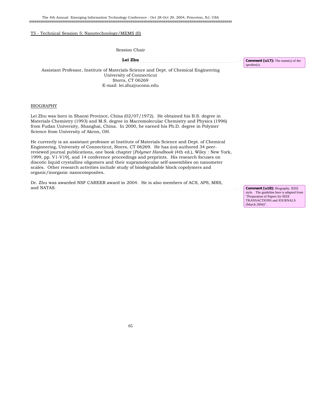The 4th Annual Emerging Information Technology Conference - Oct 28-Oct 29, 2004, Princeton, NJ, USA **==============================================================================================================**

#### T5 - Technical Session 5: Nanotechnology/MEMS (II)

Session Chair

**Lei Zhu** 

**Comment [u17]:** The name(s) of the speaker(s).

Assistant Professor, Institute of Materials Science and Dept. of Chemical Engineering University of Connecticut Storrs, CT 06269 E-mail: lei.zhu@uconn.edu

# BIOGRAPHY

Lei Zhu was born in Shanxi Province, China (02/07/1972). He obtained his B.S. degree in Materials Chemistry (1993) and M.S. degree in Macromolecular Chemistry and Physics (1996) from Fudan University, Shanghai, China. In 2000, he earned his Ph.D. degree in Polymer Science from University of Akron, OH.

He currently is an assistant professor at Institute of Materials Science and Dept. of Chemical Engineering, University of Connecticut, Storrs, CT 06269. He has (co)-authored 34 peerreviewed journal publications, one book chapter [*Polymer Handbook* (4th ed.), Wiley : New York, 1999, pp. V1-V19], and 14 conference proceedings and preprints. His research focuses on discotic liquid crystalline oligomers and their supramolecular self-assemblies on nanometer scales. Other research activities include study of biodegradable block copolymers and organic/inorganic nanocomposites.

Dr. Zhu was awarded NSF CAREER award in 2004. He is also members of ACS, APS, MRS, and NATAS.

**Comment [u18]:** Biography, IEEE style. The guideline here is adapted from "Preparation of Papers for IEEE TRANSACTIONS and JOURNALS (March 2004)".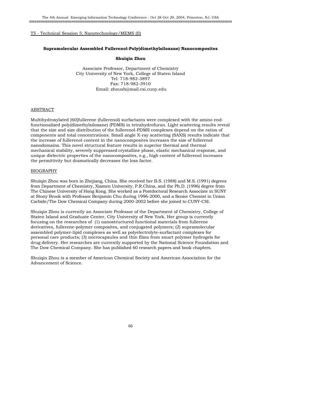#### **Supramolecular Assembled Fullerenol-Poly(dimethylsiloxane) Nanocomposites**

#### **Shuiqin Zhou**

Associate Professor, Department of Chemistry City University of New York, College of Staten Island Tel: 718-982-3897 Fax: 718-982-3910 Email: zhoush@mail.csi.cuny.edu

# **ABSTRACT**

Multihydroxylated [60]fullerene (fullerenol) surfactants were complexed with the amino endfunctionalized poly(dimethylsiloxane) (PDMS) in tetrahydrofuran. Light scattering results reveal that the size and size distribution of the fullerenol-PDMS complexes depend on the ratios of components and total concentrations. Small angle X-ray scattering (SAXS) results indicate that the increase of fullerenol content in the nanocomposites increases the size of fullerenol nanodomains. This novel structural feature results in superior thermal and thermal mechanical stability, severely suppressed crystalline phase, elastic mechanical response, and unique dielectric properties of the nanocomposites, e.g., high content of fullerenol increases the permittivity but dramatically decreases the loss factor.

## BIOGRAPHY

Shuiqin Zhou was born in Zhejiang, China. She received her B.S. (1988) and M.S. (1991) degrees from Department of Chemistry, Xiamen University, P.R.China, and the Ph.D. (1996) degree from The Chinese University of Hong Kong. She worked as a Postdoctoral Research Associate in SUNY at Stony Brook with Professor Benjamin Chu during 1996-2000, and a Senior Chemist in Union Carbide/The Dow Chemical Company during 2000-2002 before she joined to CUNY-CSI.

Shuiqin Zhou is currently an Associate Professor of the Department of Chemistry, College of Staten Island and Graduate Center, City University of New York. Her group is currently focusing on the researches of (1) nanostructured functional materials from fullerene derivatives, fullerene-polymer composites, and conjugated polymers; (2) supramolecular assembled polymer-lipid complexes as well as polyelectrolyte-surfactant complexes for personal care products; (3) microcapsules and thin films from smart polymer hydrogels for drug delivery. Her researches are currently supported by the National Science Foundation and The Dow Chemical Company. She has published 60 research papers and book chapters.

Shuiqin Zhou is a member of American Chemical Society and American Association for the Advancement of Science.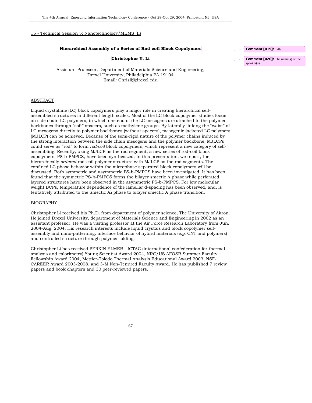# **Hierarchical Assembly of a Series of Rod-coil Block Copolymers**

**Christopher Y. Li** 

**Comment [u20]:** The name(s) of the speaker(s).

**Comment [u19]:** Title

Assistant Professor, Department of Materials Science and Engineering, Drexel University, Philadelphia PA 19104 Email: Chrisli@drexel.edu

#### **ABSTRACT**

Liquid crystalline (LC) block copolymers play a major role in creating hierarchical selfassembled structures in different length scales. Most of the LC block copolymer studies focus on side chain LC polymers, in which one end of the LC mesogens are attached to the polymer backbones through "soft" spacers, such as methylene groups. By laterally linking the "waist" of LC mesogens directly to polymer backbones (without spacers), mesogenic jacketed LC polymers (MJLCP) can be achieved. Because of the semi-rigid nature of the polymer chains induced by the strong interaction between the side chain mesogens and the polymer backbone, MJLCPs could serve as "rod" to form *rod-coil* block copolymers, which represent a new category of selfassembling. Recently, using MJLCP as the rod segment, a new series of rod-coil block copolymers, PS-b-PMPCS, have been synthesized. In this presentation, we report, the hierarchically *ordered* rod-coil polymer structure with MJLCP as the rod segments. The confined LC phase behavior within the microphase separated block copolymers will be discussed. Both symmetric and asymmetric PS-b-PMPCS have been investigated. It has been found that the symmetric PS-b-PMPCS forms the bilayer smectic A phase while perforated layered structures have been observed in the asymmetric PS-b-PMPCS. For low molecular weight BCPs, temperature dependence of the lamellar d-spacing has been observed, and, is tentatively attributed to the Smectic  $A_d$  phase to bilayer smectic A phase transition.

## BIOGRAPHY

Christopher Li received his Ph.D. from department of polymer science, The University of Akron. He joined Drexel University, department of Materials Science and Engineering in 2002 as an assistant professor. He was a visiting professor at the Air Force Research Laboratory from Jun. 2004-Aug. 2004. His research interests include liquid crystals and block copolymer selfassembly and nano-patterning, interface behavior of hybrid materials (*e.g.* CNT and polymers) and controlled structure through polymer folding.

Christopher Li has received PERKIN ELMER - ICTAC (international confederation for thermal analysis and calorimetry) Young Scientist Award 2004, NRC/US AFOSR Summer Faculty Fellowship Award 2004, Mettler-Toledo Thermal Analysis Educational Award 2003, NSF-CAREER Award 2003-2008, and 3-M Non-Tenured Faculty Award. He has published 7 review papers and book chapters and 30 peer-reviewed papers.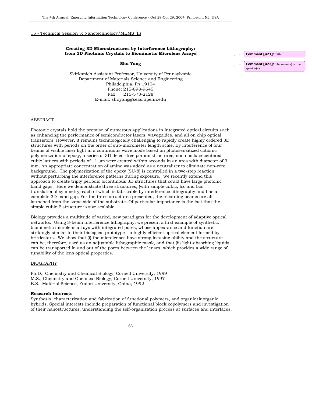#### **Creating 3D Microstructures by Interference Lithography: from 3D Photonic Crystals to Biomimetic Microlens Arrays**

**Shu Yang** 

**Comment [u21]:** Title

**Comment [u22]:** The name(s) of the speaker(s).

Skirkanich Assistant Professor, University of Pennsylvania Department of Materials Science and Engineering Philadelphia, PA 19104 Phone: 215-898-9645 Fax: 215-573-2128 E-mail: shuyang@seas.upenn.edu

# ABSTRACT

Photonic crystals hold the promise of numerous applications in integrated optical circuits such as enhancing the performance of semiconductor lasers, waveguides, and all on chip optical transistors. However, it remains technologically challenging to rapidly create highly ordered 3D structures with periods on the order of sub-micrometer length scale. By interference of four beams of visible laser light in a continuous wave mode based on photosensitized cationic polymerization of epoxy, a series of 3D defect-free porous structures, such as face-centered cubic lattices with periods of  $\sim$ 1 µm were created within seconds in an area with diameter of 3 mm. An appropriate concentration of amine was added as a neutralizer to eliminate non-zero background. The polymerization of the epoxy (SU-8) is controlled in a two-step reaction without perturbing the interference patterns during exposure. We recently extend this approach to create triply periodic bicontinous 3D structures that could have large photonic band gaps. Here we demonstrate three structures, (with simple cubic, fcc and bcc translational symmetry) each of which is fabricable by interference lithography and has a complete 3D band gap. For the three structures presented, the recording beams are all launched from the same side of the substrate. Of particular importance is the fact that the simple cubic P structure is size scalable.

Biology provides a multitude of varied, new paradigms for the development of adaptive optical networks. Using 3-beam interference lithography, we present a first example of synthetic, biomimetic microlens arrays with integrated pores, whose appearance and function are strikingly similar to their biological prototype – a highly efficient optical element formed by brittlestars. We show that (i) the microlenses have strong focusing ability and the structure can be, therefore, used as an adjustable lithographic mask, and that (ii) light-absorbing liquids can be transported in and out of the pores between the lenses, which provides a wide range of tunability of the lens optical properties.

# BIOGRAPHY

Ph.D., Chemistry and Chemical Biology, Cornell University, 1999 M.S., Chemistry and Chemical Biology, Cornell University, 1997 B.S., Material Science, Fudan University, China, 1992

#### **Research Interests**

Synthesis, characterization and fabrication of functional polymers, and organic/inorganic hybrids. Special interests include preparation of functional block copolymers and investigation of their nanostructures; understanding the self-organization process at surfaces and interfaces;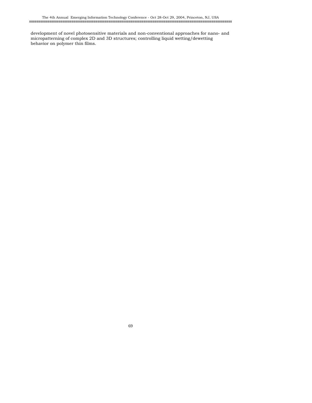development of novel photosensitive materials and non-conventional approaches for nano- and micropatterning of complex 2D and 3D structures; controlling liquid wetting/dewetting behavior on polymer thin films.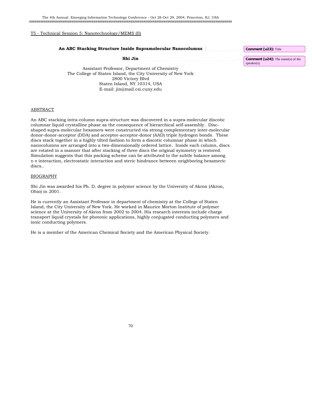# **An ABC Stacking Structure Inside Supramolecular Nanocolumns**

**Shi Jin** 

**Comment [u23]:** Title

**Comment [u24]:** The name(s) of the speaker(s).

Assistant Professor, Department of Chemistry The College of Staten Island, the City University of New York 2800 Victory Blvd Staten Island, NY 10314, USA E-mail: jin@mail.csi.cuny.edu

# ABSTRACT

An ABC stacking intra-column supra-structure was discovered in a supra-molecular discotic columnar liquid crystalline phase as the consequence of hierarchical self-assembly. Discshaped supra-molecular hexamers were constructed via strong complementary inter-molecular donor-donor-acceptor (DDA) and acceptor-acceptor-donor (AAD) triple hydrogen bonds. These discs stack together in a highly tilted fashion to form a discotic columnar phase in which nanocolumns are arranged into a two-dimensionally ordered lattice. Inside each column, discs are rotated in a manner that after stacking of three discs the original symmetry is restored. Simulation suggests that this packing scheme can be attributed to the subtle balance among  $\pi$ -π interaction, electrostatic interaction and steric hindrance between neighboring hexameric discs..

# BIOGRAPHY

Shi Jin was awarded his Ph. D. degree in polymer science by the University of Akron (Akron, Ohio) in 2001.

He is currently an Assistant Professor in department of chemistry at the College of Staten Island, the City University of New York. He worked in Maurice Morton Institute of polymer science at the University of Akron from 2002 to 2004. His research interests include charge transport liquid crystals for photonic applications, highly conjugated conducting polymers and ionic conducting polymers.

He is a member of the American Chemical Society and the American Physical Society.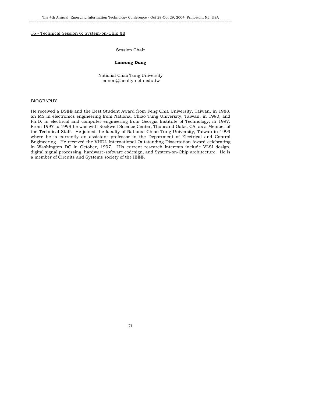#### T6 - Technical Session 6: System-on-Chip (II)

Session Chair

## **Lanrong Dung**

National Chao Tung University lennon@faculty.nctu.edu.tw

# BIOGRAPHY

He received a BSEE and the Best Student Award from Feng Chia University, Taiwan, in 1988, an MS in electronics engineering from National Chiao Tung University, Taiwan, in 1990, and Ph.D. in electrical and computer engineering from Georgia Institute of Technology, in 1997. From 1997 to 1999 he was with Rockwell Science Center, Thousand Oaks, CA, as a Member of the Technical Staff. He joined the faculty of National Chiao Tung University, Taiwan in 1999 where he is currently an assistant professor in the Department of Electrical and Control Engineering. He received the VHDL International Outstanding Dissertation Award celebrating in Washington DC in October, 1997. His current research interests include VLSI design, digital signal processing, hardware-software codesign, and System-on-Chip architecture. He is a member of Circuits and Systems society of the IEEE.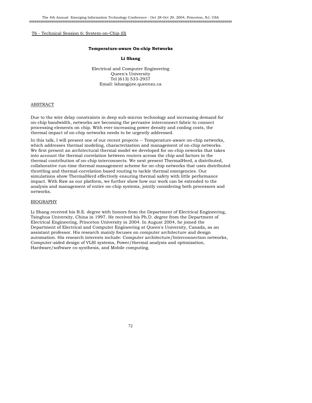T6 - Technical Session 6: System-on-Chip (II)

#### **Temperature-aware On-chip Networks**

#### **Li Shang**

Electrical and Computer Engineering Queen's University Tel (613) 533-2937 Email: lshang@ee.queensu.ca

#### ABSTRACT

Due to the wire delay constraints in deep sub-micron technology and increasing demand for on-chip bandwidth, networks are becoming the pervasive interconnect fabric to connect processing elements on chip. With ever-increasing power density and cooling costs, the thermal impact of on-chip networks needs to be urgently addressed.

In this talk, I will present one of our recent projects -- Temperature-aware on-chip networks, which addresses thermal modeling, characterization and management of on-chip networks. We first present an architectural thermal model we developed for on-chip neworks that takes into account the thermal correlation between routers across the chip and factors in the thermal contribution of on-chip interconnects. We next present ThermalHerd, a distributed, collaborative run-time thermal management scheme for on-chip networks that uses distributed throttling and thermal-correlation based routing to tackle thermal emergencies. Our simulations show ThermalHerd effectively ensuring thermal safety with little performance impact. With Raw as our platform, we further show how our work can be extended to the analysis and management of entire on-chip systems, jointly considering both processors and networks.

#### BIOGRAPHY

Li Shang received his B.E. degree with honors from the Department of Electrical Engineering, Tsinghua University, China in 1997. He received his Ph.D. degree from the Department of Electrical Engineering, Princeton University in 2004. In August 2004, he joined the Department of Electrical and Computer Engineering at Queen's University, Canada, as an assistant professor. His research mainly focuses on computer architecture and design automation. His research interests include: Computer architecture/Interconnection networks, Computer-aided design of VLSI systems, Power/thermal analysis and optimization, Hardware/software co-synthesis, and Mobile computing.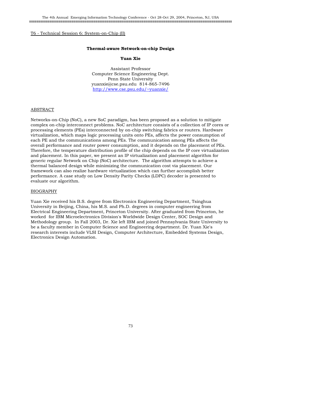#### **Thermal-aware Network-on-chip Design**

## **Yuan Xie**

Assistant Professor Computer Science Engineering Dept. Penn State University yuanxie@cse.psu.edu 814-865-7496 http://www.cse.psu.edu/~yuanxie/

# ABSTRACT

Networks-on-Chip (NoC), a new SoC paradigm, has been proposed as a solution to mitigate complex on-chip interconnect problems. NoC architecture consists of a collection of IP cores or processing elements (PEs) interconnected by on-chip switching fabrics or routers. Hardware virtualization, which maps logic processing units onto PEs, affects the power consumption of each PE and the communications among PEs. The communication among PEs affects the overall performance and router power consumption, and it depends on the placement of PEs. Therefore, the temperature distribution profile of the chip depends on the IP core virtualization and placement. In this paper, we present an IP virtualization and placement algorithm for generic regular Network on Chip (NoC) architecture. The algorithm attempts to achieve a thermal balanced design while minimizing the communication cost via placement. Our framework can also realize hardware virtualization which can further accomplish better performance. A case study on Low Density Parity Checks (LDPC) decoder is presented to evaluate our algorithm.

#### BIOGRAPHY

Yuan Xie received his B.S. degree from Electronics Engineering Department, Tsinghua University in Beijing, China, his M.S. and Ph.D. degrees in computer engineering from Electrical Engineering Department, Princeton University. After graduated from Princeton, he worked for IBM Microelectronics Division's Worldwide Design Center, SOC Design and Methodology group. In Fall 2003, Dr. Xie left IBM and joined Pennsylvania State University to be a faculty member in Computer Science and Engineering department. Dr. Yuan Xie's research interests include VLSI Design, Computer Architecture, Embedded Systems Design, Electronics Design Automation.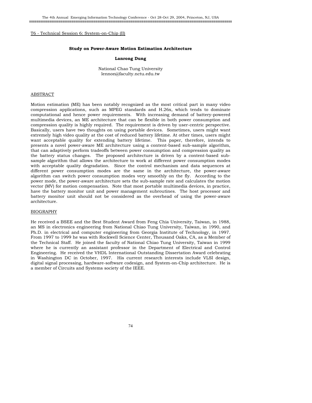#### **Study on Power-Aware Motion Estimation Architecture**

#### **Lanrong Dung**

National Chao Tung University lennon@faculty.nctu.edu.tw

#### ABSTRACT

Motion estimation (ME) has been notably recognized as the most critical part in many video compression applications, such as MPEG standards and H.26x, which tends to dominate computational and hence power requirements. With increasing demand of battery-powered multimedia devices, an ME architecture that can be flexible in both power consumption and compression quality is highly required. The requirement is driven by user-centric perspective. Basically, users have two thoughts on using portable devices. Sometimes, users might want extremely high video quality at the cost of reduced battery lifetime. At other times, users might want acceptable quality for extending battery lifetime. This paper, therefore, intends to presents a novel power-aware ME architecture using a content-based sub-sample algorithm, that can adaptively perform tradeoffs between power consumption and compression quality as the battery status changes. The proposed architecture is driven by a content-based subsample algorithm that allows the architecture to work at different power consumption modes with acceptable quality degradation. Since the control mechanism and data sequences at different power consumption modes are the same in the architecture, the power-aware algorithm can switch power consumption modes very smoothly on the fly. According to the power mode, the power-aware architecture sets the sub-sample rate and calculates the motion vector (MV) for motion compensation. Note that most portable multimedia devices, in practice, have the battery monitor unit and power management subroutines. The host processor and battery monitor unit should not be considered as the overhead of using the power-aware architecture.

#### BIOGRAPHY

He received a BSEE and the Best Student Award from Feng Chia University, Taiwan, in 1988, an MS in electronics engineering from National Chiao Tung University, Taiwan, in 1990, and Ph.D. in electrical and computer engineering from Georgia Institute of Technology, in 1997. From 1997 to 1999 he was with Rockwell Science Center, Thousand Oaks, CA, as a Member of the Technical Staff. He joined the faculty of National Chiao Tung University, Taiwan in 1999 where he is currently an assistant professor in the Department of Electrical and Control Engineering. He received the VHDL International Outstanding Dissertation Award celebrating in Washington DC in October, 1997. His current research interests include VLSI design, digital signal processing, hardware-software codesign, and System-on-Chip architecture. He is a member of Circuits and Systems society of the IEEE.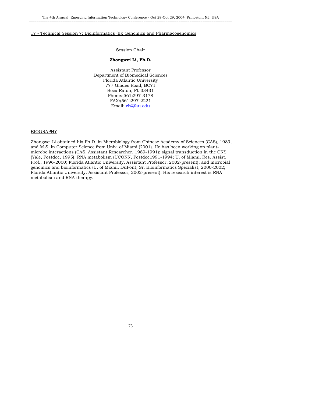# Session Chair

## **Zhongwei Li, Ph.D.**

Assistant Professor Department of Biomedical Sciences Florida Atlantic University 777 Glades Road, BC71 Boca Raton, FL 33431 Phone:(561)297-3178 FAX:(561)297-2221 Email: zli@fau.edu

# **BIOGRAPHY**

Zhongwei Li obtained his Ph.D. in Microbiology from Chinese Academy of Sciences (CAS), 1989, and M.S. in Computer Science from Univ. of Miami (2001). He has been working on plantmicrobe interactions (CAS, Assistant Researcher, 1989-1991); signal transduction in the CNS (Yale, Postdoc, 1995); RNA metabolism (UCONN, Postdoc1991-1994; U. of Miami, Res. Assist. Prof., 1996-2000; Florida Atlantic University, Assistant Professor, 2002-present); and microbial genomics and bioinformatics (U. of Miami, DuPont, Sr. Bioinformatics Specialist, 2000-2002; Florida Atlantic University, Assistant Professor, 2002-present). His research interest is RNA metabolism and RNA therapy.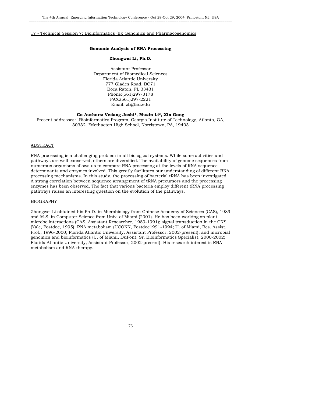## **Genomic Analysis of RNA Processing**

#### **Zhongwei Li, Ph.D.**

Assistant Professor Department of Biomedical Sciences Florida Atlantic University 777 Glades Road, BC71 Boca Raton, FL 33431 Phone:(561)297-3178 FAX:(561)297-2221 Email: zli@fau.edu

# **Co-Authors: Vedang Joshi1, Muxin Li2, Xin Gong**

Present addresses: 1Bioinformatics Program, Georgia Institute of Technology, Atlanta, GA, 30332. 2Methacton High School, Norristown, PA, 19403

# ABSTRACT

RNA processing is a challenging problem in all biological systems. While some activities and pathways are well conserved, others are diversified. The availability of genome sequences from numerous organisms allows us to compare RNA processing at the levels of RNA sequence determinants and enzymes involved. This greatly facilitates our understanding of different RNA processing mechanisms. In this study, the processing of bacterial tRNA has been investigated. A strong correlation between sequence arrangement of tRNA precursors and the processing enzymes has been observed. The fact that various bacteria employ different tRNA processing pathways raises an interesting question on the evolution of the pathways.

# BIOGRAPHY

Zhongwei Li obtained his Ph.D. in Microbiology from Chinese Academy of Sciences (CAS), 1989, and M.S. in Computer Science from Univ. of Miami (2001). He has been working on plantmicrobe interactions (CAS, Assistant Researcher, 1989-1991); signal transduction in the CNS (Yale, Postdoc, 1995); RNA metabolism (UCONN, Postdoc1991-1994; U. of Miami, Res. Assist. Prof., 1996-2000; Florida Atlantic University, Assistant Professor, 2002-present); and microbial genomics and bioinformatics (U. of Miami, DuPont, Sr. Bioinformatics Specialist, 2000-2002; Florida Atlantic University, Assistant Professor, 2002-present). His research interest is RNA metabolism and RNA therapy.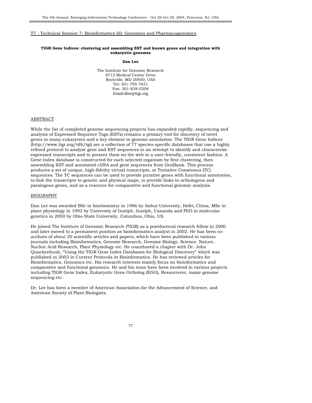#### **TIGR Gene Indices: clustering and assembling EST and known genes and integration with eukaryotic genomes**

#### **Dan Lee**

The Institute for Genomic Research 9712 Medical Center Drive Rockville, MD 20850, USA Tel: 301-795-7831 Fax: 301-838-0208 Email:dlee@tigr.org

## ABSTRACT

While the list of completed genome sequencing projects has expanded rapidly, sequencing and analysis of Expressed Sequence Tags (ESTs) remains a primary tool for discovery of novel genes in many eukaryotes and a key element in genome annotation. The TIGR Gene Indices (http://www.tigr.org/tdb/tgi) are a collection of 77 species-specific databases that use a highly refined protocol to analyze gene and EST sequences in an attempt to identify and characterize expressed transcripts and to present them on the web in a user-friendly, consistent fashion. A Gene Index database is constructed for each selected organism by first clustering, then assembling EST and annotated cDNA and gene sequences from GenBank. This process produces a set of unique, high-fidelity virtual transcripts, or Tentative Consensus (TC) sequences. The TC sequences can be used to provide putative genes with functional annotation, to link the transcripts to genetic and physical maps, to provide links to orthologous and paralogous genes, and as a resource for comparative and functional genomic analysis.

# BIOGRAPHY

Dan Lee was awarded BSc in biochemistry in 1986 by Anhui University, Hefei, China, MSc in plant physiology in 1993 by University of Guelph, Guelph, Cananda and PhD in molecular genetics in 2000 by Ohio State University, Columbus, Ohio, US.

He joined The Institute of Genomic Research (TIGR) as a postdoctoral research fellow in 2000 and later moved to a permanent position as bioinformatics analyst in 2002. He has been coauthors of about 20 scientific articles and papers, which have been published in various journals including Bioinformatics, Genome Research, Genome Biology, Science, Nature, Nucleic Acid Research, Plant Physiology etc. He coauthored a chapter with Dr. John Quackenbush, "Using the TIGR Gene Index Databases for Biological Discovery" which was published in 2003 in Current Protocols in Bioinformatics. He has reviewed articles for Bioinformatics, Genomics etc. His research interests mainly focus on bioinformatics and comparative and functional genomics. He and his team have been involved in various projects including TIGR Gene Index, Eukaryotic Gene Ortholog (EGO), Resourcerer, maize genome sequencing etc.

Dr. Lee has been a member of American Association for the Advancement of Science, and American Society of Plant Biologists.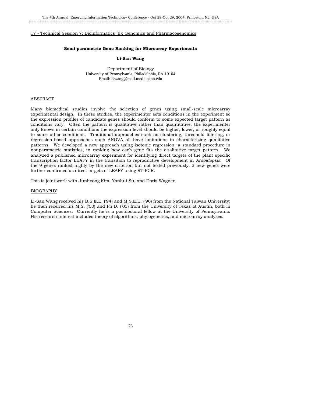# **Semi-parametric Gene Ranking for Microarray Experiments**

#### **Li-San Wang**

Department of Biology University of Pennsylvania, Philadelphia, PA 19104 Email: lswang@mail.med.upenn.edu

# **ABSTRACT**

Many biomedical studies involve the selection of genes using small-scale microarray experimental design. In these studies, the experimenter sets conditions in the experiment so the expression profiles of candidate genes should conform to some expected target pattern as conditions vary. Often the pattern is qualitative rather than quantitative: the experimenter only knows in certain conditions the expression level should be higher, lower, or roughly equal to some other conditions. Traditional approaches such as clustering, threshold filtering, or regression-based approaches such ANOVA all have limitations in characterizing qualitative patterns. We developed a new approach using isotonic regression, a standard procedure in nonparametric statistics, in ranking how each gene fits the qualitative target pattern. We analyzed a published microarray experiment for identifying direct targets of the plant specific transcription factor LEAFY in the transition to reproductive development in *Arabidopsis*. Of the 9 genes ranked highly by the new criterion but not tested previously, 3 new genes were further confirmed as direct targets of LEAFY using RT-PCR.

This is joint work with Junhyong Kim, Yanhui Su, and Doris Wagner.

## BIOGRAPHY

Li-San Wang received his B.S.E.E. ('94) and M.S.E.E. ('96) from the National Taiwan University; he then received his M.S. ('00) and Ph.D. ('03) from the University of Texas at Austin, both in Computer Sciences. Currently he is a postdoctoral fellow at the University of Pennsylvania. His research interest includes theory of algorithms, phylogenetics, and microarray analyses.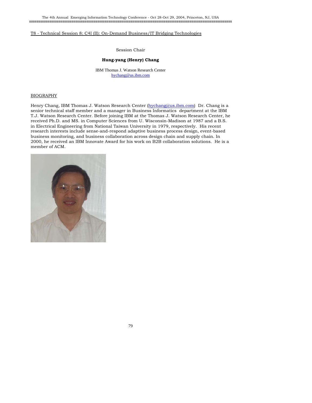## T8 - Technical Session 8: C4I (II): On-Demand Business/IT Bridging Technologies

Session Chair

## **Hung-yang (Henry) Chang**

IBM Thomas J. Watson Research Center hychang@us.ibm.com

# BIOGRAPHY

Henry Chang, IBM Thomas J. Watson Research Center (hychang@us.ibm.com) Dr. Chang is a senior technical staff member and a manager in Business Informatics department at the IBM T.J. Watson Research Center. Before joining IBM at the Thomas J. Watson Research Center, he received Ph.D. and MS. in Computer Sciences from U. Wisconsin-Madison at 1987 and a B.S. in Electrical Engineering from National Taiwan University in 1979, respectively. His recent research interests include sense-and-respond adaptive business process design, event-based business monitoring, and business collaboration across design chain and supply chain. In 2000, he received an IBM Innovate Award for his work on B2B collaboration solutions. He is a member of ACM.

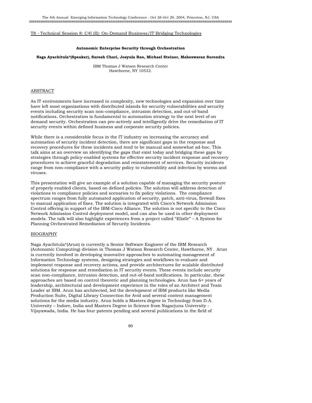## T8 - Technical Session 8: C4I (II): On-Demand Business/IT Bridging Technologies

# **Autonomic Enterprise Security through Orchestration**

#### **Naga Ayachitula\*(Speaker), Suresh Chari, Josyula Rao, Michael Steiner, Maheswaran Surendra**

IBM Thomas J Watson Research Center Hawthorne, NY 10532.

## ABSTRACT

As IT environments have increased in complexity, new technologies and expansion over time have left most organizations with distributed islands for security vulnerabilities and security events including security scan non-compliance, intrusion detection, and out-of-band notifications. Orchestration is fundamental to automation strategy to the next level of on demand security. Orchestration can pro-actively and intelligently drive the remediation of IT security events within defined business and corporate security policies.

While there is a considerable focus in the IT industry on increasing the accuracy and automation of security incident detection, there are significant gaps in the response and recovery procedures for these incidents and tend to be manual and somewhat ad-hoc. This talk aims at an overview on identifying the gaps that exist today and bridging these gaps by strategies through policy-enabled systems for effective security incident response and recovery procedures to achieve graceful degradation and reinstatement of services. Security incidents range from non-compliance with a security policy to vulnerability and infection by worms and viruses.

This presentation will give an example of a solution capable of managing the security posture of properly enabled clients, based on defined policies. The solution will address detection of violations to compliance policies and scenarios to fix policy violations. The compliance spectrum ranges from fully automated application of security, patch, anti-virus, firewall fixes to manual application of fixes. The solution is integrated with Cisco's Network Admission Control offering in support of the IBM-Cisco Alliance. The solution is not specific to the Cisco Network Admission Control deployment model, and can also be used in other deployment models. The talk will also highlight experiences from a project called "Elix0r" – A System for Planning Orchestrated Remediation of Security Incidents.

## BIOGRAPHY

Naga Ayachitula\*(Arun) is currently a Senior Software Engineer of the IBM Research (Autonomic Computing) division in Thomas J Watson Research Center, Hawthorne, NY. Arun is currently involved in developing innovative approaches to automating management of Information Technology systems, designing strategies and workflows to evaluate and implement response and recovery actions, and provide architectures for scalable distributed solutions for response and remediation in IT security events. These events include security scan non-compliance, intrusion detection, and out-of-band notifications. In particular, these approaches are based on control theoretic and planning technologies. Arun has 6+ years of leadership, architectural and development experience in the roles of an Architect and Team Leader at IBM. Arun has architected, led the development of IBM products like Media Production Suite, Digital Library Connection for Avid and several content management solutions for the media industry. Arun holds a Masters degree in Technology from D.A. University – Indore, India and Masters Degree in Science from Nagarjuna University - Vijayawada, India. He has four patents pending and several publications in the field of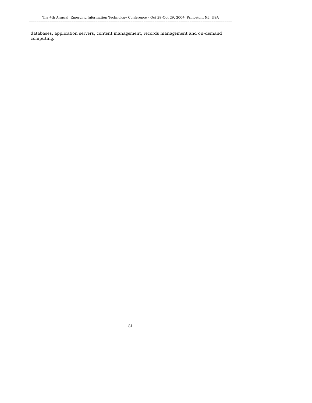databases, application servers, content management, records management and on-demand computing.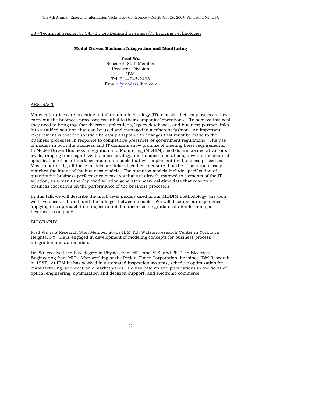# T8 - Technical Session 8: C4I (II): On-Demand Business/IT Bridging Technologies

## **Model-Driven Business Integration and Monitoring**

**Fred Wu**  Research Staff Member Research Division IBM Tel: 914-945-2498 Email: fywu@us.ibm.com

## ABSTRACT

Many enterprises are investing in information technology (IT) to assist their employees as they carry out the business processes essential to their companies' operations. To achieve this goal they need to bring together discrete applications, legacy databases, and business partner links into a unified solution that can be used and managed in a coherent fashion. An important requirement is that the solution be easily adaptable to changes that must be made to the business processes in response to competitive pressures or government regulations. The use of models in both the business and IT domains show promise of meeting these requirements. In Model-Driven Business Integration and Monitoring (MDBIM), models are created at various levels, ranging from high-level business strategy and business operations, down to the detailed specification of user interfaces and data models that will implement the business processes. Most importantly, all these models are linked together to ensure that the IT solution closely matches the intent of the business models. The business models include specification of quantitative business performance measures that are directly mapped to elements of the IT solution; as a result the deployed solution generates near-real-time data that reports to business executives on the performance of the business processes.

In this talk we will describe the multi-level models used in our MDBIM methodology, the tools we have used and built, and the linkages between models. We will describe our experience applying this approach in a project to build a business integration solution for a major healthcare company.

## BIOGRAPHY

Fred Wu is a Research Staff Member at the IBM T.J. Watson Research Center in Yorktown Heights, NY. He is engaged in development of modeling concepts for business process integration and automation.

Dr. Wu received the B.S. degree in Physics from MIT, and M.S. and Ph.D. in Electrical Engineering from MIT. After working at the Perkin-Elmer Corporation, he joined IBM Research in 1987. At IBM he has worked in automated inspection systems, schedule optimization for manufacturing, and electronic marketplaces. He has patents and publications in the fields of optical engineering, optimization and decision support, and electronic commerce.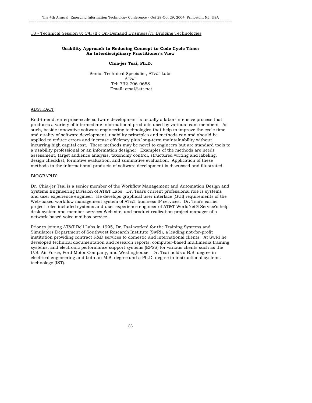## T8 - Technical Session 8: C4I (II): On-Demand Business/IT Bridging Technologies

# **Usability Approach to Reducing Concept-to-Code Cycle Time: An Interdisciplinary Practitioner's View**

## **Chia-jer Tsai, Ph.D.**

Senior Technical Specialist, AT&T Labs AT&T Tel: 732-706-0658 Email: ctsai@att.net

# **ABSTRACT**

End-to-end, enterprise-scale software development is usually a labor-intensive process that produces a variety of intermediate informational products used by various team members. As such, beside innovative software engineering technologies that help to improve the cycle time and quality of software development, usability principles and methods can and should be applied to reduce errors and increase efficiency plus long-term maintainability without incurring high capital cost. These methods may be novel to engineers but are standard tools to a usability professional or an information designer. Examples of the methods are needs assessment, target audience analysis, taxonomy control, structured writing and labeling, design checklist, formative evaluation, and summative evaluation. Application of these methods to the informational products of software development is discussed and illustrated.

# BIOGRAPHY

Dr. Chia-jer Tsai is a senior member of the Workflow Management and Automation Design and Systems Engineering Division of AT&T Labs. Dr. Tsai's current professional role is systems and user experience engineer. He develops graphical user interface (GUI) requirements of the Web-based workflow management system of AT&T business IP services. Dr. Tsai's earlier project roles included systems and user experience engineer of AT&T WorldNet® Service's help desk system and member services Web site, and product realization project manager of a network-based voice mailbox service.

Prior to joining AT&T Bell Labs in 1995, Dr. Tsai worked for the Training Systems and Simulators Department of Southwest Research Institute (SwRI), a leading not-for-profit institution providing contract R&D services to domestic and international clients. At SwRI he developed technical documentation and research reports, computer-based multimedia training systems, and electronic performance support systems (EPSS) for various clients such as the U.S. Air Force, Ford Motor Company, and Westinghouse. Dr. Tsai holds a B.S. degree in electrical engineering and both an M.S. degree and a Ph.D. degree in instructional systems technology (IST).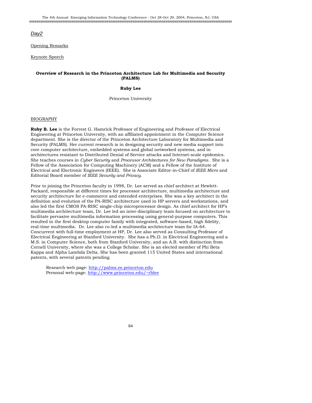# *Day2*

Opening Remarks

Keynote Speech

# **Overview of Research in the Princeton Architecture Lab for Multimedia and Security (PALMS)**

# **Ruby Lee**

Princeton University

## BIOGRAPHY

**Ruby B. Lee** is the Forrest G. Hamrick Professor of Engineering and Professor of Electrical Engineering at Princeton University, with an affiliated appointment in the Computer Science department. She is the director of the Princeton Architecture Laboratory for Multimedia and Security (PALMS). Her current research is in designing security and new media support into core computer architecture, embedded systems and global networked systems, and in architectures resistant to Distributed Denial of Service attacks and Internet-scale epidemics. She teaches courses in *Cyber Security* and *Processor Architectures for New Paradigms*. She is a Fellow of the Association for Computing Machinery (ACM) and a Fellow of the Institute of Electrical and Electronic Engineers (IEEE). She is Associate Editor-in-Chief of *IEEE Micro* and Editorial Board member of *IEEE Security and Privacy*.

Prior to joining the Princeton faculty in 1998, Dr. Lee served as chief architect at Hewlett-Packard, responsible at different times for processor architecture, multimedia architecture and security architecture for e-commerce and extended enterprises. She was a key architect in the definition and evolution of the PA-RISC architecture used in HP servers and workstations, and also led the first CMOS PA-RISC single-chip microprocessor design. As chief architect for HP's multimedia architecture team, Dr. Lee led an inter-disciplinary team focused on architecture to facilitate pervasive multimedia information processing using general-purpose computers. This resulted in the first desktop computer family with integrated, software-based, high fidelity, real-time multimedia. Dr. Lee also co-led a multimedia architecture team for IA-64. Concurrent with full-time employment at HP, Dr. Lee also served as Consulting Professor of Electrical Engineering at Stanford University. She has a Ph.D. in Electrical Engineering and a M.S. in Computer Science, both from Stanford University, and an A.B. with distinction from Cornell University, where she was a College Scholar. She is an elected member of Phi Beta Kappa and Alpha Lambda Delta. She has been granted 115 United States and international patents, with several patents pending.

Research web page: http://palms.ee.princeton.edu Personal web-page: http://www.princeton.edu/~rblee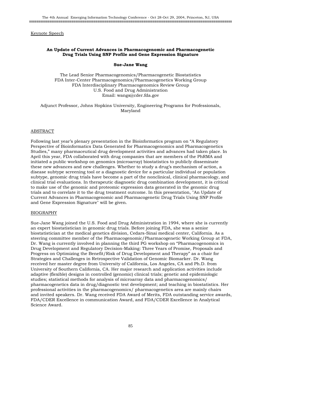## Keynote Speech

# **An Update of Current Advances in Pharmacogenomic and Pharmacogenetic Drug Trials Using SNP Profile and Gene Expression Signature**

#### **Sue-Jane Wang**

The Lead Senior Pharmacogenomics/Pharmacogenetic Biostatistics FDA Inter-Center Pharmacogenomics/Pharmacogenetics Working Group FDA Interdisciplinary Pharmacogenomics Review Group U.S. Food and Drug Administration Email: wangs@cder.fda.gov

Adjunct Professor, Johns Hopkins University, Engineering Programs for Professionals, Maryland

## ABSTRACT

Following last year's plenary presentation in the Bioinformatics program on "A Regulatory Perspective of Bioinformatics Data Generated for Pharmacogenomics and Pharmacogenetics Studies," many pharmaceutical drug development activities and advances had taken place. In April this year, FDA collaborated with drug companies that are members of the PhRMA and initiated a public workshop on genomics (microarray) biostatistics to publicly disseminate these new advances and new challenges. Whether to study a drug's mechanism of action, a disease subtype screening tool or a diagnostic device for a particular individual or population subtype, genomic drug trials have become a part of the nonclinical, clinical pharmacology, and clinical trial evaluations. In therapeutic diagnostic drug combination development, it is critical to make use of the genomic and proteomic expression data generated in the genomic drug trials and to correlate it to the drug treatment outcome. In this presentation, "An Update of Current Advances in Pharmacogenomic and Pharmacogenetic Drug Trials Using SNP Profile and Gene Expression Signature" will be given.

# BIOGRAPHY

Sue-Jane Wang joined the U.S. Food and Drug Administration in 1994, where she is currently an expert biostatistician in genomic drug trials. Before joining FDA, she was a senior biostatistician at the medical genetics division, Cedars-Sinai medical center, California. As a steering committee member of the Pharmacogenomic/Pharmacogenetic Working Group at FDA, Dr. Wang is currently involved in planning the third PG workshop on "Pharmacogenomics in Drug Development and Regulatory Decision-Making: Three Years of Promise, Proposals and Progress on Optimizing the Benefit/Risk of Drug Development and Therapy" as a chair for Strategies and Challenges in Retrospective Validation of Genomic Biomarker. Dr. Wang received her master degree from University of California, Los Angeles, CA and Ph.D. from University of Southern California, CA. Her major research and application activities include adaptive (flexible) designs in controlled (genomic) clinical trials; genetic and epidemiologic studies; statistical methods for analysis of microarray data and pharmacogenomics/ pharmacogenetics data in drug/diagnostic test development; and teaching in biostatistics. Her professional activities in the pharmacogenomics/ pharmacogenetics area are mainly chairs and invited speakers. Dr. Wang received FDA Award of Merits, FDA outstanding service awards, FDA/CDER Excellence in communication Award, and FDA/CDER Excellence in Analytical Science Award.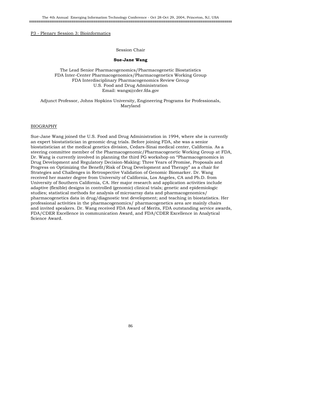P3 - Plenary Session 3: Bioinformatics

## Session Chair

#### **Sue-Jane Wang**

The Lead Senior Pharmacogenomics/Pharmacogenetic Biostatistics FDA Inter-Center Pharmacogenomics/Pharmacogenetics Working Group FDA Interdisciplinary Pharmacogenomics Review Group U.S. Food and Drug Administration Email: wangs@cder.fda.gov

Adjunct Professor, Johns Hopkins University, Engineering Programs for Professionals, Maryland

# BIOGRAPHY

Sue-Jane Wang joined the U.S. Food and Drug Administration in 1994, where she is currently an expert biostatistician in genomic drug trials. Before joining FDA, she was a senior biostatistician at the medical genetics division, Cedars-Sinai medical center, California. As a steering committee member of the Pharmacogenomic/Pharmacogenetic Working Group at FDA, Dr. Wang is currently involved in planning the third PG workshop on "Pharmacogenomics in Drug Development and Regulatory Decision-Making: Three Years of Promise, Proposals and Progress on Optimizing the Benefit/Risk of Drug Development and Therapy" as a chair for Strategies and Challenges in Retrospective Validation of Genomic Biomarker. Dr. Wang received her master degree from University of California, Los Angeles, CA and Ph.D. from University of Southern California, CA. Her major research and application activities include adaptive (flexible) designs in controlled (genomic) clinical trials; genetic and epidemiologic studies; statistical methods for analysis of microarray data and pharmacogenomics/ pharmacogenetics data in drug/diagnostic test development; and teaching in biostatistics. Her professional activities in the pharmacogenomics/ pharmacogenetics area are mainly chairs and invited speakers. Dr. Wang received FDA Award of Merits, FDA outstanding service awards, FDA/CDER Excellence in communication Award, and FDA/CDER Excellence in Analytical Science Award.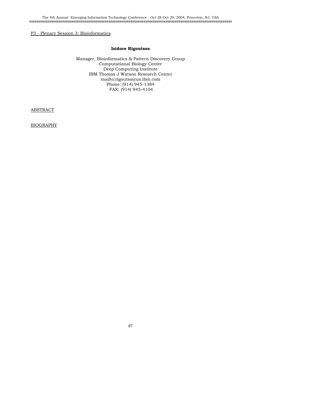# P3 - Plenary Session 3: Bioinformatics

# **Isidore Rigoutsos**

Manager, Bioinformatics & Pattern Discovery Group Computational Biology Center Deep Computing Institute IBM Thomas J Watson Research Center mailto:rigoutso@us.ibm.com Phone: (914) 945-1384 FAX: (914) 945-4104

ABSTRACT

BIOGRAPHY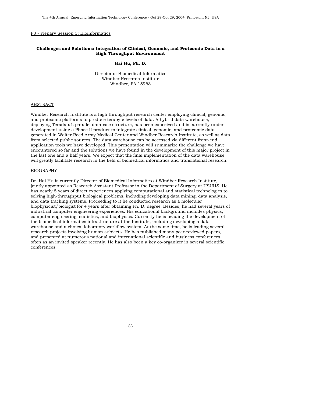#### P3 - Plenary Session 3: Bioinformatics

# **Challenges and Solutions: Integration of Clinical, Genomic, and Proteomic Data in a High Throughput Environment**

## **Hai Hu, Ph. D.**

Director of Biomedical Informatics Windber Research Institute Windber, PA 15963

## ABSTRACT

Windber Research Institute is a high throughput research center employing clinical, genomic, and proteomic platforms to produce terabyte levels of data. A hybrid data warehouse, deploying Teradata's parallel database structure, has been conceived and is currently under development using a Phase II product to integrate clinical, genomic, and proteomic data generated in Walter Reed Army Medical Center and Windber Research Institute, as well as data from selected public sources. The data warehouse can be accessed via different front-end application tools we have developed. This presentation will summarize the challenge we have encountered so far and the solutions we have found in the development of this major project in the last one and a half years. We expect that the final implementation of the data warehouse will greatly facilitate research in the field of biomedical informatics and translational research.

# BIOGRAPHY

Dr. Hai Hu is currently Director of Biomedical Informatics at Windber Research Institute, jointly appointed as Research Assistant Professor in the Department of Surgery at USUHS. He has nearly 5 years of direct experiences applying computational and statistical technologies to solving high-throughput biological problems, including developing data mining, data analysis, and data tracking systems. Proceeding to it he conducted research as a molecular biophysicist/biologist for 4 years after obtaining Ph. D. degree. Besides, he had several years of industrial computer engineering experiences. His educational background includes physics, computer engineering, statistics, and biophysics. Currently he is heading the development of the biomedical informatics infrastructure at the Institute, including developing a data warehouse and a clinical laboratory workflow system. At the same time, he is leading several research projects involving human subjects. He has published many peer-reviewed papers, and presented at numerous national and international scientific and business conferences, often as an invited speaker recently. He has also been a key co-organizer in several scientific conferences.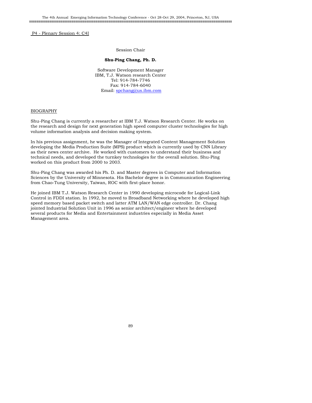## Session Chair

#### **Shu-Ping Chang, Ph. D.**

Software Development Manager IBM, T.J. Watson research Center Tel: 914-784-7746 Fax: 914-784-6040 Email: spchang@us.ibm.com

#### BIOGRAPHY

Shu-Ping Chang is currently a researcher at IBM T.J. Watson Research Center. He works on the research and design for next generation high speed computer cluster technologies for high volume information analysis and decision making system.

In his previous assignment, he was the Manager of Integrated Content Management Solution developing the Media Production Suite (MPS) product which is currently used by CNN Library as their news center archive. He worked with customers to understand their business and technical needs, and developed the turnkey technologies for the overall solution. Shu-Ping worked on this product from 2000 to 2003.

Shu-Ping Chang was awarded his Ph. D. and Master degrees in Computer and Information Sciences by the University of Minnesota. His Bachelor degree is in Communication Engineering from Chao-Tung University, Taiwan, ROC with first-place honor.

He joined IBM T.J. Watson Research Center in 1990 developing microcode for Logical-Link Control in FDDI station. In 1992, he moved to Broadband Networking where he developed high speed memory based packet switch and latter ATM LAN/WAN edge controller. Dr. Chang jointed Industrial Solution Unit in 1996 as senior architect/engineer where he developed several products for Media and Entertainment industries especially in Media Asset Management area.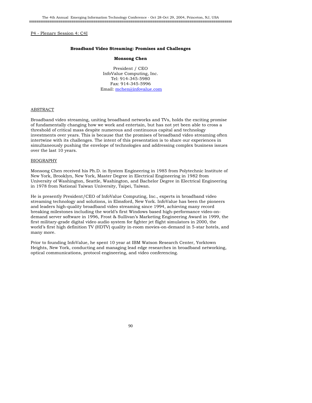#### **Broadband Video Streaming: Promises and Challenges**

## **Monsong Chen**

President / CEO InfoValue Computing, Inc. Tel: 914-345-5980 Fax: 914-345-5996 Email: mchen@infovalue.com

# **ABSTRACT**

Broadband video streaming, uniting broadband networks and TVs, holds the exciting promise of fundamentally changing how we work and entertain, but has not yet been able to cross a threshold of critical mass despite numerous and continuous capital and technology investments over years. This is because that the promises of broadband video streaming often intertwine with its challenges. The intent of this presentation is to share our experiences in simultaneously pushing the envelope of technologies and addressing complex business issues over the last 10 years.

## BIOGRAPHY

Monsong Chen received his Ph.D. in System Engineering in 1985 from Polytechnic Institute of New York, Brooklyn, New York, Master Degree in Electrical Engineering in 1982 from University of Washington, Seattle, Washington, and Bachelor Degree in Electrical Engineering in 1978 from National Taiwan University, Taipei, Taiwan.

He is presently President/CEO of InfoValue Computing, Inc., experts in broadband video streaming technology and solutions, in Elmsford, New York. InfoValue has been the pioneers and leaders high-quality broadband video streaming since 1994, achieving many record breaking milestones including the world's first Windows based high-performance video-ondemand server software in 1996, Frost & Sullivan's Marketing Engineering Award in 1999, the first military-grade digital video audio system for fighter jet flight simulators in 2000, the world's first high definition TV (HDTV) quality in-room movies-on-demand in 5-star hotels, and many more.

Prior to founding InfoValue, he spent 10 year at IBM Watson Research Center, Yorktown Heights, New York, conducting and managing lead edge researches in broadband networking, optical communications, protocol engineering, and video conferencing.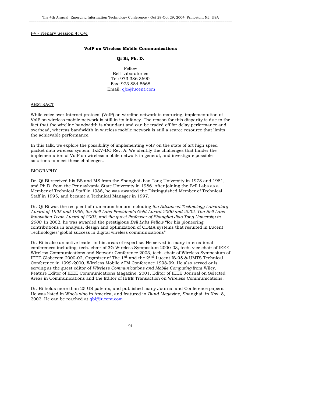#### **VoIP on Wireless Mobile Communications**

#### **Qi Bi, Ph. D.**

Fellow Bell Laboratories Tel: 973 386 3690 Fax: 973 884 5668 Email: qbi@lucent.com

## ABSTRACT

While voice over Internet protocol (VoIP) on wireline network is maturing, implementation of VoIP on wireless mobile network is still in its infancy. The reason for this disparity is due to the fact that the wireline bandwidth is abundant and can be traded off for delay performance and overhead, whereas bandwidth in wireless mobile network is still a scarce resource that limits the achievable performance.

In this talk, we explore the possibility of implementing VoIP on the state of art high speed packet data wireless system: 1xEV-DO Rev. A. We identify the challenges that hinder the implementation of VoIP on wireless mobile network in general, and investigate possible solutions to meet these challenges.

## BIOGRAPHY

Dr. Qi Bi received his BS and MS from the Shanghai Jiao Tong University in 1978 and 1981, and Ph.D. from the Pennsylvania State University in 1986. After joining the Bell Labs as a Member of Technical Staff in 1988, he was awarded the Distinguished Member of Technical Staff in 1995, and became a Technical Manager in 1997.

Dr. Qi Bi was the recipient of numerous honors including *the Advanced Technology Laboratory Award of 1995 and 1996*, *the Bell Labs President's Gold Award 2000 and 2002, The Bell Labs Innovation Team Award of 2003,* and *the guest Professor of Shanghai Jiao Tong University in 2000.* In 2002, he was awarded the prestigious *Bell Labs Fellow* "for his pioneering contributions in analysis, design and optimization of CDMA systems that resulted in Lucent Technologies' global success in digital wireless communications"

Dr. Bi is also an active leader in his areas of expertise. He served in many international conferences including: tech. chair of 3G Wireless Symposium 2000-03, tech. vice chair of IEEE Wireless Communications and Network Conference 2003, tech. chair of Wireless Symposium of IEEE Globecom 2000-02, Organizer of The 1<sup>st</sup> and the 2<sup>nd</sup> Lucent IS-95 & UMTS Technical Conference in 1999-2000, Wireless Mobile ATM Conference 1998-99. He also served or is serving as the guest editor of *Wireless Communications and Mobile Computing* from Wiley, Feature Editor of IEEE Communications Magazine, 2001, Editor of IEEE Journal on Selected Areas in Communications and the Editor of IEEE Transaction on Wireless Communications.

Dr. Bi holds more than 25 US patents, and published many Journal and Conference papers. He was listed in Who's who in America, and featured in *Bund Magazine*, Shanghai, in Nov. 8, 2002. He can be reached at *qbi@lucent.com*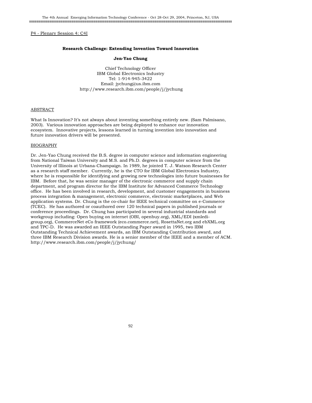#### **Research Challenge: Extending Invention Toward Innovation**

#### **Jen-Yao Chung**

Chief Technology Officer IBM Global Electronics Industry Tel: 1-914-945-3422 Email: jychung@us.ibm.com http://www.research.ibm.com/people/j/jychung

# ABSTRACT

What Is Innovation? It's not always about inventing something entirely new. (Sam Palmisano, 2003). Various innovation approaches are being deployed to enhance our innovation ecosystem. Innovative projects, lessons learned in turning invention into innovation and future innovation drivers will be presented.

# BIOGRAPHY

Dr. Jen-Yao Chung received the B.S. degree in computer science and information engineering from National Taiwan University and M.S. and Ph.D. degrees in computer science from the University of Illinois at Urbana-Champaign. In 1989, he jointed T. J. Watson Research Center as a research staff member. Currently, he is the CTO for IBM Global Electronics Industry, where he is responsible for identifying and growing new technologies into future businesses for IBM. Before that, he was senior manager of the electronic commerce and supply chain department, and program director for the IBM Institute for Advanced Commerce Technology office. He has been involved in research, development, and customer engagements in business process integration & management, electronic commerce, electronic marketplaces, and Web application systems. Dr. Chung is the co-chair for IEEE technical committee on e-Commerce (TCEC). He has authored or coauthored over 120 technical papers in published journals or conference proceedings. Dr. Chung has participated in several industrial standards and workgroup including: Open buying on internet (OBI, openbuy.org), XML/EDI (xmledigroup.org), CommerceNet eCo framework (eco.commerce.net), RosettaNet.org and ebXML.org and TPC-D. He was awarded an IEEE Outstanding Paper award in 1995, two IBM Outstanding Technical Achievement awards, an IBM Outstanding Contribution award, and three IBM Research Division awards. He is a senior member of the IEEE and a member of ACM. http://www.research.ibm.com/people/j/jychung/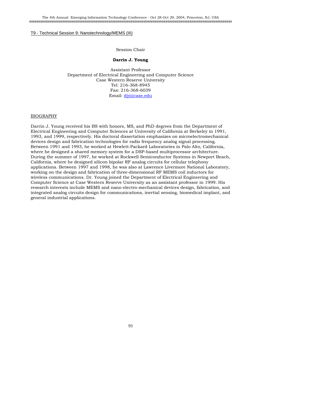Session Chair

#### **Darrin J. Young**

Assistant Professor Department of Electrical Engineering and Computer Science Case Western Reserve University Tel: 216-368-8945 Fax: 216-368-6039 Email: djy@case.edu

#### BIOGRAPHY

Darrin J. Young received his BS with honors, MS, and PhD degrees from the Department of Electrical Engineering and Computer Sciences at University of California at Berkeley in 1991, 1993, and 1999, respectively. His doctoral dissertation emphasizes on microelectromechanical devices design and fabrication technologies for radio frequency analog signal processing. Between 1991 and 1993, he worked at Hewlett-Packard Laboratories in Palo Alto, California, where he designed a shared memory system for a DSP-based multiprocessor architecture. During the summer of 1997, he worked at Rockwell Semiconductor Systems in Newport Beach, California, where he designed silicon bipolar RF analog circuits for cellular telephony applications. Between 1997 and 1998, he was also at Lawrence Livermore National Laboratory, working on the design and fabrication of three-dimensional RF MEMS coil inductors for wireless communications. Dr. Young joined the Department of Electrical Engineering and Computer Science at Case Western Reserve University as an assistant professor in 1999. His research interests include MEMS and nano-electro-mechanical devices design, fabrication, and integrated analog circuits design for communications, inertial sensing, biomedical implant, and general industrial applications.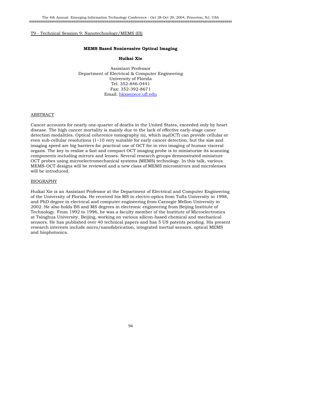#### **MEMS Based Noninvasive Optical Imaging**

## **Huikai Xie**

Assistant Professor Department of Electrical & Computer Engineering University of Florida Tel: 352-846-0441 Fax: 352-392-8671 Email: hkxie@ece.ufl.edu

# **ABSTRACT**

Cancer accounts for nearly one-quarter of deaths in the United States, exceeded only by heart disease. The high cancer mortality is mainly due to the lack of effective early-stage caner detection modalities. Optical coherence tomography m), which isµ(OCT) can provide cellular or even sub-cellular resolutions (1~10 very suitable for early cancer detection, but the size and imaging speed are big barriers for practical use of OCT for in vivo imaging of human visceral organs. The key to realize a fast and compact OCT imaging probe is to miniaturize its scanning components including mirrors and lenses. Several research groups demonstrated miniature OCT probes using microelectromechanical systems (MEMS) technology. In this talk, various MEMS-OCT designs will be reviewed and a new class of MEMS micromirrors and microlenses will be introduced.

# BIOGRAPHY

Huikai Xie is an Assistant Professor at the Department of Electrical and Computer Engineering of the University of Florida. He received his MS in electro-optics from Tufts University in 1998, and PhD degree in electrical and computer engineering from Carnegie Mellon University in 2002. He also holds BS and MS degrees in electronic engineering from Beijing Institute of Technology. From 1992 to 1996, he was a faculty member of the Institute of Microelectronics at Tsinghua University, Beijing, working on various silicon-based chemical and mechanical sensors. He has published over 40 technical papers and has 5 US patents pending. His present research interests include micro/nanofabrication, integrated inertial sensors, optical MEMS and biophotonics.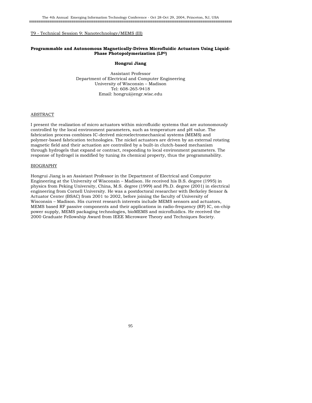# **Programmable and Autonomous Magnetically-Driven Microfluidic Actuators Using Liquid-Phase Photopolymerization (LP3)**

## **Hongrui Jiang**

Assistant Professor Department of Electrical and Computer Engineering University of Wisconsin – Madison Tel: 608-265-9418 Email: hongrui@engr.wisc.edu

# **ABSTRACT**

I present the realization of micro actuators within microfluidic systems that are autonomously controlled by the local environment parameters, such as temperature and pH value. The fabrication process combines IC-derived microelectromechanical systems (MEMS) and polymer-based fabrication technologies. The nickel actuators are driven by an external rotating magnetic field and their actuation are controlled by a built-in clutch-based mechanism through hydrogels that expand or contract, responding to local environment parameters. The response of hydrogel is modified by tuning its chemical property, thus the programmability.

## BIOGRAPHY

Hongrui Jiang is an Assistant Professor in the Department of Electrical and Computer Engineering at the University of Wisconsin – Madison. He received his B.S. degree (1995) in physics from Peking University, China, M.S. degree (1999) and Ph.D. degree (2001) in electrical engineering from Cornell University. He was a postdoctoral researcher with Berkeley Sensor & Actuator Center (BSAC) from 2001 to 2002, before joining the faculty of University of Wisconsin – Madison. His current research interests include MEMS sensors and actuators, MEMS based RF passive components and their applications in radio-frequency (RF) IC, on-chip power supply, MEMS packaging technologies, bioMEMS and microfluidics. He received the 2000 Graduate Fellowship Award from IEEE Microwave Theory and Techniques Society.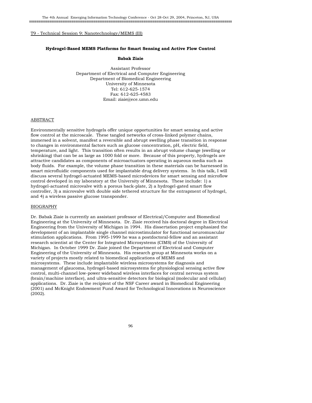#### **Hydrogel-Based MEMS Platforms for Smart Sensing and Active Flow Control**

#### **Babak Ziaie**

Assistant Professor Department of Electrical and Computer Engineering Department of Biomedical Engineering University of Minnesota Tel: 612-625-1574 Fax: 612-625-4583 Email: ziaie@ece.umn.edu

# ABSTRACT

Environmentally sensitive hydrogels offer unique opportunities for smart sensing and active flow control at the microscale. These tangled networks of cross-linked polymer chains, immersed in a solvent, manifest a reversible and abrupt swelling phase transition in response to changes in environmental factors such as glucose concentration, pH, electric field, temperature, and light. This transition often results in an abrupt volume change (swelling or shrinking) that can be as large as 1000 fold or more. Because of this property, hydrogels are attractive candidates as components of microactuators operating in aqueous media such as body fluids. For example, the volume phase transition in these materials can be harnessed in smart microfluidic components used for implantable drug delivery systems. In this talk, I will discuss several hydrogel-actuated MEMS-based microdevices for smart sensing and microflow control developed in my laboratory at the University of Minnesota. These include: 1) a hydrogel-actuated microvalve with a porous back-plate, 2) a hydrogel-gated smart flow controller, 3) a microvalve with double side tethered structure for the entrapment of hydrogel, and 4) a wireless passive glucose transponder.

# BIOGRAPHY

Dr. Babak Ziaie is currently an assistant professor of Electrical/Computer and Biomedical Engineering at the University of Minnesota. Dr. Ziaie received his doctoral degree in Electrical Engineering from the University of Michigan in 1994. His dissertation project emphasized the development of an implantable single channel microstimulator for functional neuromuscular stimulation applications. From 1995-1999 he was a postdoctoral-fellow and an assistant research scientist at the Center for Integrated Microsystems (CIMS) of the University of Michigan. In October 1999 Dr. Ziaie joined the Department of Electrical and Computer Engineering of the University of Minnesota. His research group at Minnesota works on a variety of projects mostly related to biomedical applications of MEMS and microsystems. These include implantable wireless microsystems for diagnosis and management of glaucoma, hydrogel-based microsystems for physiological sensing active flow control, multi-channel low-power wideband wireless interfaces for central nervous system (brain/machine interface), and ultra-sensitive detectors for biological (molecular and cellular) applications. Dr. Ziaie is the recipient of the NSF Career award in Biomedical Engineering (2001) and McKnight Endowment Fund Award for Technological Innovations in Neuroscience (2002).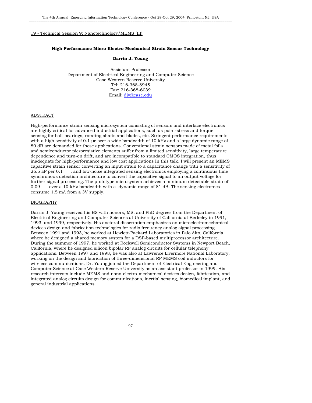#### **High-Performance Micro-Electro-Mechanical Strain Sensor Technology**

#### **Darrin J. Young**

Assistant Professor Department of Electrical Engineering and Computer Science Case Western Reserve University Tel: 216-368-8945 Fax: 216-368-6039 Email: djy@case.edu

#### ABSTRACT

High-performance strain sensing microsystem consisting of sensors and interface electronics are highly critical for advanced industrial applications, such as point-stress and torque sensing for ball-bearings, rotating shafts and blades, etc. Stringent performance requirements with a high sensitivity of 0.1 µε over a wide bandwidth of 10 kHz and a large dynamic range of 80 dB are demanded for these applications. Conventional strain sensors made of metal foils and semiconductor piezoresistive elements suffer from a limited sensitivity, large temperature dependence and turn-on drift, and are incompatible to standard CMOS integration, thus inadequate for high-performance and low cost applications In this talk, I will present an MEMS capacitive strain sensor converting an input strain to a capacitance change with a sensitivity of 26.5 aF per 0.1 , and low-noise integrated sensing electronics employing a continuous time synchronous detection architecture to convert the capacitive signal to an output voltage for further signal processing. The prototype microsystem achieves a minimum detectable strain of 0.09 over a 10 kHz bandwidth with a dynamic range of 81 dB. The sensing electronics consume 1.5 mA from a 3V supply.

#### BIOGRAPHY

Darrin J. Young received his BS with honors, MS, and PhD degrees from the Department of Electrical Engineering and Computer Sciences at University of California at Berkeley in 1991, 1993, and 1999, respectively. His doctoral dissertation emphasizes on microelectromechanical devices design and fabrication technologies for radio frequency analog signal processing. Between 1991 and 1993, he worked at Hewlett-Packard Laboratories in Palo Alto, California, where he designed a shared memory system for a DSP-based multiprocessor architecture. During the summer of 1997, he worked at Rockwell Semiconductor Systems in Newport Beach, California, where he designed silicon bipolar RF analog circuits for cellular telephony applications. Between 1997 and 1998, he was also at Lawrence Livermore National Laboratory, working on the design and fabrication of three-dimensional RF MEMS coil inductors for wireless communications. Dr. Young joined the Department of Electrical Engineering and Computer Science at Case Western Reserve University as an assistant professor in 1999. His research interests include MEMS and nano-electro-mechanical devices design, fabrication, and integrated analog circuits design for communications, inertial sensing, biomedical implant, and general industrial applications.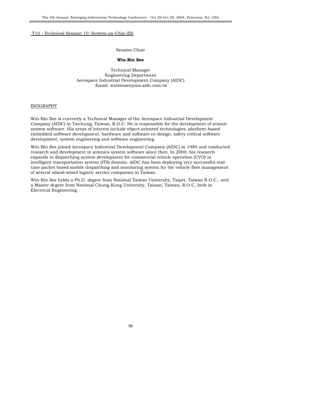Session Chair

## **Win-Bin See**

Technical Manager Engineering Department Aerospace Industrial Development Company (AIDC) Email: winbinsee@ms.aidc.com.tw

# BIOGRAPHY

Win-Bin See is currently a Technical Manager of the Aerospace Industrial Development Company (AIDC) in Taichung, Taiwan, R.O.C. He is responsible for the development of avionic system software. His areas of interest include object-oriented technologies, platform-based embedded software development, hardware and software co-design, safety critical software development, system engineering and software engineering.

Win-Bin See joined Aerospace Industrial Development Company (AIDC) in 1984 and conducted research and development in avionics system software since then. In 2000, his research expands to dispatching system development for commercial vehicle operation (CVO) in intelligent transportation system (ITS) domain. AIDC has been deploying very successful realtime packet based mobile dispatching and monitoring system for the vehicle fleet management of several island-wised logistic service companies in Taiwan.

Win-Bin See holds a Ph.D. degree from National Taiwan University, Taipei, Taiwan R.O.C., and a Master degree from National Chung-Kung University, Tainan, Taiwan, R.O.C, both in Electrical Engineering.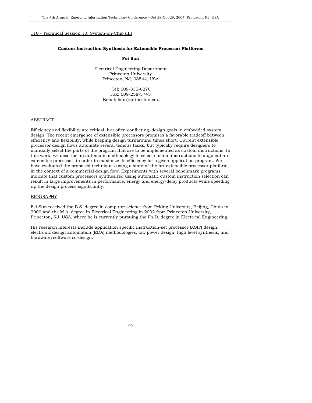## **Custom Instruction Synthesis for Extensible Processor Platforms**

#### **Fei Sun**

Electrical Engineering Department Princeton University Princeton, NJ, 08544, USA

> Tel: 609-335-8270 Fax: 609-258-3745 Email: fsun@princeton.edu

# **ABSTRACT**

Efficiency and flexibility are critical, but often conflicting, design goals in embedded system design. The recent emergence of extensible processors promises a favorable tradeoff between efficiency and flexibility, while keeping design turnaround times short. Current extensible processor design flows automate several tedious tasks, but typically require designers to manually select the parts of the program that are to be implemented as custom instructions. In this work, we describe an automatic methodology to select custom instructions to augment an extensible processor, in order to maximize its efficiency for a given application program. We have evaluated the proposed techniques using a state-of-the-art extensible processor platform, in the context of a commercial design flow. Experiments with several benchmark programs indicate that custom processors synthesized using automatic custom instruction selection can result in large improvements in performance, energy and energy-delay products while speeding up the design process significantly.

## BIOGRAPHY

Fei Sun received the B.S. degree in computer science from Peking University, Beijing, China in 2000 and the M.A. degree in Electrical Engineering in 2002 from Princeton University, Princeton, NJ, USA, where he is currently pursuing the Ph.D. degree in Electrical Engineering.

His research interests include application specific instruction-set processor (ASIP) design, electronic design automation (EDA) methodologies, low power design, high level synthesis, and hardware/software co-design.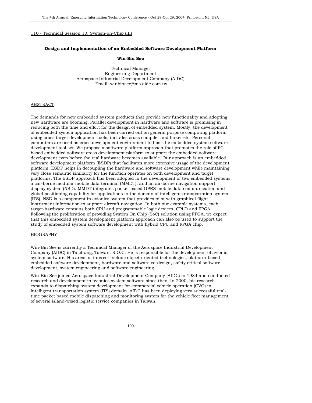#### **Design and Implementation of an Embedded Software Development Platform**

#### **Win-Bin See**

Technical Manager Engineering Department Aerospace Industrial Development Company (AIDC) Email: winbinsee@ms.aidc.com.tw

## ABSTRACT

The demands for new embedded system products that provide new functionality and adopting new hardware are booming. Parallel development in hardware and software is promising in reducing both the time and effort for the design of embedded system. Mostly, the development of embedded system application has been carried out on general purpose computing platform using cross target development tools, includes cross compiler and linker etc. Personal computers are used as cross development environment to host the embedded system software development tool set. We propose a software platform approach that promotes the role of PC based embedded software cross development platform to support the embedded software development even before the real hardware becomes available. Our approach is an embedded software development platform (ESDP) that facilitates more extensive usage of the development platform. ESDP helps in decoupling the hardware and software development while maintaining very close semantic similarity for the function operates on both development and target platforms. The ESDP approach has been adopted in the development of two embedded systems, a car-borne modular mobile data terminal (MMDT), and an air-borne navigation support display system (NSD). MMDT integrates packet based GPRS mobile data communication and global positioning capability for applications in the domain of intelligent transportation system (ITS). NSD is a component in avionics system that provides pilot with graphical flight instrument information to support aircraft navigation. In both our example systems, each target-hardware contains both CPU and programmable logic devices, CPLD and FPGA. Following the proliferation of providing System On Chip (SoC) solution using FPGA, we expect that this embedded system development platform approach can also be used to support the study of embedded system software development with hybrid CPU and FPGA chip.

## BIOGRAPHY

Win-Bin See is currently a Technical Manager of the Aerospace Industrial Development Company (AIDC) in Taichung, Taiwan, R.O.C. He is responsible for the development of avionic system software. His areas of interest include object-oriented technologies, platform-based embedded software development, hardware and software co-design, safety critical software development, system engineering and software engineering.

Win-Bin See joined Aerospace Industrial Development Company (AIDC) in 1984 and conducted research and development in avionics system software since then. In 2000, his research expands to dispatching system development for commercial vehicle operation (CVO) in intelligent transportation system (ITS) domain. AIDC has been deploying very successful realtime packet based mobile dispatching and monitoring system for the vehicle fleet management of several island-wised logistic service companies in Taiwan.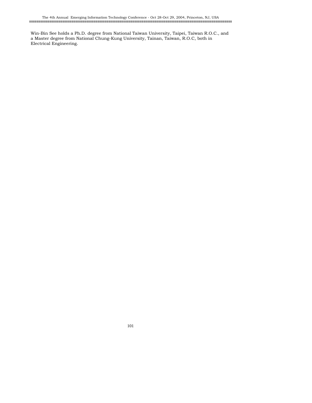Win-Bin See holds a Ph.D. degree from National Taiwan University, Taipei, Taiwan R.O.C., and a Master degree from National Chung-Kung University, Tainan, Taiwan, R.O.C, both in Electrical Engineering.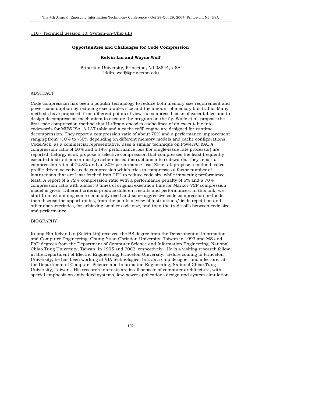# **Opportunities and Challenges for Code Compression**

#### **Kelvin Lin and Wayne Wolf**

Princeton University, Princeton, NJ 08544, USA {kklin, wolf}@princeton.edu

## ABSTRACT

Code compression has been a popular technology to reduce both memory size requirement and power consumption by reducing executables size and the amount of memory bus traffic. Many methods have proposed, from different points of view, to compress blocks of executables and to design decompression mechanism to execute the program on the fly. Wolfe et al. propose the first code compression method that Huffman-encodes cache lines of an executable into codewords for MIPS ISA. A LAT table and a cache refill engine are designed for runtime decompression. They report a compression ratio of about 70% and a performance improvement ranging from +10% to -30% depending on different memory models and cache configurations. CodePack, as a commercial representative, uses a similar technique on PowerPC ISA. A compression ratio of 60% and a 14% performance loss (for single-issue rate processor) are reported. Lefurgy et al. propose a selective compression that compresses the least frequently executed instructions or mostly cache-missed instructions into codewords. They report a compression ratio of 72.8% and an 80% performance loss. Xie et al. propose a method called profile-driven selective code compression which tries to compresses a factor number of instructions that are least fetched into CPU to reduce code size while impacting performance least. A report of a 72% compression ratio with a performance penalty of 6% and a 70% compression ratio with almost 8 times of original execution time for Markov V2F compression model is given. Different criteria produce different results and performances. In this talk, we start from examining some commonly used and some aggressive code compression methods, then discuss the opportunities, from the points of view of instructions/fields repetition and other characteristics, for achieving smaller code size, and then the trade-offs between code size and performance.

## BIOGRAPHY

Kuang-Bin Kelvin Lin (Kelvin Lin) received the BS degree from the Department of Information and Computer Engineering, Chung-Yuan Christian University, Taiwan in 1993 and MS and PhD degrees from the Department of Computer Science and Information Engineering, National Chiao Tung University, Taiwan, in 1995 and 2002, respectively. He is a visiting research fellow in the Department of Electric Engineering, Princeton University. Before coming to Princeton University, he has been working at VIA technologies, Inc. as a chip designer and a lecturer at the Department of Computer Science and Information Engineering, National Chiao Tung University, Taiwan. His research interests are in all aspects of computer architecture, with special emphasis on embedded systems, low-power applications design and system simulation.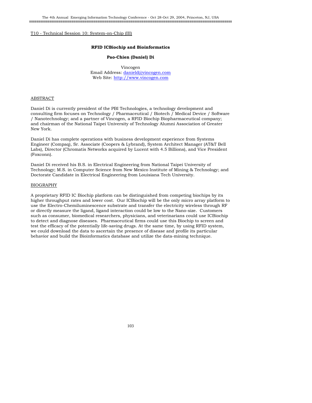# **RFID ICBiochip and Bioinformatics**

#### **Pao-Chien (Daniel) Di**

Vincogen Email Address: danield@vincogen.com Web Site: http://www.vincogen.com

# ABSTRACT

Daniel Di is currently president of the PBI Technologies, a technology development and consulting firm focuses on Technology / Pharmaceutical / Biotech / Medical Device / Software / Nanotechnology; and a partner of Vincogen, a RFID Biochip Biopharmaceutical company; and chairman of the National Taipei University of Technology Alumni Association of Greater New York.

Daniel Di has complete operations with business development experience from Systems Engineer (Compaq), Sr. Associate (Coopers & Lybrand), System Architect Manager (AT&T Bell Labs), Director (Chromatis Networks acquired by Lucent with 4.5 Billions), and Vice President (Foxconn).

Daniel Di received his B.S. in Electrical Engineering from National Taipei University of Technology; M.S. in Computer Science from New Mexico Institute of Mining & Technology; and Doctorate Candidate in Electrical Engineering from Louisiana Tech University.

#### BIOGRAPHY

A proprietary RFID IC Biochip platform can be distinguished from competing biochips by its higher throughput rates and lower cost. Our ICBiochip will be the only micro array platform to use the Electro-Chemiluminescence substrate and transfer the electricity wireless through RF or directly measure the ligand, ligand interaction could be low to the Nano-size. Customers such as consumer, biomedical researchers, physicians, and veterinarians could use ICBiochip to detect and diagnose diseases. Pharmaceutical firms could use this Biochip to screen and test the efficacy of the potentially life-saving drugs. At the same time, by using RFID system, we could download the data to ascertain the presence of disease and profile its particular behavior and build the Bioinformatics database and utilize the data-mining technique.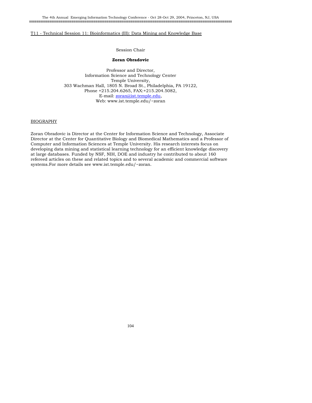# Session Chair

# **Zoran Obradovic**

Professor and Director, Information Science and Technology Center Temple University, 303 Wachman Hall, 1805 N. Broad St., Philadelphia, PA 19122, Phone +215.204.6265, FAX:+215.204.5082, E-mail: zoran@ist.temple.edu, Web: www.ist.temple.edu/~zoran

# BIOGRAPHY

Zoran Obradovic is Director at the Center for Information Science and Technology, Associate Director at the Center for Quantitative Biology and Biomedical Mathematics and a Professor of Computer and Information Sciences at Temple University. His research interests focus on developing data mining and statistical learning technology for an efficient knowledge discovery at large databases. Funded by NSF, NIH, DOE and industry he contributed to about 160 refereed articles on these and related topics and to several academic and commercial software systems.For more details see www.ist.temple.edu/~zoran.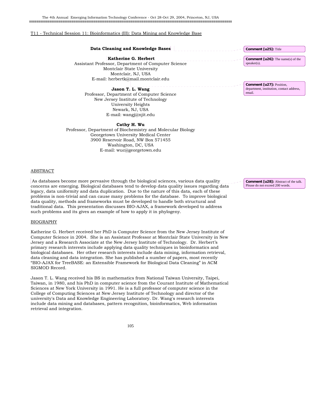**==============================================================================================================**

## T11 - Technical Session 11: Bioinformatics (III): Data Mining and Knowledge Base

# **Data Cleaning and Knowledge Bases**

 **Katherine G. Herbert**  Assistant Professor, Department of Computer Science Montclair State University Montclair, NJ, USA E-mail: herbertk@mail.montclair.edu

# **Jason T. L. Wang**

Professor, Department of Computer Science New Jersey Institute of Technology University Heights Newark, NJ, USA E-mail: wangj@njit.edu

## **Cathy H. Wu**

Professor, Department of Biochemistry and Molecular Biology Georgetown University Medical Center 3900 Reservoir Road, NW Box 571455 Washington, DC, USA E-mail: wuc@georgetown.edu

# ABSTRACT

 As databases become more pervasive through the biological sciences, various data quality concerns are emerging. Biological databases tend to develop data quality issues regarding data legacy, data uniformity and data duplication. Due to the nature of this data, each of these problems is non-trivial and can cause many problems for the database. To improve biological data quality, methods and frameworks must be developed to handle both structural and traditional data. This presentation discusses BIO-AJAX, a framework developed to address such problems and its gives an example of how to apply it in phylogeny.

## BIOGRAPHY

Katherine G. Herbert received her PhD is Computer Science from the New Jersey Institute of Computer Science in 2004. She is an Assistant Professor at Montclair State University in New Jersey and a Research Associate at the New Jersey Institute of Technology. Dr. Herbert's primary research interests include applying data quality techniques in bioinformatics and biological databases. Her other research interests include data mining, information retrieval, data cleaning and data integration. She has published a number of papers, most recently "BIO-AJAX for TreeBASE: an Extensible Framework for Biological Data Cleaning" in ACM SIGMOD Record.

Jason T. L. Wang received his BS in mathematics from National Taiwan University, Taipei, Taiwan, in 1980, and his PhD in computer science from the Courant Institute of Mathematical Sciences at New York University in 1991. He is a full professor of computer science in the College of Computing Sciences at New Jersey Institute of Technology and director of the university's Data and Knowledge Engineering Laboratory. Dr. Wang's research interests include data mining and databases, pattern recognition, bioinformatics, Web information retrieval and integration.

**Comment [u26]:** The name(s) of the speaker(s).

**Comment [u27]:** Position, department, institution, contact address, email.

**Comment [u28]:** Abstract of the talk. Please do not exceed 200 words.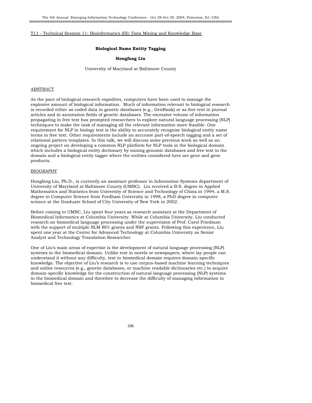# **Biological Name Entity Tagging**

#### **Hongfang Liu**

## University of Maryland at Baltimore County

# **ABSTRACT**

As the pace of biological research expedites, computers have been used to manage the explosive amount of biological information. Much of information relevant to biological research is recorded either as coded data in genetic databases (e.g., GenBank) or as free text in journal articles and in annotation fields of genetic databases. The excessive volume of information propagating in free text has prompted researchers to explore natural language processing (NLP) techniques to make the task of managing all the relevant information more feasible. One requirement for NLP in biology text is the ability to accurately recognize biological entity name terms in free text. Other requirements include an accurate part-of-speech tagging and a set of relational pattern templates. In this talk, we will discuss some previous work as well as an ongoing project on developing a common NLP platform for NLP tools in the biological domain which includes a biological entity dictionary by mining genomic databases and free text in the domain and a biological entity tagger where the entities considered here are gene and gene products.

# BIOGRAPHY

Hongfang Liu, Ph.D., is currently an assistant professor in Information Systems department of University of Maryland at Baltimore County (UMBC). Liu received a B.S. degree in Applied Mathematics and Statistics from University of Science and Technology of China in 1994, a M.S. degree in Computer Science from Fordham University in 1998, a PhD degree in computer science at the Graduate School of City University of New York in 2002.

Before coming to UMBC, Liu spent four years as research assistant at the Department of Biomedical Informatics at Columbia University. While at Columbia University, Liu conducted research on biomedical language processing under the supervision of Prof. Carol Friedman with the support of multiple NLM R01 grants and NSF grants. Following this experience, Liu spent one year at the Center for Advanced Technology at Columbia University as Senior Analyst and Technology Translation Researcher.

One of Liu's main areas of expertise is the development of natural language processing (NLP) systems in the biomedical domain. Unlike text in novels or newspapers, where lay people can understand it without any difficulty, text in biomedical domain requires domain-specific knowledge. The objective of Liu's research is to use corpus-based machine learning techniques and online resources (e.g., genetic databases, or machine readable dictionaries etc.) to acquire domain-specific knowledge for the construction of natural language processing (NLP) systems in the biomedical domain and therefore to decrease the difficulty of managing information in biomedical free text.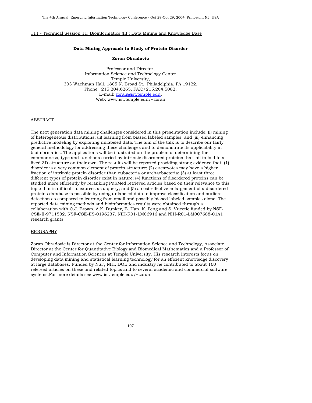# **Data Mining Approach to Study of Protein Disorder**

## **Zoran Obradovic**

Professor and Director, Information Science and Technology Center Temple University, 303 Wachman Hall, 1805 N. Broad St., Philadelphia, PA 19122, Phone +215.204.6265, FAX:+215.204.5082, E-mail: zoran@ist.temple.edu, Web: www.ist.temple.edu/~zoran

# ABSTRACT

The next generation data mining challenges considered in this presentation include: (i) mining of heterogeneous distributions; (ii) learning from biased labeled samples; and (iii) enhancing predictive modeling by exploiting unlabeled data. The aim of the talk is to describe our fairly general methodology for addressing these challenges and to demonstrate its applicability in bioinformatics. The applications will be illustrated on the problem of determining the commonness, type and functions carried by intrinsic disordered proteins that fail to fold to a fixed 3D structure on their own. The results will be reported providing strong evidence that: (1) disorder is a very common element of protein structure; (2) eucaryotes may have a higher fraction of intrinsic protein disorder than eubacteria or archaebacteria; (3) at least three different types of protein disorder exist in nature; (4) functions of disordered proteins can be studied more efficiently by reranking PubMed retrieved articles based on their relevance to this topic that is difficult to express as a query; and (5) a cost-effective enlargement of a disordered proteins database is possible by using unlabeled data to improve classification and outliers detection as compared to learning from small and possibly biased labeled samples alone. The reported data mining methods and bioinformatics results were obtained through a collaboration with C.J. Brown, A.K. Dunker, B. Han, K. Peng and S. Vucetic funded by NSF-CSE-II-9711532, NSF-CSE-IIS-0196237, NIH-R01-LM06916 and NIH-R01-LM007688-01A1 research grants.

## BIOGRAPHY

Zoran Obradovic is Director at the Center for Information Science and Technology, Associate Director at the Center for Quantitative Biology and Biomedical Mathematics and a Professor of Computer and Information Sciences at Temple University. His research interests focus on developing data mining and statistical learning technology for an efficient knowledge discovery at large databases. Funded by NSF, NIH, DOE and industry he contributed to about 160 refereed articles on these and related topics and to several academic and commercial software systems.For more details see www.ist.temple.edu/~zoran.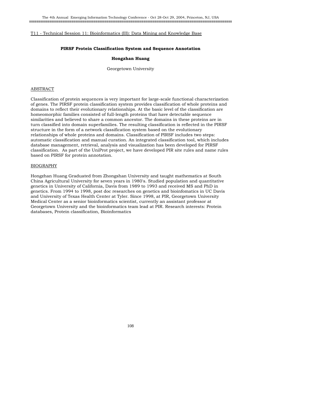#### **PIRSF Protein Classification System and Sequence Annotation**

#### **Hongzhan Huang**

Georgetown University

## ABSTRACT

Classification of protein sequences is very important for large-scale functional characterization of genes. The PIRSF protein classification system provides classification of whole proteins and domains to reflect their evolutionary relationships. At the basic level of the classification are homeomorphic families consisted of full-length proteins that have detectable sequence similarities and believed to share a common ancestor. The domains in these proteins are in turn classified into domain superfamilies. The resulting classification is reflected in the PIRSF structure in the form of a network classification system based on the evolutionary relationships of whole proteins and domains. Classification of PIRSF includes two steps: automatic classification and manual curation. An integrated classification tool, which includes database management, retrieval, analysis and visualization has been developed for PIRSF classification. As part of the UniProt project, we have developed PIR site rules and name rules based on PIRSF for protein annotation.

# BIOGRAPHY

Hongzhan Huang Graduated from Zhongshan University and taught mathematics at South China Agricultural University for seven years in 1980's. Studied population and quantitative genetics in University of California, Davis from 1989 to 1993 and received MS and PhD in genetics. From 1994 to 1998, post doc researches on genetics and bioinfomatics in UC Davis and University of Texas Health Center at Tyler. Since 1998, at PIR, Georgetown University Medical Center as a senior bioinformatics scientist, currently an assistant professor at Georgetown University and the bioinformatics team lead at PIR. Research interests: Protein databases, Protein classification, Bioinformatics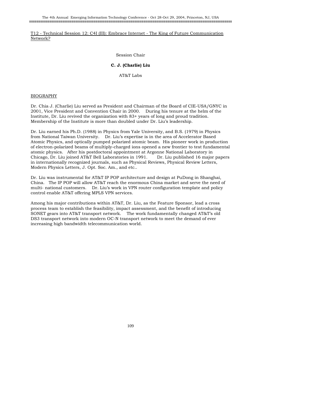# T12 - Technical Session 12: C4I (III): Embrace Internet - The King of Future Communication Network?

### Session Chair

# **C. J. (Charlie) Liu**

AT&T Labs

### BIOGRAPHY

Dr. Chia J. (Charlie) Liu served as President and Chairman of the Board of CIE-USA/GNYC in 2001, Vice President and Convention Chair in 2000. During his tenure at the helm of the Institute, Dr. Liu revived the organization with 83+ years of long and proud tradition. Membership of the Institute is more than doubled under Dr. Liu's leadership.

Dr. Liu earned his Ph.D. (1988) in Physics from Yale University, and B.S. (1979) in Physics from National Taiwan University. Dr. Liu's expertise is in the area of Accelerator Based Atomic Physics, and optically pumped polarized atomic beam. His pioneer work in production of electron-polarized beams of multiply-charged ions opened a new frontier to test fundamental atomic physics. After his postdoctoral appointment at Argonne National Laboratory in Chicago, Dr. Liu joined AT&T Bell Laboratories in 1991. Dr. Liu published 16 major papers in internationally recognized journals, such as Physical Reviews, Physical Review Letters, Modern Physics Letters, J. Opt. Soc. Am., and etc..

Dr. Liu was instrumental for AT&T IP POP architecture and design at PuDong in Shanghai, China. The IP POP will allow AT&T reach the enormous China market and serve the need of multi- national customers. Dr. Liu's work in VPN router configuration template and policy control enable AT&T offering MPLS VPN services.

Among his major contributions within AT&T, Dr. Liu, as the Feature Sponsor, lead a cross process team to establish the feasibility, impact assessment, and the benefit of introducing SONET gears into AT&T transport network. The work fundamentally changed AT&T's old DS3 transport network into modern OC-N transport network to meet the demand of ever increasing high bandwidth telecommunication world.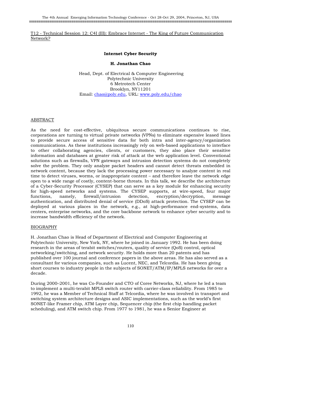# T12 - Technical Session 12: C4I (III): Embrace Internet - The King of Future Communication Network?

### **Internet Cyber Security**

### **H. Jonathan Chao**

 Head, Dept. of Electrical & Computer Engineering Polytechnic University 6 Metrotech Center Brooklyn, NY11201 Email: chao@poly.edu, URL: www.poly.edu/chao

# **ABSTRACT**

As the need for cost-effective, ubiquitous secure communications continues to rise, corporations are turning to virtual private networks (VPNs) to eliminate expensive leased lines to provide secure access of sensitive data for both intra and inter-agency/organization communications. As these institutions increasingly rely on web-based applications to interface to other collaborating agencies, clients, or customers, they also place their sensitive information and databases at greater risk of attack at the web application level. Conventional solutions such as firewalls, VPN gateways and intrusion detection systems do not completely solve the problem. They only analyze packet headers and cannot detect threats embedded in network content, because they lack the processing power necessary to analyze content in real time to detect viruses, worms, or inappropriate content – and therefore leave the network edge open to a wide range of costly, content-borne threats. In this talk, we describe the architecture of a Cyber-Security Processor (CYSEP) that can serve as a key module for enhancing security for high-speed networks and systems. The CYSEP supports, at wire-speed, four major functions, namely, firewall/intrusion detection, encryption/decryption, message authentication, and distributed denial of service (DDoS) attack protection. The CYSEP can be deployed at various places in the network, e.g., at high-performance end-systems, data centers, enterprise networks, and the core backbone network to enhance cyber security and to increase bandwidth efficiency of the network.

# BIOGRAPHY

H. Jonathan Chao is Head of Department of Electrical and Computer Engineering at Polytechnic University, New York, NY, where he joined in January 1992. He has been doing research in the areas of terabit switches/routers, quality of service (QoS) control, optical networking/switching, and network security. He holds more than 20 patents and has published over 100 journal and conference papers in the above areas. He has also served as a consultant for various companies, such as Lucent, NEC, and Telcordia. He has been giving short courses to industry people in the subjects of SONET/ATM/IP/MPLS networks for over a decade.

During 2000–2001, he was Co-Founder and CTO of Coree Networks, NJ, where he led a team to implement a multi-terabit MPLS switch router with carrier-class reliability. From 1985 to 1992, he was a Member of Technical Staff at Telcordia, where he was involved in transport and switching system architecture designs and ASIC implementations, such as the world's first SONET-like Framer chip, ATM Layer chip, Sequencer chip (the first chip handling packet scheduling), and ATM switch chip. From 1977 to 1981, he was a Senior Engineer at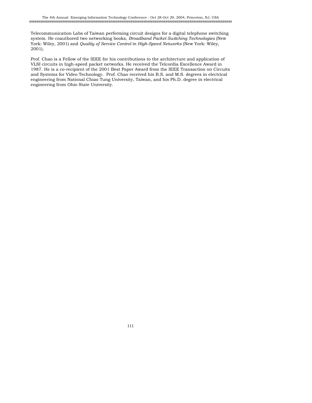Telecommunication Labs of Taiwan performing circuit designs for a digital telephone switching system. He coauthored two networking books, *Broadband Packet Switching Technologies* (New York: Wiley, 2001) and *Quality of Service Control in High-Speed Networks* (New York: Wiley, 2001).

Prof. Chao is a Fellow of the IEEE for his contributions to the architecture and application of VLSI circuits in high-speed packet networks. He received the Telcordia Excellence Award in 1987. He is a co-recipient of the 2001 Best Paper Award from the IEEE Transaction on Circuits and Systems for Video Technology. Prof. Chao received his B.S. and M.S. degrees in electrical engineering from National Chiao Tung University, Taiwan, and his Ph.D. degree in electrical engineering from Ohio State University.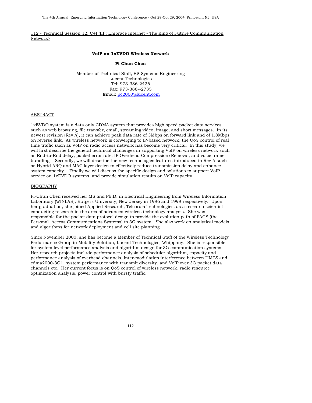T12 - Technical Session 12: C4I (III): Embrace Internet - The King of Future Communication Network?

### **VoIP on 1xEVDO Wireless Network**

# **Pi-Chun Chen**

Member of Technical Staff, BS Systems Engineering Lucent Technologies Tel: 973-386-2426 Fax: 973-386--2735 Email: pc2000@lucent.com

# **ABSTRACT**

1xEVDO system is a data only CDMA system that provides high speed packet data services such as web browsing, file transfer, email, streaming video, image, and short messages. In its newest revision (Rev A), it can achieve peak data rate of 3Mbps on forward link and of 1.8Mbps on reverse link. As wireless network is converging to IP-based network, the QoS control of real time traffic such as VoIP on radio access network has become very critical. In this study, we will first describe the general technical challenges in supporting VoIP on wireless network such as End-to-End delay, packet error rate, IP Overhead Compression/Removal, and voice frame bundling. Secondly, we will describe the new technologies features introduced in Rev A such as Hybrid ARQ and MAC layer design to effectively reduce transmission delay and enhance system capacity. Finally we will discuss the specific design and solutions to support VoIP service on 1xEVDO systems, and provide simulation results on VoIP capacity.

### BIOGRAPHY

Pi-Chun Chen received her MS and Ph.D. in Electrical Engineering from Wireless Information Laboratory (WINLAB), Rutgers University, New Jersey in 1996 and 1999 respectively. Upon her graduation, she joined Applied Research, Telcordia Technologies, as a research scientist conducting research in the area of advanced wireless technology analysis. She was responsible for the packet data protocol design to provide the evolution path of PACS (the Personal Access Communications Systems) to 3G system. She also work on analytical models and algorithms for network deployment and cell site planning.

Since November 2000, she has become a Member of Technical Staff of the Wireless Technology Performance Group in Mobility Solution, Lucent Technologies, Whippany. She is responsible for system level performance analysis and algorithm design for 3G communication systems. Her research projects include performance analysis of scheduler algorithm, capacity and performance analysis of overhead channels, inter-modulation interference between UMTS and cdma2000-3G1, system performance with transmit diversity, and VoIP over 3G packet data channels etc. Her current focus is on QoS control of wireless network, radio resource optimization analysis, power control with bursty traffic.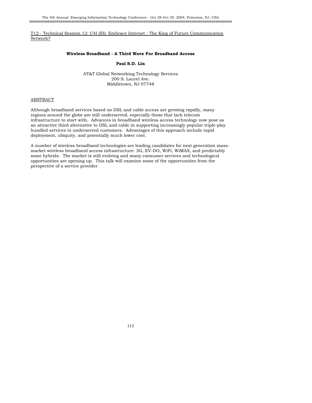T12 - Technical Session 12: C4I (III): Embrace Internet - The King of Future Communication Network?

# **Wireless Broadband - A Third Wave For Broadband Access**

# **Paul S.D. Lin**

AT&T Global Networking Technology Services 200 S. Laurel Ave. Middletown, NJ 07748

# ABSTRACT

Although broadband services based on DSL and cable access are growing rapidly, many regions around the globe are still underserved, especially those that lack telecom infrastructure to start with. Advances in broadband wireless access technology now pose as an attractive third alternative to DSL and cable in supporting increasingly popular triple-play bundled services to underserved customers. Advantages of this approach include rapid deployment, ubiquity, and potentially much lower cost.

A number of wireless broadband technologies are leading candidates for next generation massmarket wireless broadband access infrastructure: 3G, EV-DO, WiFi, WiMAX, and predictably some hybrids. The market is still evolving and many consumer services and technological opportunities are opening up. This talk will examine some of the opportunities from the perspective of a service provider.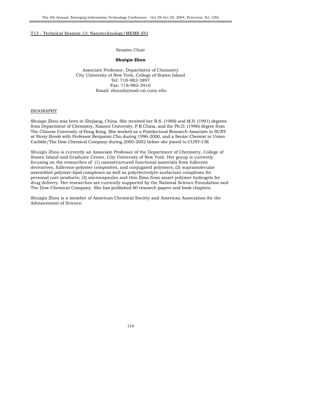Session Chair

#### **Shuiqin Zhou**

Associate Professor, Department of Chemistry City University of New York, College of Staten Island Tel: 718-982-3897 Fax: 718-982-3910 Email: zhoush@mail.csi.cuny.edu

#### BIOGRAPHY

Shuiqin Zhou was born in Zhejiang, China. She received her B.S. (1988) and M.S. (1991) degrees from Department of Chemistry, Xiamen University, P.R.China, and the Ph.D. (1996) degree from The Chinese University of Hong Kong. She worked as a Postdoctoral Research Associate in SUNY at Stony Brook with Professor Benjamin Chu during 1996-2000, and a Senior Chemist in Union Carbide/The Dow Chemical Company during 2000-2002 before she joined to CUNY-CSI.

Shuiqin Zhou is currently an Associate Professor of the Department of Chemistry, College of Staten Island and Graduate Center, City University of New York. Her group is currently focusing on the researches of (1) nanostructured functional materials from fullerene derivatives, fullerene-polymer composites, and conjugated polymers; (2) supramolecular assembled polymer-lipid complexes as well as polyelectrolyte-surfactant complexes for personal care products; (3) microcapsules and thin films from smart polymer hydrogels for drug delivery. Her researches are currently supported by the National Science Foundation and The Dow Chemical Company. She has published 60 research papers and book chapters.

Shuiqin Zhou is a member of American Chemical Society and American Association for the Advancement of Science.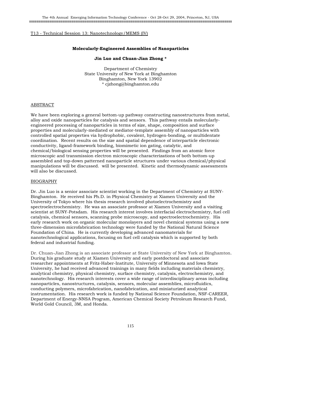#### **Molecularly-Engineered Assemblies of Nanoparticles**

#### **Jin Luo and Chuan-Jian Zhong \***

Department of Chemistry State University of New York at Binghamton Binghamton, New York 13902 \* cjzhong@binghamton.edu

#### ABSTRACT

We have been exploring a general bottom-up pathway constructing nanostructures from metal, alloy and oxide nanoparticles for catalysis and sensors. This pathway entails molecularlyengineered processing of nanoparticles in terms of size, shape, composition and surface properties and molecularly-mediated or mediator-template assembly of nanoparticles with controlled spatial properties via hydrophobic, covalent, hydrogen-bonding, or multidentate coordination. Recent results on the size and spatial dependence of interparticle electronic conductivity, ligand-framework binding, biomimetic ion gating, catalytic, and chemical/biological sensing properties will be presented. Findings from an atomic force microscopic and transmission electron microscopic characterizations of both bottom-up assembled and top-down patterned nanoparticle structures under various chemical/physical manipulations will be discussed. will be presented. Kinetic and thermodynamic assessments will also be discussed.

# BIOGRAPHY

Dr. Jin Luo is a senior associate scientist working in the Department of Chemistry at SUNY-Binghamton. He received his Ph.D. in Physical Chemistry at Xiamen University and the University of Tokyo where his thesis research involved photoelectrochemistry and spectroelectrochemistry. He was an associate professor at Xiamen University and a visiting scientist at SUNY-Potsdam. His research interest involves interfacial electrochemistry, fuel cell catalysis, chemical sensors, scanning probe microscopy, and spectroelectrochemistry. His early research work on organic molecular monolayers and novel chemical systems using a new three-dimension microfabrication technology were funded by the National Natural Science Foundation of China. He is currently developing advanced nanomaterials for nanotechnological applications, focusing on fuel cell catalysis which is supported by both federal and industrial funding.

Dr. Chuan-Jian Zhong is an associate professor at State University of New York at Binghamton. During his graduate study at Xiamen University and early postdoctoral and associate researcher appointments at Fritz-Haber-Institute, University of Minnesota and Iowa State University, he had received advanced trainings in many fields including materials chemistry, analytical chemistry, physical chemistry, surface chemistry, catalysis, electrochemistry, and nanotechnology. His research interests cover a wide range of interdisciplinary areas including nanoparticles, nanostructures, catalysis, sensors, molecular assemblies, microfluidics, conducting polymers, microfabrication, nanofabrication, and miniaturized analytical instrumentation. His research work is funded by National Science Foundation, NSF-CAREER, Department of Energy-NNSA Program, American Chemical Society Petroleum Research Fund, World Gold Council, 3M, and Honda.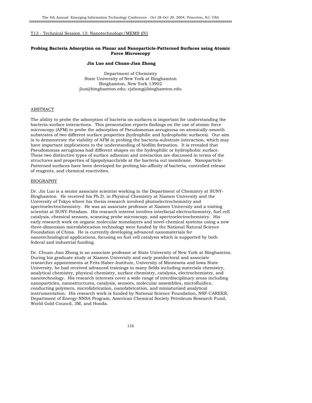# **Probing Bacteria Adsorption on Planar and Nanoparticle-Patterned Surfaces using Atomic Force Microscopy**

### **Jin Luo and Chuan-Jian Zhong**

Department of Chemistry State University of New York at Binghamton Binghamton, New York 13902 jluo@binghamton.edu; cjzhong@binghamton.edu

### ABSTRACT

The ability to probe the adsorption of bacteria on surfaces is important for understanding the bacteria-surface interactions. This presentation reports findings on the use of atomic force microscopy (AFM) to probe the adsorption of Pseudomonas aeruginosa on atomically-smooth substrates of two different surface properties (hydrophilic and hydrophobic surfaces). Our aim is to demonstrate the viability of AFM in probing the bacteria-substrate interaction, which may have important implications to the understanding of biofilm formation. It is revealed that Pseudomonas aeruginosa had different shapes on the hydrophilic or hydrophobic surface. These two distinctive types of surface adhesion and interaction are discussed in terms of the structures and properties of lipopolysacchride at the bacteria out membrane. Nanoparticle-Patterned surfaces have been developed for probing bio-affinity of bacteria, controlled release of reagents, and chemical reactivities.

### BIOGRAPHY

Dr. Jin Luo is a senior associate scientist working in the Department of Chemistry at SUNY-Binghamton. He received his Ph.D. in Physical Chemistry at Xiamen University and the University of Tokyo where his thesis research involved photoelectrochemistry and spectroelectrochemistry. He was an associate professor at Xiamen University and a visiting scientist at SUNY-Potsdam. His research interest involves interfacial electrochemistry, fuel cell catalysis, chemical sensors, scanning probe microscopy, and spectroelectrochemistry. His early research work on organic molecular monolayers and novel chemical systems using a new three-dimension microfabrication technology were funded by the National Natural Science Foundation of China. He is currently developing advanced nanomaterials for nanotechnological applications, focusing on fuel cell catalysis which is supported by both federal and industrial funding.

Dr. Chuan-Jian Zhong is an associate professor at State University of New York at Binghamton. During his graduate study at Xiamen University and early postdoctoral and associate researcher appointments at Fritz-Haber-Institute, University of Minnesota and Iowa State University, he had received advanced trainings in many fields including materials chemistry, analytical chemistry, physical chemistry, surface chemistry, catalysis, electrochemistry, and nanotechnology. His research interests cover a wide range of interdisciplinary areas including nanoparticles, nanostructures, catalysis, sensors, molecular assemblies, microfluidics, conducting polymers, microfabrication, nanofabrication, and miniaturized analytical instrumentation. His research work is funded by National Science Foundation, NSF-CAREER, Department of Energy-NNSA Program, American Chemical Society Petroleum Research Fund, World Gold Council, 3M, and Honda.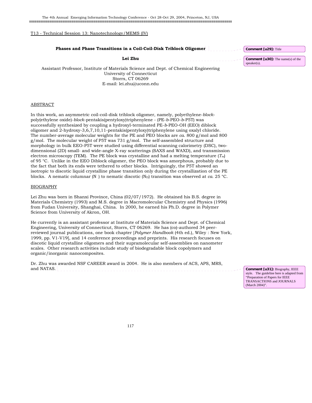# **Phases and Phase Transitions in a Coil-Coil-Disk Triblock Oligomer**

# **Lei Zhu**

Assistant Professor, Institute of Materials Science and Dept. of Chemical Engineering University of Connecticut Storrs, CT 06269 E-mail: lei.zhu@uconn.edu

# ABSTRACT

In this work, an asymmetric coil-coil-disk triblock oligomer, namely, polyethylene-*block*poly(ethylene oxide)-*block*-pentakis(pentyloxy)triphenylene - (PE-*b*-PEO-*b*-P5T) was successfully synthesized by coupling a hydroxyl-terminated PE-*b*-PEO-OH (EEO) diblock oligomer and 2-hydroxy-3,6,7,10,11-pentakis(pentyloxy)triphenylene using oxalyl chloride. The number-average molecular weights for the PE and PEO blocks are *ca*. 800 g/mol and 800 g/mol. The molecular weight of P5T was 731 g/mol. The self-assembled structure and morphology in bulk EEO-P5T were studied using differential scanning calorimetry (DSC), twodimensional (2D) small- and wide-angle X-ray scatterings (SAXS and WAXD), and transmission electron microscopy (TEM). The PE block was crystalline and had a melting temperature (*Tm*) of 95 °C. Unlike in the EEO Diblock oligomer, the PEO block was amorphous, probably due to the fact that both its ends were tethered to other blocks. Intriguingly, the P5T showed an isotropic to discotic liquid crystalline phase transition only during the crystallization of the PE blocks. A nematic columnar (N) to nematic discotic (N<sub>D</sub>) transition was observed at *ca.* 25 °C.

### BIOGRAPHY

Lei Zhu was born in Shanxi Province, China (02/07/1972). He obtained his B.S. degree in Materials Chemistry (1993) and M.S. degree in Macromolecular Chemistry and Physics (1996) from Fudan University, Shanghai, China. In 2000, he earned his Ph.D. degree in Polymer Science from University of Akron, OH.

He currently is an assistant professor at Institute of Materials Science and Dept. of Chemical Engineering, University of Connecticut, Storrs, CT 06269. He has (co)-authored 34 peerreviewed journal publications, one book chapter [*Polymer Handbook* (4th ed.), Wiley : New York, 1999, pp. V1-V19], and 14 conference proceedings and preprints. His research focuses on discotic liquid crystalline oligomers and their supramolecular self-assemblies on nanometer scales. Other research activities include study of biodegradable block copolymers and organic/inorganic nanocomposites.

Dr. Zhu was awarded NSF CAREER award in 2004. He is also members of ACS, APS, MRS, and NATAS.

**Comment [u31]:** Biography, IEEE style. The guideline here is adapted from "Preparation of Papers for IEEE TRANSACTIONS and JOURNALS (March 2004)".

**Comment [u30]:** The name(s) of the speaker(s).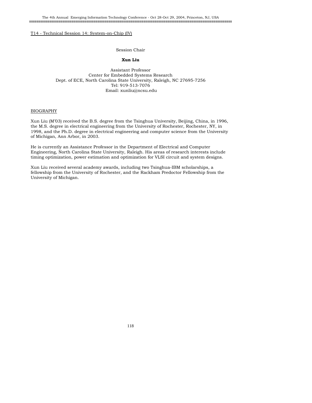### Session Chair

#### **Xun Liu**

Assistant Professor Center for Embedded Systems Research Dept. of ECE, North Carolina State University, Raleigh, NC 27695-7256 Tel: 919-513-7076 Email: xunliu@ncsu.edu

# BIOGRAPHY

Xun Liu (M'03) received the B.S. degree from the Tsinghua University, Beijing, China, in 1996, the M.S. degree in electrical engineering from the University of Rochester, Rochester, NY, in 1998, and the Ph.D. degree in electrical engineering and computer science from the University of Michigan, Ann Arbor, in 2003.

He is currently an Assistance Professor in the Department of Electrical and Computer Engineering, North Carolina State University, Raleigh. His areas of research interests include timing optimization, power estimation and optimization for VLSI circuit and system designs.

Xun Liu received several academy awards, including two Tsinghua-IBM scholarships, a fellowship from the University of Rochester, and the Rackham Predoctor Fellowship from the University of Michigan.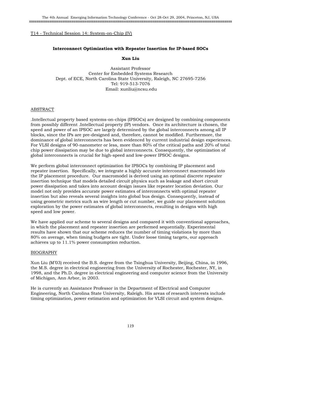### **Interconnect Optimization with Repeater Insertion for IP-based SOCs**

#### **Xun Liu**

Assistant Professor Center for Embedded Systems Research Dept. of ECE, North Carolina State University, Raleigh, NC 27695-7256 Tel: 919-513-7076 Email: xunliu@ncsu.edu

# **ABSTRACT**

.Intellectual property based systems-on-chips (IPSOCs) are designed by combining components from possibly different .Intellectual property (IP) vendors. Once its architecture is chosen, the speed and power of an IPSOC are largely determined by the global interconnects among all IP blocks, since the IPs are pre-designed and, therefore, cannot be modified. Furthermore, the dominance of global interconnects has been evidenced by current industrial design experiences. For VLSI designs of 90-nanometer or less, more than 80% of the critical paths and 20% of total chip power dissipation may be due to global interconnects. Consequently, the optimization of global interconnects is crucial for high-speed and low-power IPSOC designs.

We perform global interconnect optimization for IPSOCs by combining IP placement and repeater insertion. Specifically, we integrate a highly accurate interconnect macromodel into the IP placement procedure. Our macromodel is derived using an optimal discrete repeater insertion technique that models detailed circuit physics such as leakage and short circuit power dissipation and takes into account design issues like repeater location deviation. Our model not only provides accurate power estimates of interconnects with optimal repeater insertion but also reveals several insights into global bus design. Consequently, instead of using geometric metrics such as wire length or cut number, we guide our placement solution exploration by the power estimates of global interconnects, resulting in designs with high speed and low power.

We have applied our scheme to several designs and compared it with conventional approaches, in which the placement and repeater insertion are performed sequentially. Experimental results have shown that our scheme reduces the number of timing violations by more than 80% on average, when timing budgets are tight. Under loose timing targets, our approach achieves up to 11.1% power consumption reduction.

#### BIOGRAPHY

Xun Liu (M'03) received the B.S. degree from the Tsinghua University, Beijing, China, in 1996, the M.S. degree in electrical engineering from the University of Rochester, Rochester, NY, in 1998, and the Ph.D. degree in electrical engineering and computer science from the University of Michigan, Ann Arbor, in 2003.

He is currently an Assistance Professor in the Department of Electrical and Computer Engineering, North Carolina State University, Raleigh. His areas of research interests include timing optimization, power estimation and optimization for VLSI circuit and system designs.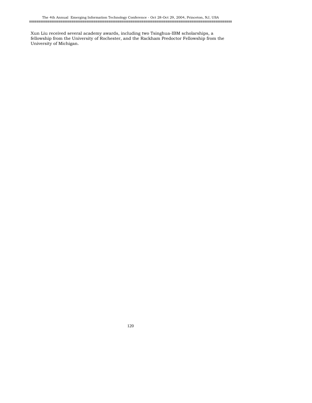Xun Liu received several academy awards, including two Tsinghua-IBM scholarships, a fellowship from the University of Rochester, and the Rackham Predoctor Fellowship from the University of Michigan.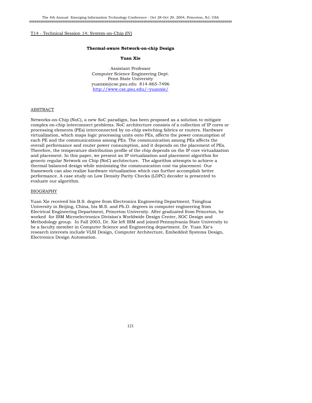#### **Thermal-aware Network-on-chip Design**

### **Yuan Xie**

Assistant Professor Computer Science Engineering Dept. Penn State University yuanxie@cse.psu.edu 814-865-7496 http://www.cse.psu.edu/~yuanxie/

# ABSTRACT

Networks-on-Chip (NoC), a new SoC paradigm, has been proposed as a solution to mitigate complex on-chip interconnect problems. NoC architecture consists of a collection of IP cores or processing elements (PEs) interconnected by on-chip switching fabrics or routers. Hardware virtualization, which maps logic processing units onto PEs, affects the power consumption of each PE and the communications among PEs. The communication among PEs affects the overall performance and router power consumption, and it depends on the placement of PEs. Therefore, the temperature distribution profile of the chip depends on the IP core virtualization and placement. In this paper, we present an IP virtualization and placement algorithm for generic regular Network on Chip (NoC) architecture. The algorithm attempts to achieve a thermal balanced design while minimizing the communication cost via placement. Our framework can also realize hardware virtualization which can further accomplish better performance. A case study on Low Density Parity Checks (LDPC) decoder is presented to evaluate our algorithm.

# BIOGRAPHY

Yuan Xie received his B.S. degree from Electronics Engineering Department, Tsinghua University in Beijing, China, his M.S. and Ph.D. degrees in computer engineering from Electrical Engineering Department, Princeton University. After graduated from Princeton, he worked for IBM Microelectronics Division's Worldwide Design Center, SOC Design and Methodology group. In Fall 2003, Dr. Xie left IBM and joined Pennsylvania State University to be a faculty member in Computer Science and Engineering department. Dr. Yuan Xie's research interests include VLSI Design, Computer Architecture, Embedded Systems Design, Electronics Design Automation.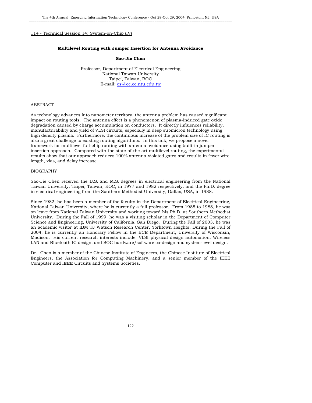#### **Multilevel Routing with Jumper Insertion for Antenna Avoidance**

#### **Sao-Jie Chen**

Professor, Department of Electrical Engineering National Taiwan University Taipei, Taiwan, ROC E-mail: csj@cc.ee.ntu.edu.tw

#### ABSTRACT

As technology advances into nanometer territory, the antenna problem has caused significant impact on routing tools. The antenna effect is a phenomenon of plasma-induced gate oxide degradation caused by charge accumulation on conductors. It directly influences reliability, manufacturability and yield of VLSI circuits, especially in deep submicron technology using high density plasma. Furthermore, the continuous increase of the problem size of IC routing is also a great challenge to existing routing algorithms. In this talk, we propose a novel framework for multilevel full-chip routing with antenna avoidance using built-in jumper insertion approach. Compared with the state-of-the-art multilevel routing, the experimental results show that our approach reduces 100% antenna-violated gates and results in fewer wire length, vias, and delay increase.

# BIOGRAPHY

Sao-Jie Chen received the B.S. and M.S. degrees in electrical engineering from the National Taiwan University, Taipei, Taiwan, ROC, in 1977 and 1982 respectively, and the Ph.D. degree in electrical engineering from the Southern Methodist University, Dallas, USA, in 1988.

Since 1982, he has been a member of the faculty in the Department of Electrical Engineering, National Taiwan University, where he is currently a full professor. From 1985 to 1988, he was on leave from National Taiwan University and working toward his Ph.D. at Southern Methodist University. During the Fall of 1999, he was a visiting scholar in the Department of Computer Science and Engineering, University of California, San Diego. During the Fall of 2003, he was an academic visitor at IBM TJ Watson Research Center, Yorktown Heights. During the Fall of 2004, he is currently an Honorary Fellow in the ECE Department, University of Wisconsin, Madison. His current research interests include: VLSI physical design automation, Wireless LAN and Bluetooth IC design, and SOC hardware/software co-design and system-level design.

Dr. Chen is a member of the Chinese Institute of Engineers, the Chinese Institute of Electrical Engineers, the Association for Computing Machinery, and a senior member of the IEEE Computer and IEEE Circuits and Systems Societies.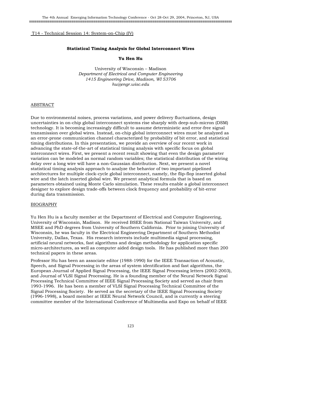#### **Statistical Timing Analysis for Global Interconnect Wires**

#### **Yu Hen Hu**

University of Wisconsin – Madison *Department of Electrical and Computer Engineering 1415 Engineering Drive, Madison, WI 53706 hu@engr.wisc.edu* 

#### ABSTRACT

Due to environmental noises, process variations, and power delivery fluctuations, design uncertainties in on-chip global interconnect systems rise sharply with deep-sub-micron (DSM) technology. It is becoming increasingly difficult to assume deterministic and error-free signal transmission over global wires. Instead, on-chip global interconnect wires must be analyzed as an error-prone communication channel characterized by probability of bit error, and statistical timing distributions. In this presentation, we provide an overview of our recent work in advancing the state-of-the-art of statistical timing analysis with specific focus on global interconnect wires. First, we present a recent result showing that even the design parameter variation can be modeled as normal random variables; the statistical distribution of the wiring delay over a long wire will have a non-Gaussian distribution. Next, we present a novel statistical timing analysis approach to analyze the behavior of two important pipelined architectures for multiple clock-cycle global interconnect, namely, the flip-flop inserted global wire and the latch inserted global wire. We present analytical formula that is based on parameters obtained using Monte Carlo simulation. These results enable a global interconnect designer to explore design trade-offs between clock frequency and probability of bit-error during data transmission.

### BIOGRAPHY

Yu Hen Hu is a faculty member at the Department of Electrical and Computer Engineering, University of Wisconsin, Madison. He received BSEE from National Taiwan University, and MSEE and PhD degrees from University of Southern California. Prior to joining University of Wisconsin, he was faculty in the Electrical Engineering Department of Southern Methodist University, Dallas, Texas. His research interests include multimedia signal processing, artificial neural networks, fast algorithms and design methodology for application specific micro-architectures, as well as computer aided design tools. He has published more than 200 technical papers in these areas.

Professor Hu has been an associate editor (1988-1990) for the IEEE Transaction of Acoustic, Speech, and Signal Processing in the areas of system identification and fast algorithms, the European Journal of Applied Signal Processing, the IEEE Signal Processing letters (2002-2003), and Journal of VLSI Signal Processing. He is a founding member of the Neural Network Signal Processing Technical Committee of IEEE Signal Processing Society and served as chair from 1993-1996. He has been a member of VLSI Signal Processing Technical Committee of the Signal Processing Society. He served as the secretary of the IEEE Signal Processing Society (1996-1998), a board member at IEEE Neural Network Council, and is currently a steering committee member of the International Conference of Multimedia and Expo on behalf of IEEE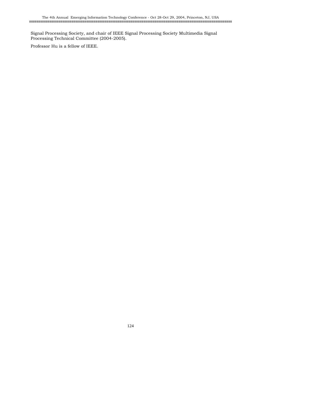Signal Processing Society, and chair of IEEE Signal Processing Society Multimedia Signal Processing Technical Committee (2004-2005).

Professor Hu is a fellow of IEEE.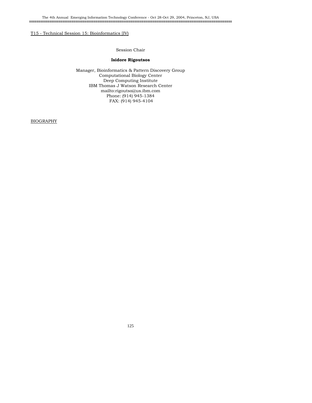Session Chair

# **Isidore Rigoutsos**

Manager, Bioinformatics & Pattern Discovery Group Computational Biology Center Deep Computing Institute IBM Thomas J Watson Research Center mailto:rigoutso@us.ibm.com Phone: (914) 945-1384 FAX: (914) 945-4104

BIOGRAPHY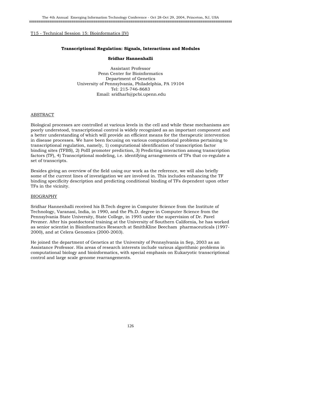#### **Transcriptional Regulation: Signals, Interactions and Modules**

#### **Sridhar Hannenhalli**

Assistant Professor Penn Center for Bioinformatics Department of Genetics University of Pennsylvania, Philadelphia, PA 19104 Tel: 215-746-8683 Email: sridharh@pcbi.upenn.edu

# **ABSTRACT**

Biological processes are controlled at various levels in the cell and while these mechanisms are poorly understood, transcriptional control is widely recognized as an important component and a better understanding of which will provide an efficient means for the therapeutic intervention in disease processes. We have been focusing on various computational problems pertaining to transcriptional regulation, namely, 1) computational identification of transcription factor binding sites (TFBS), 2) PolII promoter prediction, 3) Predicting interaction among transcription factors (TF), 4) Transcriptional modeling, i.e. identifying arrangements of TFs that co-regulate a set of transcripts.

Besides giving an overview of the field using our work as the reference, we will also briefly some of the current lines of investigation we are involved in. This includes enhancing the TF binding specificity description and predicting conditional binding of TFs dependent upon other TFs in the vicinity.

# BIOGRAPHY

Sridhar Hannenhalli received his B.Tech degree in Computer Science from the Institute of Technology, Varanasi, India, in 1990, and the Ph.D. degree in Computer Science from the Pennsylvania State University, State College, in 1995 under the supervision of Dr. Pavel Pevzner. After his postdoctoral training at the University of Southern California, he has worked as senior scientist in Bioinformatics Research at SmithKline Beecham pharmaceuticals (1997- 2000), and at Celera Genomics (2000-2003).

He joined the department of Genetics at the University of Pennsylvania in Sep, 2003 as an Assistance Professor. His areas of research interests include various algorithmic problems in computational biology and bioinformatics, with special emphasis on Eukaryotic transcriptional control and large scale genome rearrangements.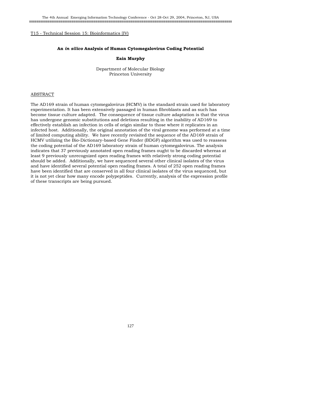# **An** *in silico* **Analysis of Human Cytomegalovirus Coding Potential**

#### **Eain Murphy**

Department of Molecular Biology Princeton University

#### ABSTRACT

The AD169 strain of human cytomegalovirus (HCMV) is the standard strain used for laboratory experimentation. It has been extensively passaged in human fibroblasts and as such has become tissue culture adapted. The consequence of tissue culture adaptation is that the virus has undergone genomic substitutions and deletions resulting in the inability of AD169 to effectively establish an infection in cells of origin similar to those where it replicates in an infected host. Additionally, the original annotation of the viral genome was performed at a time of limited computing ability. We have recently revisited the sequence of the AD169 strain of HCMV utilizing the Bio-Dictionary-based Gene Finder (BDGF) algorithm was used to reassess the coding potential of the AD169 laboratory strain of human cytomegalovirus. The analysis indicates that 37 previously annotated open reading frames ought to be discarded whereas at least 9 previously unrecognized open reading frames with relatively strong coding potential should be added. Additionally, we have sequenced several other clinical isolates of the virus and have identified several potential open reading frames. A total of 252 open reading frames have been identified that are conserved in all four clinical isolates of the virus sequenced, but it is not yet clear how many encode polypeptides. Currently, analysis of the expression profile of these transcripts are being pursued.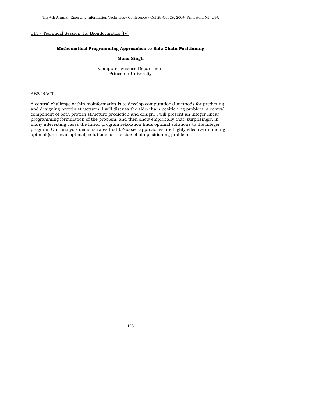# **Mathematical Programming Approaches to Side-Chain Positioning**

# **Mona Singh**

Computer Science Department Princeton University

# ABSTRACT

A central challenge within bioinformatics is to develop computational methods for predicting and designing protein structures. I will discuss the side-chain positioning problem, a central component of both protein structure prediction and design. I will present an integer linear programming formulation of the problem, and then show empirically that, surprisingly, in many interesting cases the linear program relaxation finds optimal solutions to the integer program. Our analysis demonstrates that LP-based approaches are highly effective in finding optimal (and near-optimal) solutions for the side-chain positioning problem.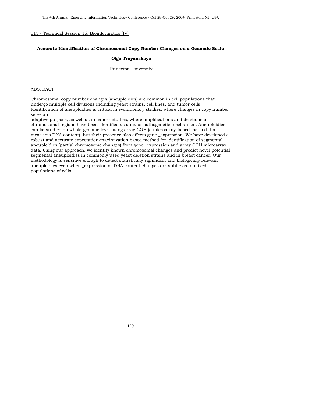# **Accurate Identification of Chromosomal Copy Number Changes on a Genomic Scale**

#### **Olga Troyanskaya**

Princeton University

# ABSTRACT

Chromosomal copy number changes (aneuploidies) are common in cell populations that undergo multiple cell divisions including yeast strains, cell lines, and tumor cells. Identification of aneuploidies is critical in evolutionary studies, where changes in copy number serve an

adaptive purpose, as well as in cancer studies, where amplifications and deletions of chromosomal regions have been identified as a major pathogenetic mechanism. Aneuploidies can be studied on whole-genome level using array CGH (a microarray-based method that measures DNA content), but their presence also affects gene \_expression. We have developed a robust and accurate expectation-maximization based method for identification of segmental aneuploidies (partial chromosome changes) from gene \_expression and array CGH microarray data. Using our approach, we identify known chromosomal changes and predict novel potential segmental aneuploidies in commonly used yeast deletion strains and in breast cancer. Our methodology is sensitive enough to detect statistically significant and biologically relevant aneuploidies even when \_expression or DNA content changes are subtle as in mixed populations of cells.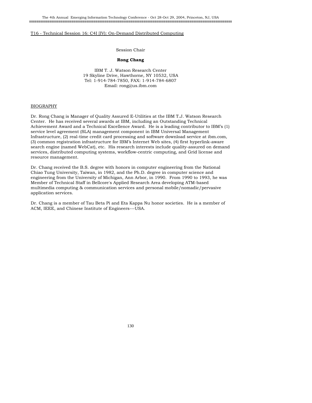### T16 - Technical Session 16: C4I [IV): On-Demand Distributed Computing

# Session Chair

### **Rong Chang**

IBM T. J. Watson Research Center 19 Skyline Drive, Hawthorne, NY 10532, USA Tel: 1-914-784-7850, FAX: 1-914-784-6807 Email: rong@us.ibm.com

### BIOGRAPHY

Dr. Rong Chang is Manager of Quality Assured E-Utilities at the IBM T.J. Watson Research Center. He has received several awards at IBM, including an Outstanding Technical Achievement Award and a Technical Excellence Award. He is a leading contributor to IBM's (1) service level agreement (SLA) management component in IBM Universal Management Infrastructure, (2) real-time credit card processing and software download service at ibm.com, (3) common registration infrastructure for IBM's Internet Web sites, (4) first hyperlink-aware search engine (named WebCat), etc. His research interests include quality-assured on demand services, distributed computing systems, workflow-centric computing, and Grid license and resource management.

Dr. Chang received the B.S. degree with honors in computer engineering from the National Chiao Tung University, Taiwan, in 1982, and the Ph.D. degree in computer science and engineering from the University of Michigan, Ann Arbor, in 1990. From 1990 to 1993, he was Member of Technical Staff in Bellcore's Applied Research Area developing ATM-based multimedia computing & communication services and personal mobile/nomadic/pervasive application services.

Dr. Chang is a member of Tau Beta Pi and Eta Kappa Nu honor societies. He is a member of ACM, IEEE, and Chinese Institute of Engineers---USA.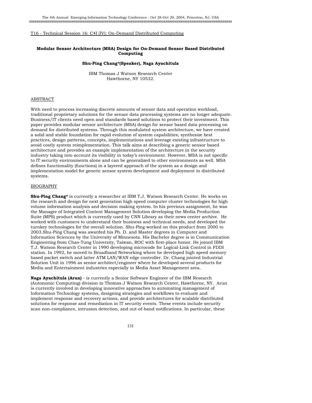# T16 - Technical Session 16: C4I [IV): On-Demand Distributed Computing

# **Modular Sensor Architecture (MSA) Design for On-Demand Sensor Based Distributed Computing**

### **Shu-Ping Chang\*(Speaker), Naga Ayachitula**

IBM Thomas J Watson Research Center Hawthorne, NY 10532.

### ABSTRACT

With need to process increasing discrete amounts of sensor data and operation workload, traditional proprietary solutions for the sensor data processing systems are no longer adequate. Business/IT clients need open and standards based solutions to protect their investment. This paper provides modular sensor architecture (MSA) design for sensor based data processing on demand for distributed systems. Through this modulated system architecture, we have created a solid and stable foundation for rapid evolution of system capabilities; synthesize best practices, design patterns, concepts, implementations and leverage existing infrastructure to avoid costly system reimplementation. This talk aims at describing a generic sensor based architecture and provides an example implementation of the architecture in the security industry taking into account its visibility in today's environment. However, MSA is not specific to IT security environments alone and can be generalized to other environments as well. MSA defines functionality (functions) in a layered approach of the system as a design and implementation model for generic sensor system development and deployment in distributed systems.

### BIOGRAPHY

**Shu-Ping Chang\*** is currently a researcher at IBM T.J. Watson Research Center. He works on the research and design for next generation high speed computer cluster technologies for high volume information analysis and decision making system. In his previous assignment, he was the Manager of Integrated Content Management Solution developing the Media Production Suite (MPS) product which is currently used by CNN Library as their news center archive. He worked with customers to understand their business and technical needs, and developed the turnkey technologies for the overall solution. Shu-Ping worked on this product from 2000 to 2003.Shu-Ping Chang was awarded his Ph. D. and Master degrees in Computer and Information Sciences by the University of Minnesota. His Bachelor degree is in Communication Engineering from Chao-Tung University, Taiwan, ROC with first-place honor. He joined IBM T.J. Watson Research Center in 1990 developing microcode for Logical-Link Control in FDDI station. In 1992, he moved to Broadband Networking where he developed high speed memory based packet switch and latter ATM LAN/WAN edge controller. Dr. Chang jointed Industrial Solution Unit in 1996 as senior architect/engineer where he developed several products for Media and Entertainment industries especially in Media Asset Management area.

**Naga Ayachitula (Arun)** - is currently a Senior Software Engineer of the IBM Research (Autonomic Computing) division in Thomas J Watson Research Center, Hawthorne, NY. Arun is currently involved in developing innovative approaches to automating management of Information Technology systems, designing strategies and workflows to evaluate and implement response and recovery actions, and provide architectures for scalable distributed solutions for response and remediation in IT security events. These events include security scan non-compliance, intrusion detection, and out-of-band notifications. In particular, these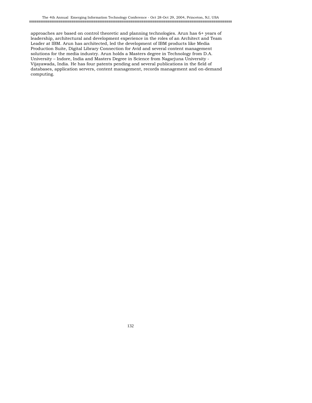approaches are based on control theoretic and planning technologies. Arun has 6+ years of leadership, architectural and development experience in the roles of an Architect and Team Leader at IBM. Arun has architected, led the development of IBM products like Media Production Suite, Digital Library Connection for Avid and several content management solutions for the media industry. Arun holds a Masters degree in Technology from D.A. University – Indore, India and Masters Degree in Science from Nagarjuna University - Vijayawada, India. He has four patents pending and several publications in the field of databases, application servers, content management, records management and on-demand computing.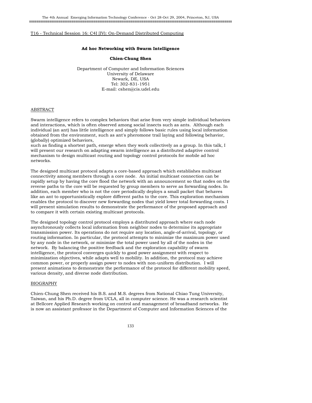### T16 - Technical Session 16: C4I [IV): On-Demand Distributed Computing

### **Ad hoc Networking with Swarm Intelligence**

#### **Chien-Chung Shen**

Department of Computer and Information Sciences University of Delaware Newark, DE, USA Tel: 302-831-1951 E-mail: cshen@cis.udel.edu

# **ABSTRACT**

Swarm intelligence refers to complex behaviors that arise from very simple individual behaviors and interactions, which is often observed among social insects such as ants. Although each individual (an ant) has little intelligence and simply follows basic rules using local information obtained from the environment, such as ant's pheromone trail laying and following behavior, (globally) optimized behaviors,

such as finding a shortest path, emerge when they work collectively as a group. In this talk, I will present our research on adapting swarm intelligence as a distributed adaptive control mechanism to design multicast routing and topology control protocols for mobile ad hoc networks.

The designed multicast protocol adapts a core-based approach which establishes multicast connectivity among members through a core node. An initial multicast connection can be rapidly setup by having the core flood the network with an announcement so that nodes on the reverse paths to the core will be requested by group members to serve as forwarding nodes. In addition, each member who is not the core periodically deploys a small packet that behaves like an ant to opportunistically explore different paths to the core. This exploration mechanism enables the protocol to discover new forwarding nodes that yield lower total forwarding costs. I will present simulation results to demonstrate the performance of the proposed approach and to compare it with certain existing multicast protocols.

The designed topology control protocol employs a distributed approach where each node asynchronously collects local information from neighbor nodes to determine its appropriate transmission power. Its operations do not require any location, angle-of-arrival, topology, or routing information. In particular, the protocol attempts to minimize the maximum power used by any node in the network, or minimize the total power used by all of the nodes in the network. By balancing the positive feedback and the exploration capability of swarm intelligence, the protocol converges quickly to good power assignment with respect to minimization objectives, while adapts well to mobility. In addition, the protocol may achieve common power, or properly assign power to nodes with non-uniform distribution. I will present animations to demonstrate the performance of the protocol for different mobility speed, various density, and diverse node distribution.

#### BIOGRAPHY

Chien-Chung Shen received his B.S. and M.S. degrees from National Chiao Tung University, Taiwan, and his Ph.D. degree from UCLA, all in computer science. He was a research scientist at Bellcore Applied Research working on control and management of broadband networks. He is now an assistant professor in the Department of Computer and Information Sciences of the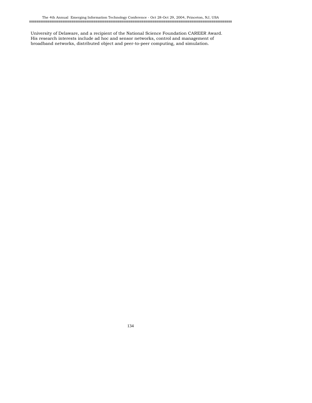University of Delaware, and a recipient of the National Science Foundation CAREER Award. His research interests include ad hoc and sensor networks, control and management of broadband networks, distributed object and peer-to-peer computing, and simulation.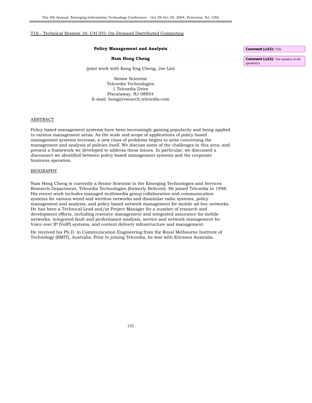The 4th Annual Emerging Information Technology Conference - Oct 28-Oct 29, 2004, Princeton, NJ, USA **==============================================================================================================**

### T16 - Technical Session 16: C4I [IV): On-Demand Distributed Computing

**Policy Management and Analysis Comment [u32]:** Title

> **Comment [u33]:** The name(s) of the speaker(s).

**Nam Hong Cheng**  (joint work with Kong Eng Cheng, Joe Lin)

Senior Scientist Telcordia Technologies 1 Telcordia Drive Piscataway, NJ 08854 E-mail: hong@research.telcordia.com

# **ABSTRACT**

Policy based management systems have been increasingly gaining popularity and being applied to various management areas. As the scale and scope of applications of policy based management systems increase, a new class of problems begins to arise concerning the management and analysis of policies itself. We discuss some of the challenges in this area, and present a framework we developed to address these issues. In particular, we discussed a disconnect we identified between policy based management systems and the corporate business operation.

# BIOGRAPHY

Nam Hong Cheng is currently a Senior Scientist in the Emerging Technologies and Services Research Department, Telcordia Technologies (formerly Bellcore). He joined Telcordia in 1998. His recent work includes managed multimedia group collaboration and communication systems for various wired and wireless networks and dissimilar radio systems, policy management and analysis, and policy based network management for mobile ad-hoc networks. He has been a Technical Lead and/or Project Manager for a number of research and development efforts, including resource management and integrated assurance for mobile networks, integrated fault and performance analysis, service and network management for Voice over IP (VoIP) systems, and content delivery infrastructure and management.

He received his Ph.D. in Communication Engineering from the Royal Melbourne Institute of Technology (RMIT), Australia. Prior to joining Telcordia, he was with Ericsson Australia.